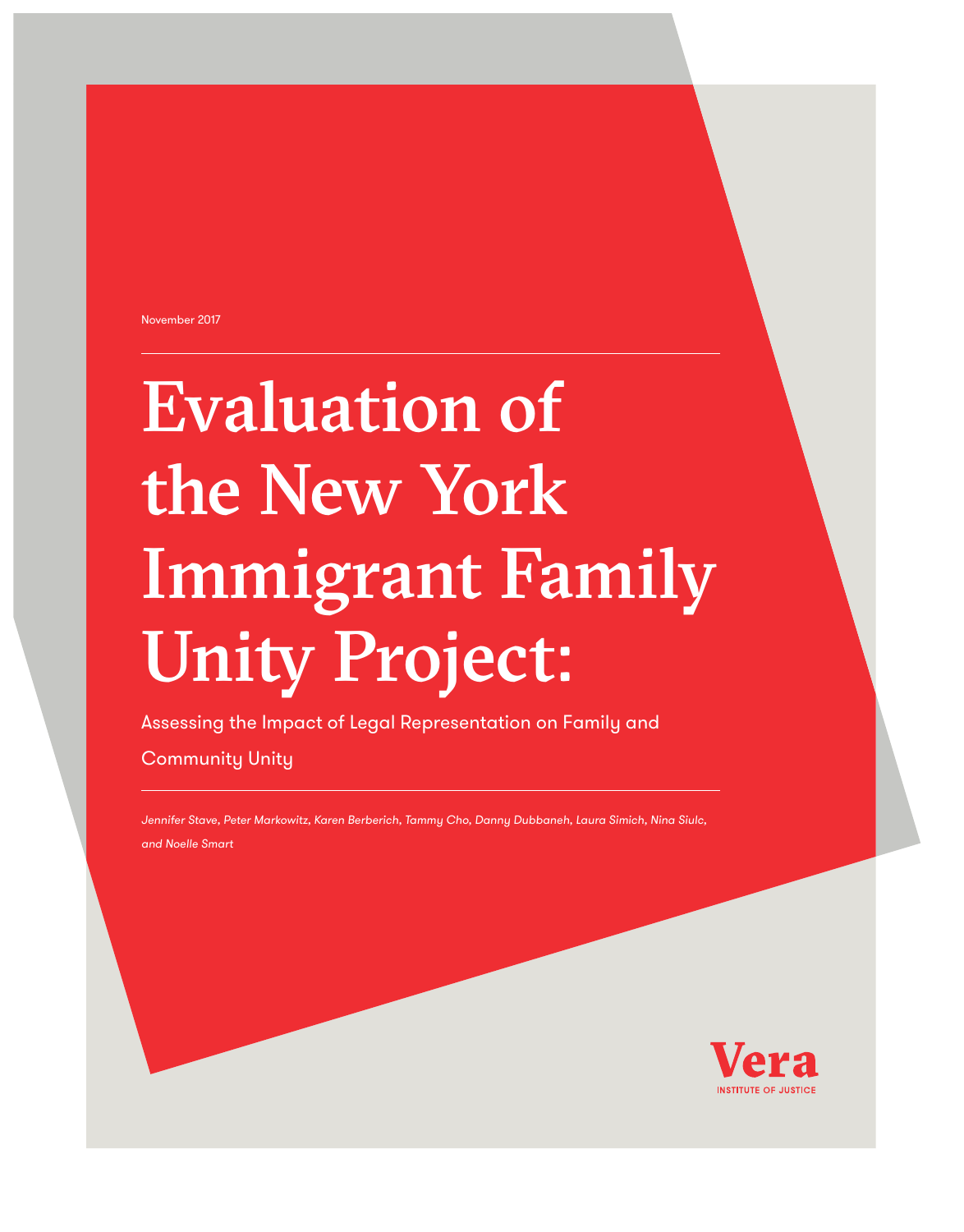November 2017

# Evaluation of the New York Immigrant Family Unity Project:

Assessing the Impact of Legal Representation on Family and Community Unity

*Jennifer Stave, Peter Markowitz, Karen Berberich, Tammy Cho, Danny Dubbaneh, Laura Simich, Nina Siulc, and Noelle Smart*

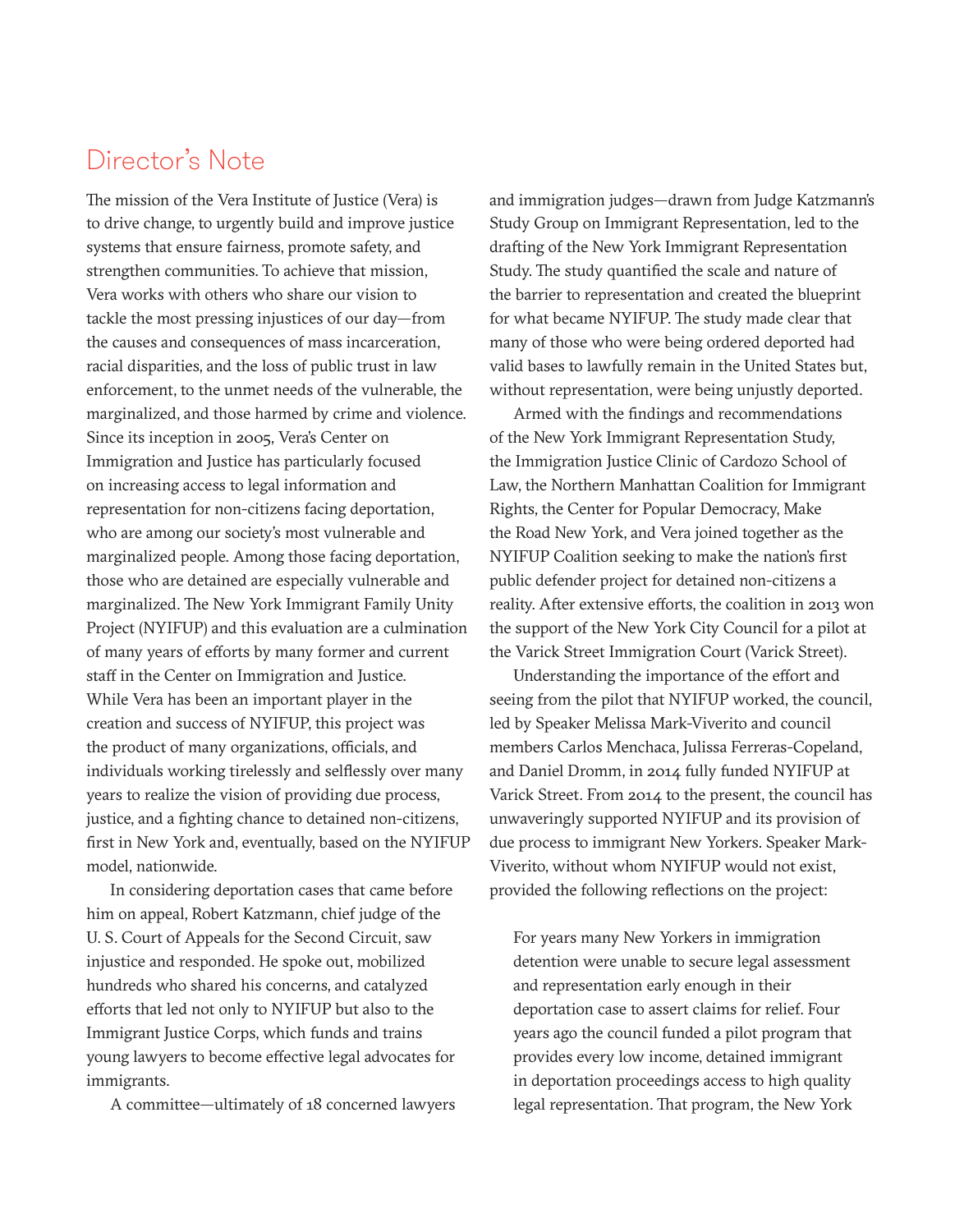### Director's Note

The mission of the Vera Institute of Justice (Vera) is to drive change, to urgently build and improve justice systems that ensure fairness, promote safety, and strengthen communities. To achieve that mission, Vera works with others who share our vision to tackle the most pressing injustices of our day—from the causes and consequences of mass incarceration, racial disparities, and the loss of public trust in law enforcement, to the unmet needs of the vulnerable, the marginalized, and those harmed by crime and violence. Since its inception in 2005, Vera's Center on Immigration and Justice has particularly focused on increasing access to legal information and representation for non-citizens facing deportation, who are among our society's most vulnerable and marginalized people. Among those facing deportation, those who are detained are especially vulnerable and marginalized. The New York Immigrant Family Unity Project (NYIFUP) and this evaluation are a culmination of many years of efforts by many former and current staff in the Center on Immigration and Justice. While Vera has been an important player in the creation and success of NYIFUP, this project was the product of many organizations, officials, and individuals working tirelessly and selflessly over many years to realize the vision of providing due process, justice, and a fighting chance to detained non-citizens, first in New York and, eventually, based on the NYIFUP model, nationwide.

In considering deportation cases that came before him on appeal, Robert Katzmann, chief judge of the U. S. Court of Appeals for the Second Circuit, saw injustice and responded. He spoke out, mobilized hundreds who shared his concerns, and catalyzed efforts that led not only to NYIFUP but also to the Immigrant Justice Corps, which funds and trains young lawyers to become effective legal advocates for immigrants.

A committee—ultimately of 18 concerned lawyers

and immigration judges—drawn from Judge Katzmann's Study Group on Immigrant Representation, led to the drafting of the New York Immigrant Representation Study. The study quantified the scale and nature of the barrier to representation and created the blueprint for what became NYIFUP. The study made clear that many of those who were being ordered deported had valid bases to lawfully remain in the United States but, without representation, were being unjustly deported.

Armed with the findings and recommendations of the New York Immigrant Representation Study, the Immigration Justice Clinic of Cardozo School of Law, the Northern Manhattan Coalition for Immigrant Rights, the Center for Popular Democracy, Make the Road New York, and Vera joined together as the NYIFUP Coalition seeking to make the nation's first public defender project for detained non-citizens a reality. After extensive efforts, the coalition in 2013 won the support of the New York City Council for a pilot at the Varick Street Immigration Court (Varick Street).

Understanding the importance of the effort and seeing from the pilot that NYIFUP worked, the council, led by Speaker Melissa Mark-Viverito and council members Carlos Menchaca, Julissa Ferreras-Copeland, and Daniel Dromm, in 2014 fully funded NYIFUP at Varick Street. From 2014 to the present, the council has unwaveringly supported NYIFUP and its provision of due process to immigrant New Yorkers. Speaker Mark-Viverito, without whom NYIFUP would not exist, provided the following reflections on the project:

For years many New Yorkers in immigration detention were unable to secure legal assessment and representation early enough in their deportation case to assert claims for relief. Four years ago the council funded a pilot program that provides every low income, detained immigrant in deportation proceedings access to high quality legal representation. That program, the New York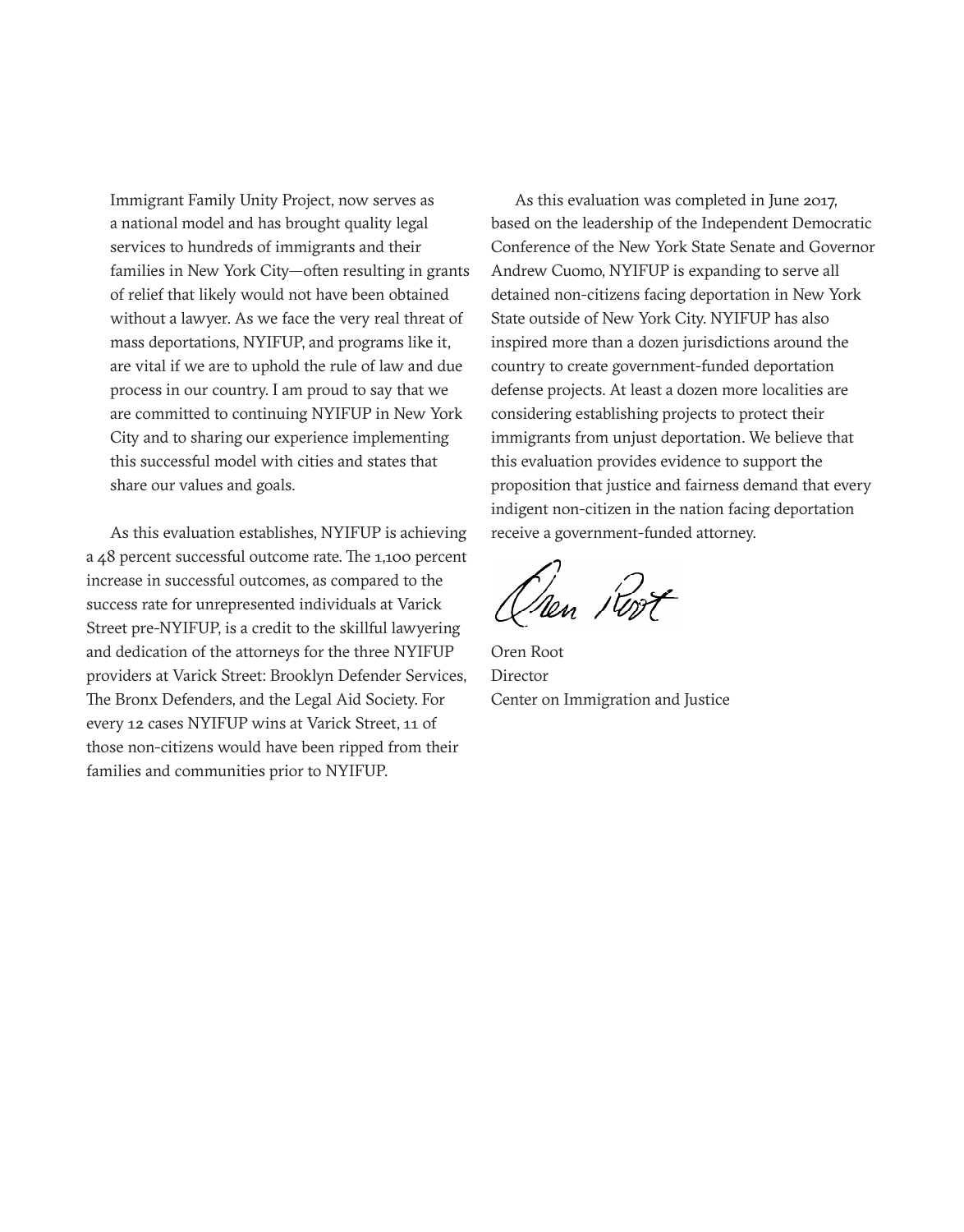Immigrant Family Unity Project, now serves as a national model and has brought quality legal services to hundreds of immigrants and their families in New York City—often resulting in grants of relief that likely would not have been obtained without a lawyer. As we face the very real threat of mass deportations, NYIFUP, and programs like it, are vital if we are to uphold the rule of law and due process in our country. I am proud to say that we are committed to continuing NYIFUP in New York City and to sharing our experience implementing this successful model with cities and states that share our values and goals.

As this evaluation establishes, NYIFUP is achieving a 48 percent successful outcome rate. The 1,100 percent increase in successful outcomes, as compared to the success rate for unrepresented individuals at Varick Street pre-NYIFUP, is a credit to the skillful lawyering and dedication of the attorneys for the three NYIFUP providers at Varick Street: Brooklyn Defender Services, The Bronx Defenders, and the Legal Aid Society. For every 12 cases NYIFUP wins at Varick Street, 11 of those non-citizens would have been ripped from their families and communities prior to NYIFUP.

As this evaluation was completed in June 2017, based on the leadership of the Independent Democratic Conference of the New York State Senate and Governor Andrew Cuomo, NYIFUP is expanding to serve all detained non-citizens facing deportation in New York State outside of New York City. NYIFUP has also inspired more than a dozen jurisdictions around the country to create government-funded deportation defense projects. At least a dozen more localities are considering establishing projects to protect their immigrants from unjust deportation. We believe that this evaluation provides evidence to support the proposition that justice and fairness demand that every indigent non-citizen in the nation facing deportation receive a government-funded attorney.

Chen Rost

Oren Root Director Center on Immigration and Justice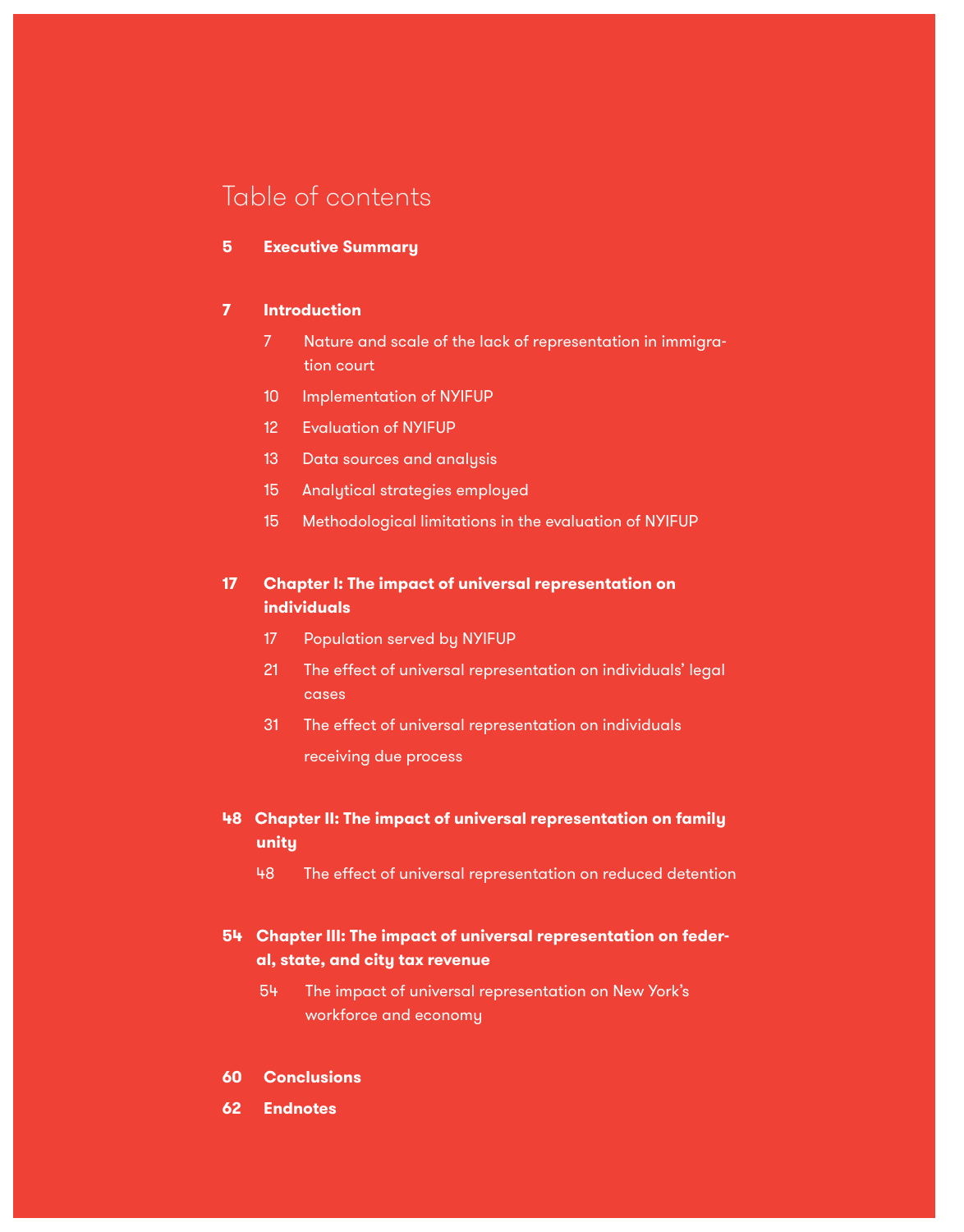### Table of contents

#### **5 Executive Summary**

#### **7 Introduction**

- 7 Nature and scale of the lack of representation in immigration court
- 10 Implementation of NYIFUP
- 12 Evaluation of NYIFUP
- 13 Data sources and analysis
- 15 Analytical strategies employed
- 15 Methodological limitations in the evaluation of NYIFUP

### **17 Chapter I: The impact of universal representation on individuals**

- 17 Population served by NYIFUP
- 21 The effect of universal representation on individuals' legal cases
- 31 The effect of universal representation on individuals receiving due process
- **48 Chapter II: The impact of universal representation on family unity**
	- 48 The effect of universal representation on reduced detention

### **54 Chapter III: The impact of universal representation on federal, state, and city tax revenue**

- 54 The impact of universal representation on New York's workforce and economy
- **60 Conclusions**
- **62 Endnotes**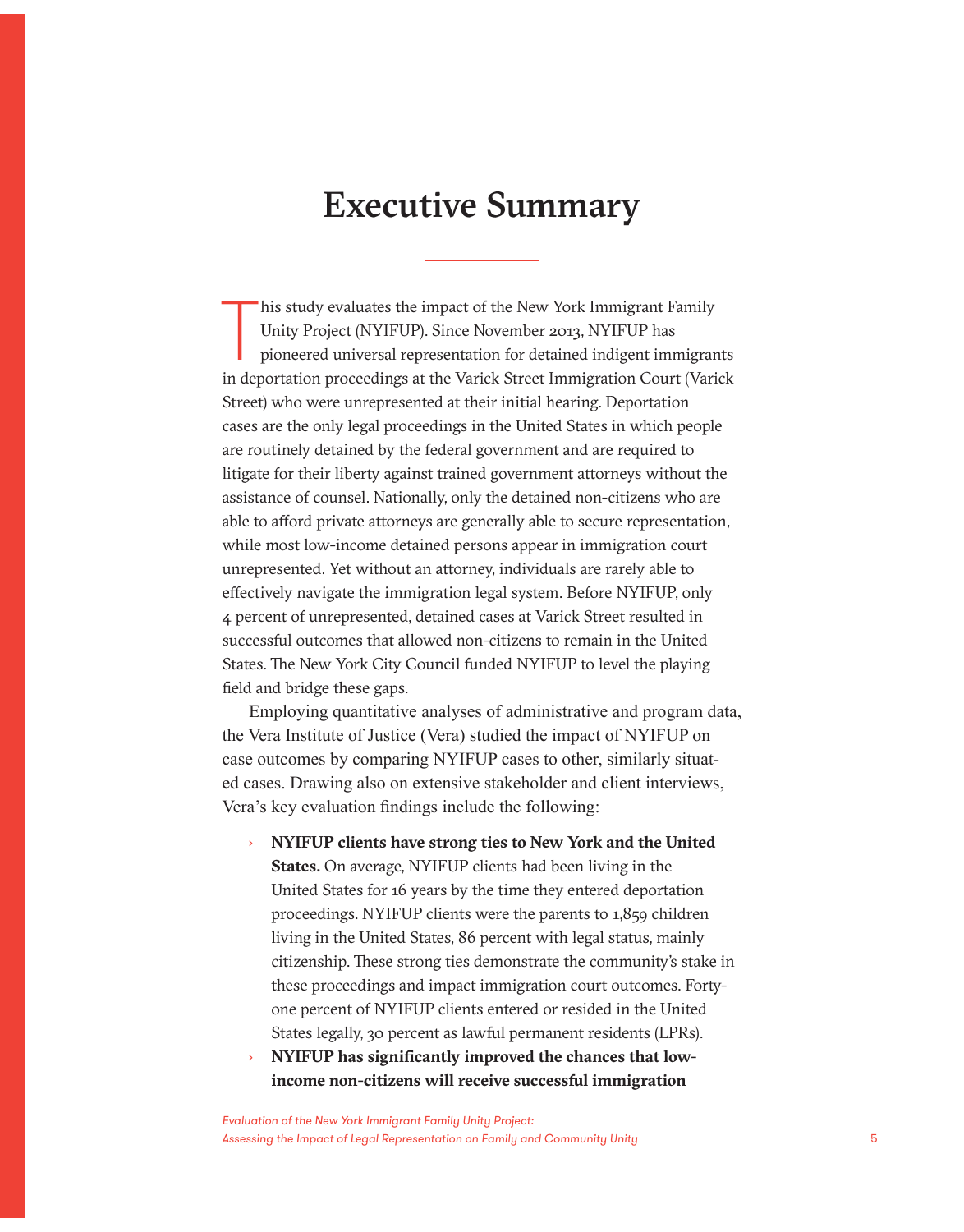### Executive Summary

his study evaluates the impact of the New York Immigrant Family<br>Unity Project (NYIFUP). Since November 2013, NYIFUP has<br>pioneered universal representation for detained indigent immigrants<br>in deportation proceedings at the his study evaluates the impact of the New York Immigrant Family Unity Project (NYIFUP). Since November 2013, NYIFUP has pioneered universal representation for detained indigent immigrants Street) who were unrepresented at their initial hearing. Deportation cases are the only legal proceedings in the United States in which people are routinely detained by the federal government and are required to litigate for their liberty against trained government attorneys without the assistance of counsel. Nationally, only the detained non-citizens who are able to afford private attorneys are generally able to secure representation, while most low-income detained persons appear in immigration court unrepresented. Yet without an attorney, individuals are rarely able to effectively navigate the immigration legal system. Before NYIFUP, only 4 percent of unrepresented, detained cases at Varick Street resulted in successful outcomes that allowed non-citizens to remain in the United States. The New York City Council funded NYIFUP to level the playing field and bridge these gaps.

Employing quantitative analyses of administrative and program data, the Vera Institute of Justice (Vera) studied the impact of NYIFUP on case outcomes by comparing NYIFUP cases to other, similarly situated cases. Drawing also on extensive stakeholder and client interviews, Vera's key evaluation findings include the following:

- › **NYIFUP clients have strong ties to New York and the United States.** On average, NYIFUP clients had been living in the United States for 16 years by the time they entered deportation proceedings. NYIFUP clients were the parents to 1,859 children living in the United States, 86 percent with legal status, mainly citizenship. These strong ties demonstrate the community's stake in these proceedings and impact immigration court outcomes. Fortyone percent of NYIFUP clients entered or resided in the United States legally, 30 percent as lawful permanent residents (LPRs).
- › **NYIFUP has significantly improved the chances that lowincome non-citizens will receive successful immigration**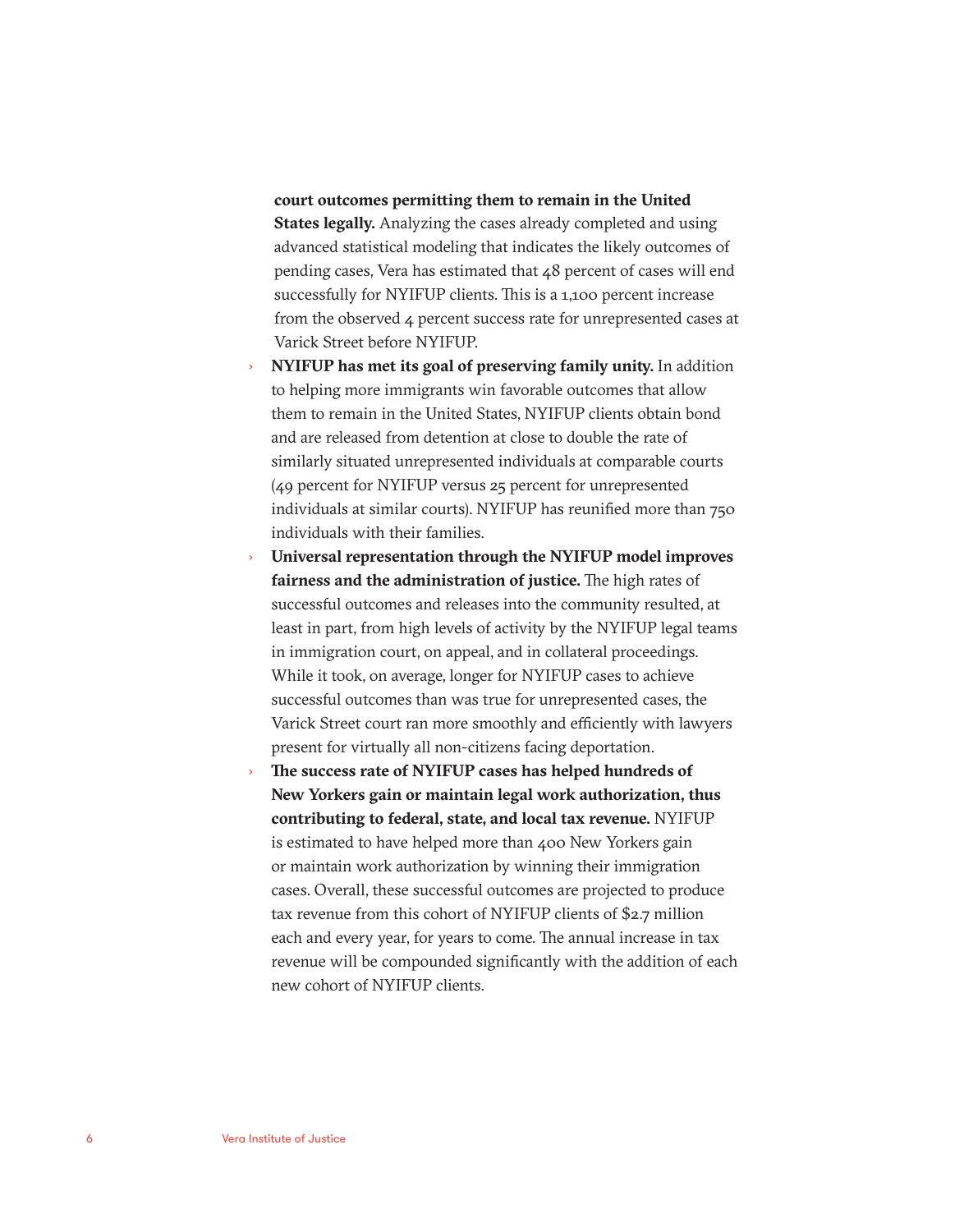#### **court outcomes permitting them to remain in the United**

**States legally.** Analyzing the cases already completed and using advanced statistical modeling that indicates the likely outcomes of pending cases, Vera has estimated that 48 percent of cases will end successfully for NYIFUP clients. This is a 1,100 percent increase from the observed 4 percent success rate for unrepresented cases at Varick Street before NYIFUP.

- › **NYIFUP has met its goal of preserving family unity.** In addition to helping more immigrants win favorable outcomes that allow them to remain in the United States, NYIFUP clients obtain bond and are released from detention at close to double the rate of similarly situated unrepresented individuals at comparable courts (49 percent for NYIFUP versus 25 percent for unrepresented individuals at similar courts). NYIFUP has reunified more than 750 individuals with their families.
- › **Universal representation through the NYIFUP model improves fairness and the administration of justice.** The high rates of successful outcomes and releases into the community resulted, at least in part, from high levels of activity by the NYIFUP legal teams in immigration court, on appeal, and in collateral proceedings. While it took, on average, longer for NYIFUP cases to achieve successful outcomes than was true for unrepresented cases, the Varick Street court ran more smoothly and efficiently with lawyers present for virtually all non-citizens facing deportation.
- The success rate of NYIFUP cases has helped hundreds of **New Yorkers gain or maintain legal work authorization, thus contributing to federal, state, and local tax revenue.** NYIFUP is estimated to have helped more than 400 New Yorkers gain or maintain work authorization by winning their immigration cases. Overall, these successful outcomes are projected to produce tax revenue from this cohort of NYIFUP clients of \$2.7 million each and every year, for years to come. The annual increase in tax revenue will be compounded significantly with the addition of each new cohort of NYIFUP clients.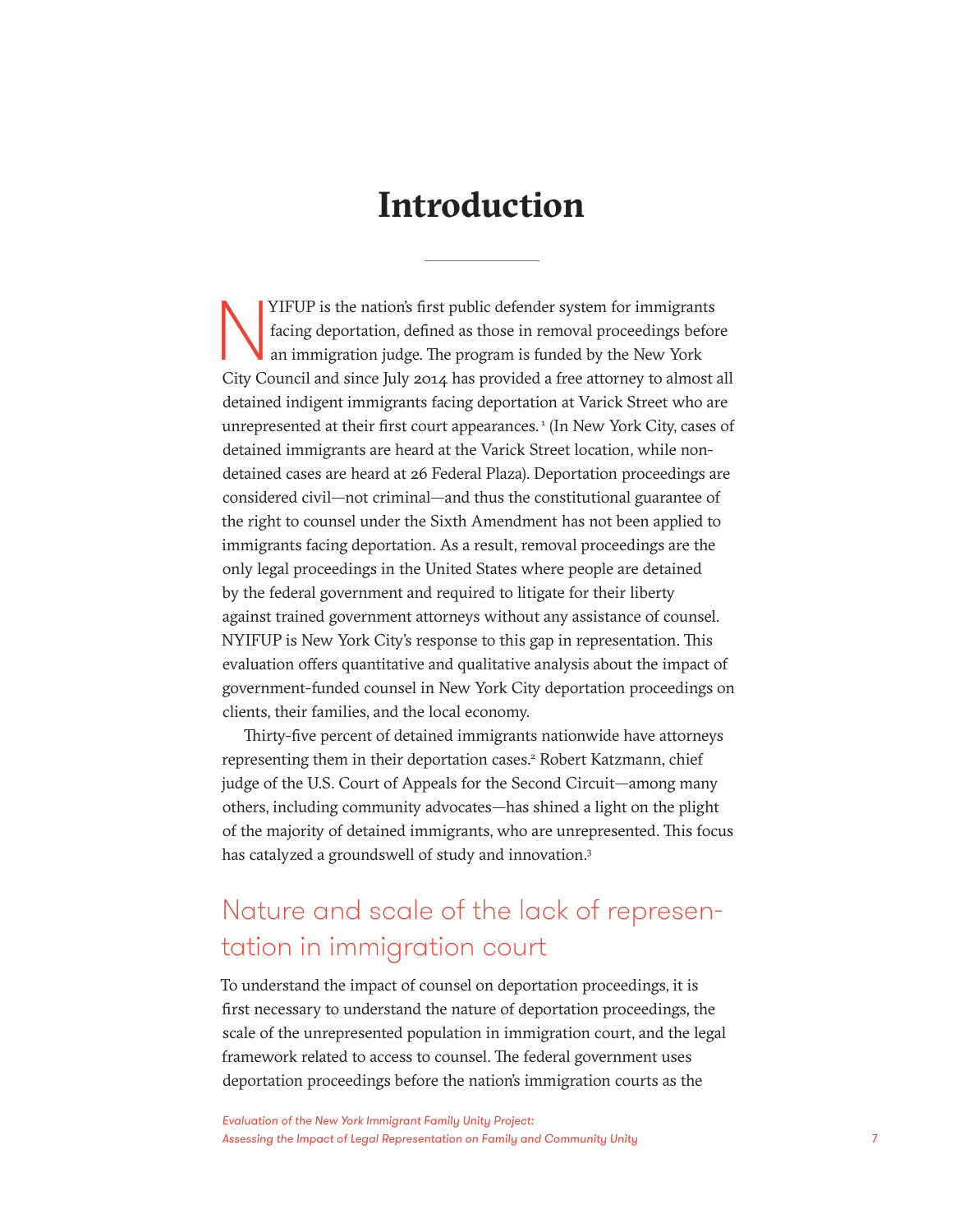### **Introduction**

YIFUP is the nation's first public defender system for immigrants<br>facing deportation, defined as those in removal proceedings befor<br>an immigration judge. The program is funded by the New York<br>City Council and since July 20 facing deportation, defined as those in removal proceedings before an immigration judge. The program is funded by the New York City Council and since July 2014 has provided a free attorney to almost all detained indigent immigrants facing deportation at Varick Street who are unrepresented at their first court appearances.<sup>1</sup> (In New York City, cases of detained immigrants are heard at the Varick Street location, while nondetained cases are heard at 26 Federal Plaza). Deportation proceedings are considered civil—not criminal—and thus the constitutional guarantee of the right to counsel under the Sixth Amendment has not been applied to immigrants facing deportation. As a result, removal proceedings are the only legal proceedings in the United States where people are detained by the federal government and required to litigate for their liberty against trained government attorneys without any assistance of counsel. NYIFUP is New York City's response to this gap in representation. This evaluation offers quantitative and qualitative analysis about the impact of government-funded counsel in New York City deportation proceedings on clients, their families, and the local economy.

Thirty-five percent of detained immigrants nationwide have attorneys representing them in their deportation cases.<sup>2</sup> Robert Katzmann, chief judge of the U.S. Court of Appeals for the Second Circuit—among many others, including community advocates—has shined a light on the plight of the majority of detained immigrants, who are unrepresented. This focus has catalyzed a groundswell of study and innovation.<sup>3</sup>

### Nature and scale of the lack of representation in immigration court

To understand the impact of counsel on deportation proceedings, it is first necessary to understand the nature of deportation proceedings, the scale of the unrepresented population in immigration court, and the legal framework related to access to counsel. The federal government uses deportation proceedings before the nation's immigration courts as the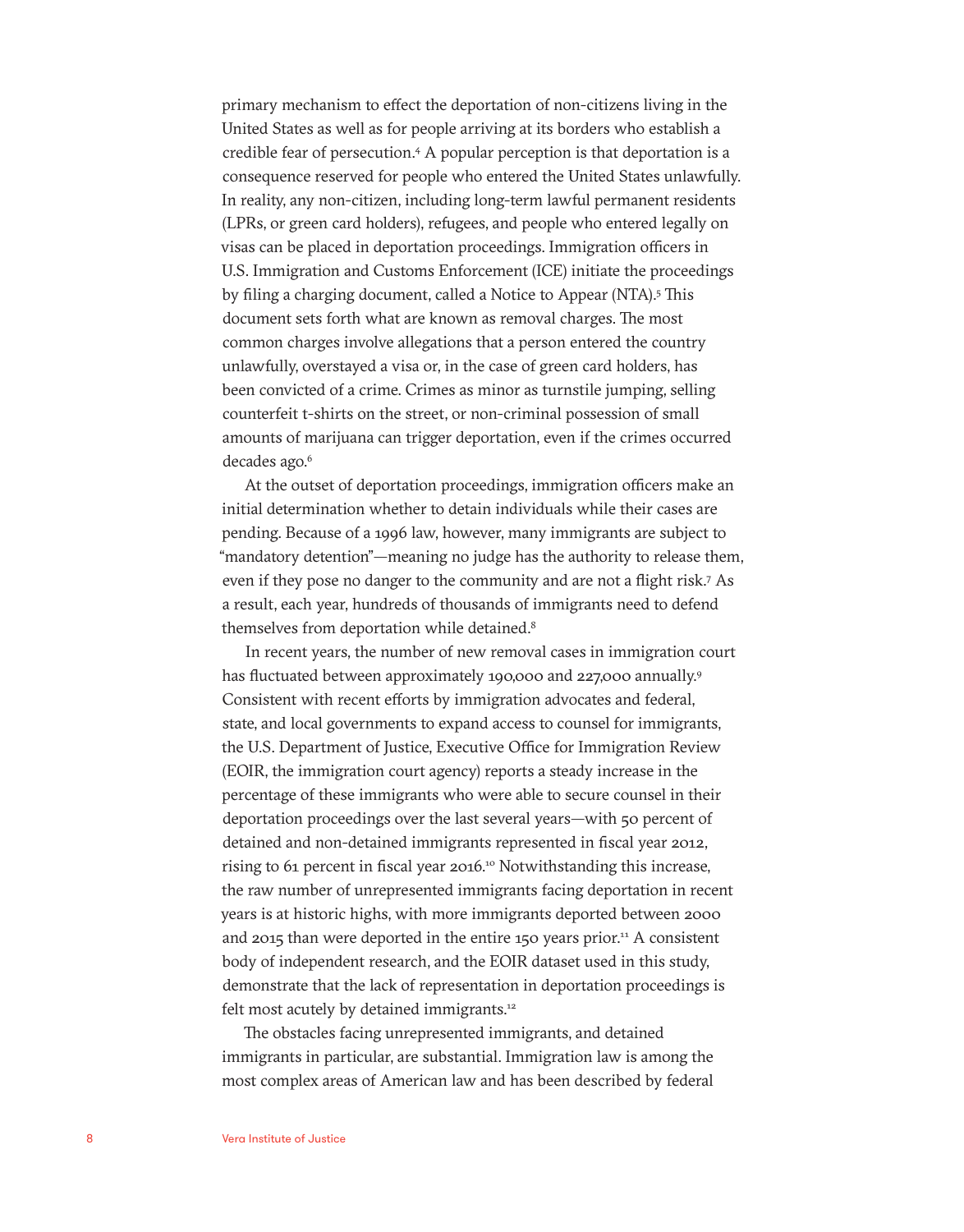primary mechanism to effect the deportation of non-citizens living in the United States as well as for people arriving at its borders who establish a credible fear of persecution.4 A popular perception is that deportation is a consequence reserved for people who entered the United States unlawfully. In reality, any non-citizen, including long-term lawful permanent residents (LPRs, or green card holders), refugees, and people who entered legally on visas can be placed in deportation proceedings. Immigration officers in U.S. Immigration and Customs Enforcement (ICE) initiate the proceedings by filing a charging document, called a Notice to Appear (NTA).<sup>5</sup> This document sets forth what are known as removal charges. The most common charges involve allegations that a person entered the country unlawfully, overstayed a visa or, in the case of green card holders, has been convicted of a crime. Crimes as minor as turnstile jumping, selling counterfeit t-shirts on the street, or non-criminal possession of small amounts of marijuana can trigger deportation, even if the crimes occurred decades ago.<sup>6</sup>

At the outset of deportation proceedings, immigration officers make an initial determination whether to detain individuals while their cases are pending. Because of a 1996 law, however, many immigrants are subject to "mandatory detention"—meaning no judge has the authority to release them, even if they pose no danger to the community and are not a flight risk.7 As a result, each year, hundreds of thousands of immigrants need to defend themselves from deportation while detained.<sup>8</sup>

In recent years, the number of new removal cases in immigration court has fluctuated between approximately 190,000 and 227,000 annually.<sup>9</sup> Consistent with recent efforts by immigration advocates and federal, state, and local governments to expand access to counsel for immigrants, the U.S. Department of Justice, Executive Office for Immigration Review (EOIR, the immigration court agency) reports a steady increase in the percentage of these immigrants who were able to secure counsel in their deportation proceedings over the last several years—with 50 percent of detained and non-detained immigrants represented in fiscal year 2012, rising to 61 percent in fiscal year 2016.<sup>10</sup> Notwithstanding this increase, the raw number of unrepresented immigrants facing deportation in recent years is at historic highs, with more immigrants deported between 2000 and 2015 than were deported in the entire 150 years prior.<sup>11</sup> A consistent body of independent research, and the EOIR dataset used in this study, demonstrate that the lack of representation in deportation proceedings is felt most acutely by detained immigrants.<sup>12</sup>

The obstacles facing unrepresented immigrants, and detained immigrants in particular, are substantial. Immigration law is among the most complex areas of American law and has been described by federal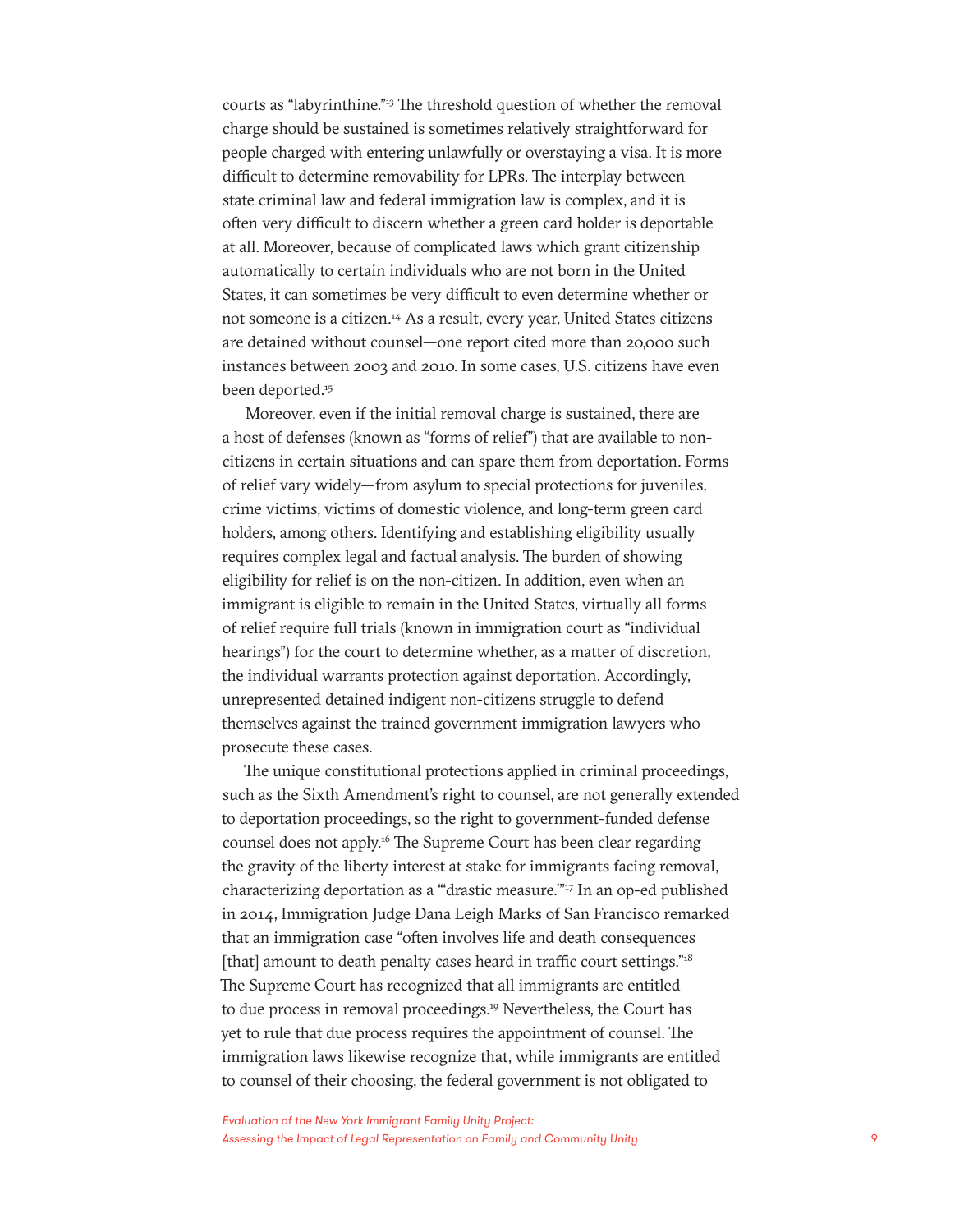courts as "labyrinthine."13 The threshold question of whether the removal charge should be sustained is sometimes relatively straightforward for people charged with entering unlawfully or overstaying a visa. It is more difficult to determine removability for LPRs. The interplay between state criminal law and federal immigration law is complex, and it is often very difficult to discern whether a green card holder is deportable at all. Moreover, because of complicated laws which grant citizenship automatically to certain individuals who are not born in the United States, it can sometimes be very difficult to even determine whether or not someone is a citizen.14 As a result, every year, United States citizens are detained without counsel—one report cited more than 20,000 such instances between 2003 and 2010. In some cases, U.S. citizens have even been deported.<sup>15</sup>

Moreover, even if the initial removal charge is sustained, there are a host of defenses (known as "forms of relief") that are available to noncitizens in certain situations and can spare them from deportation. Forms of relief vary widely—from asylum to special protections for juveniles, crime victims, victims of domestic violence, and long-term green card holders, among others. Identifying and establishing eligibility usually requires complex legal and factual analysis. The burden of showing eligibility for relief is on the non-citizen. In addition, even when an immigrant is eligible to remain in the United States, virtually all forms of relief require full trials (known in immigration court as "individual hearings") for the court to determine whether, as a matter of discretion, the individual warrants protection against deportation. Accordingly, unrepresented detained indigent non-citizens struggle to defend themselves against the trained government immigration lawyers who prosecute these cases.

The unique constitutional protections applied in criminal proceedings, such as the Sixth Amendment's right to counsel, are not generally extended to deportation proceedings, so the right to government-funded defense counsel does not apply.<sup>16</sup> The Supreme Court has been clear regarding the gravity of the liberty interest at stake for immigrants facing removal, characterizing deportation as a "'drastic measure."<sup>17</sup> In an op-ed published in 2014, Immigration Judge Dana Leigh Marks of San Francisco remarked that an immigration case "often involves life and death consequences [that] amount to death penalty cases heard in traffic court settings."<sup>18</sup> The Supreme Court has recognized that all immigrants are entitled to due process in removal proceedings.<sup>19</sup> Nevertheless, the Court has yet to rule that due process requires the appointment of counsel. The immigration laws likewise recognize that, while immigrants are entitled to counsel of their choosing, the federal government is not obligated to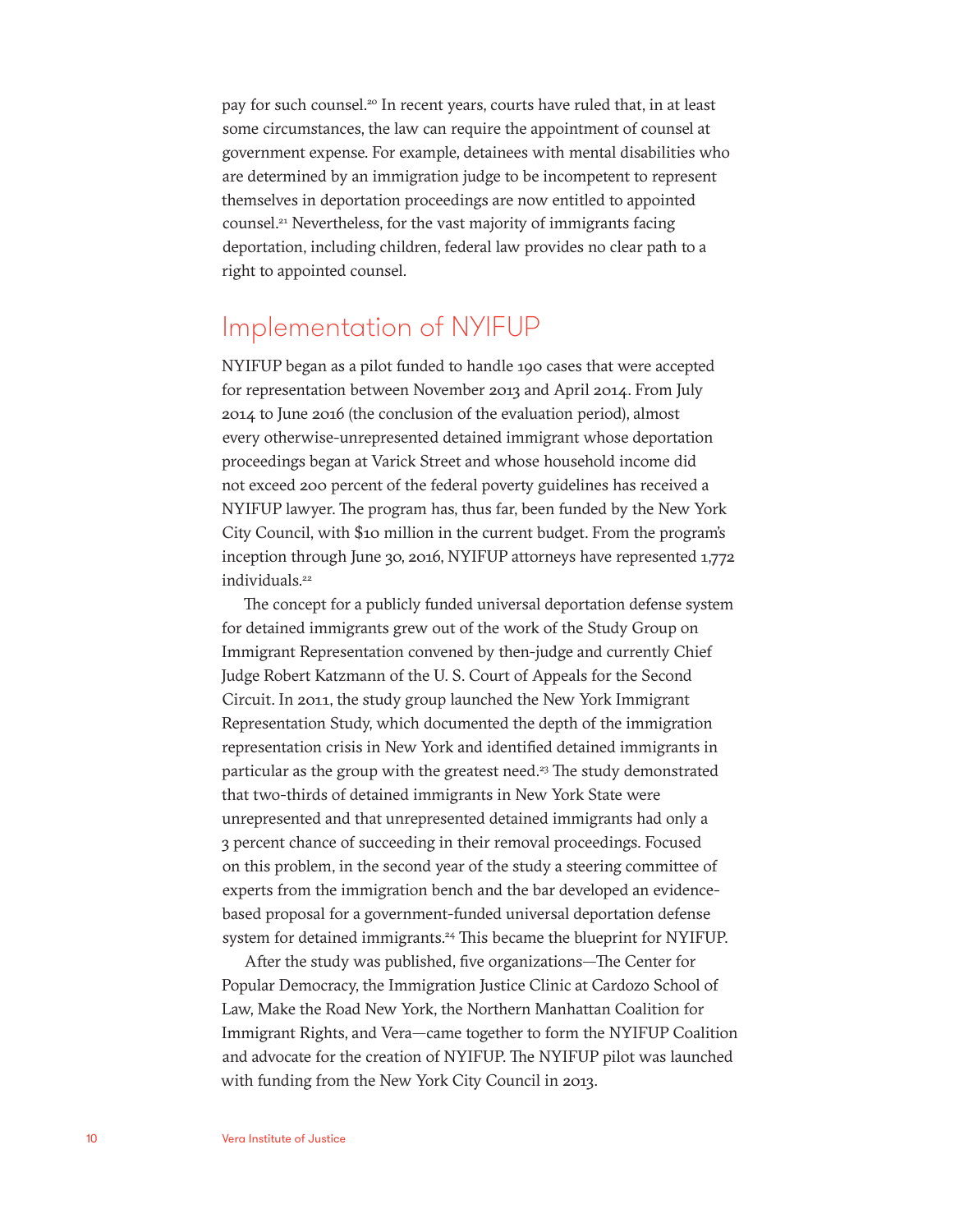pay for such counsel.<sup>20</sup> In recent years, courts have ruled that, in at least some circumstances, the law can require the appointment of counsel at government expense. For example, detainees with mental disabilities who are determined by an immigration judge to be incompetent to represent themselves in deportation proceedings are now entitled to appointed counsel.21 Nevertheless, for the vast majority of immigrants facing deportation, including children, federal law provides no clear path to a right to appointed counsel.

### Implementation of NYIFUP

NYIFUP began as a pilot funded to handle 190 cases that were accepted for representation between November 2013 and April 2014. From July 2014 to June 2016 (the conclusion of the evaluation period), almost every otherwise-unrepresented detained immigrant whose deportation proceedings began at Varick Street and whose household income did not exceed 200 percent of the federal poverty guidelines has received a NYIFUP lawyer. The program has, thus far, been funded by the New York City Council, with \$10 million in the current budget. From the program's inception through June 30, 2016, NYIFUP attorneys have represented 1,772 individuals.<sup>22</sup>

The concept for a publicly funded universal deportation defense system for detained immigrants grew out of the work of the Study Group on Immigrant Representation convened by then-judge and currently Chief Judge Robert Katzmann of the U. S. Court of Appeals for the Second Circuit. In 2011, the study group launched the New York Immigrant Representation Study, which documented the depth of the immigration representation crisis in New York and identified detained immigrants in particular as the group with the greatest need.<sup>23</sup> The study demonstrated that two-thirds of detained immigrants in New York State were unrepresented and that unrepresented detained immigrants had only a 3 percent chance of succeeding in their removal proceedings. Focused on this problem, in the second year of the study a steering committee of experts from the immigration bench and the bar developed an evidencebased proposal for a government-funded universal deportation defense system for detained immigrants.<sup>24</sup> This became the blueprint for NYIFUP.

After the study was published, five organizations—The Center for Popular Democracy, the Immigration Justice Clinic at Cardozo School of Law, Make the Road New York, the Northern Manhattan Coalition for Immigrant Rights, and Vera—came together to form the NYIFUP Coalition and advocate for the creation of NYIFUP. The NYIFUP pilot was launched with funding from the New York City Council in 2013.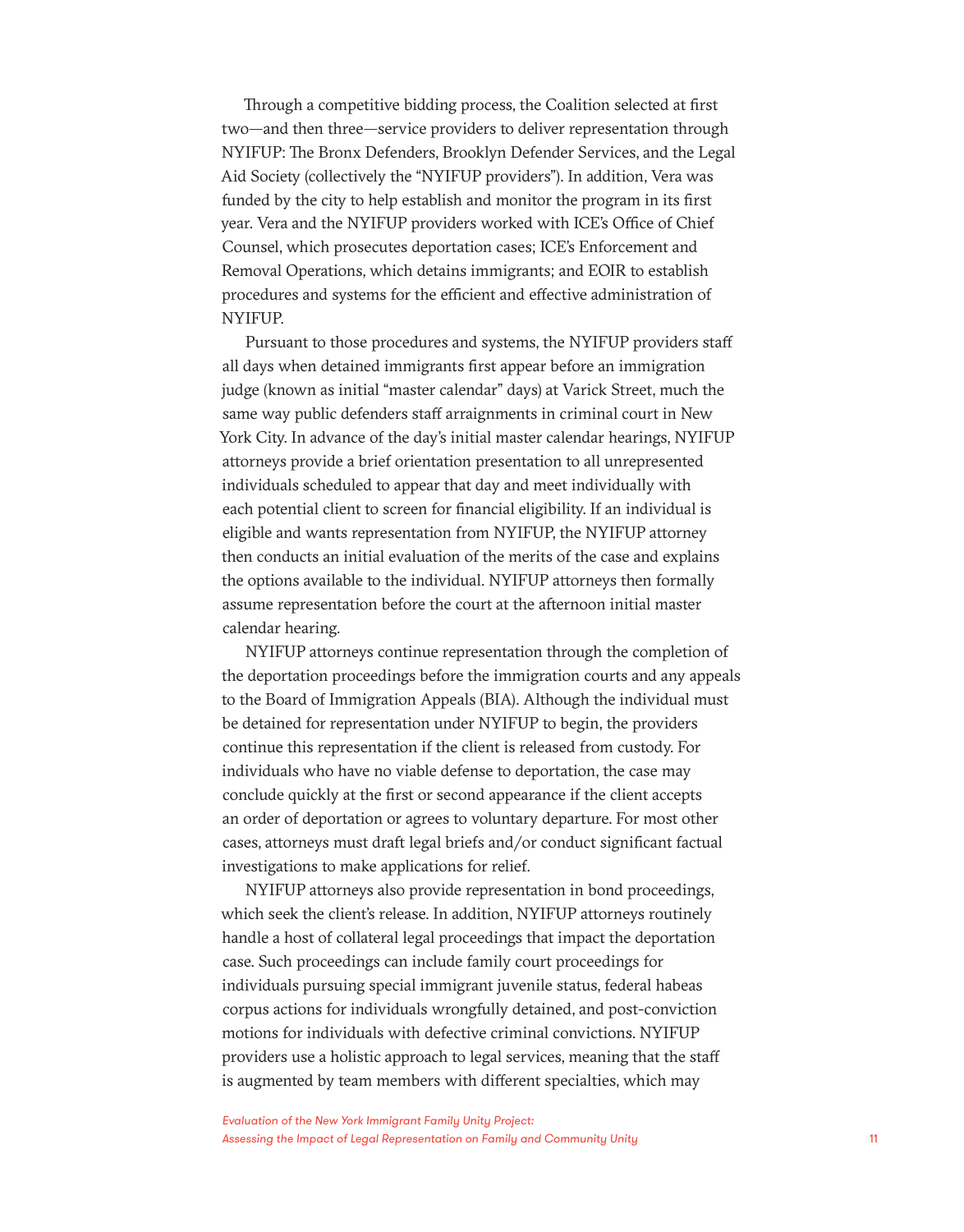Through a competitive bidding process, the Coalition selected at first two—and then three—service providers to deliver representation through NYIFUP: The Bronx Defenders, Brooklyn Defender Services, and the Legal Aid Society (collectively the "NYIFUP providers"). In addition, Vera was funded by the city to help establish and monitor the program in its first year. Vera and the NYIFUP providers worked with ICE's Office of Chief Counsel, which prosecutes deportation cases; ICE's Enforcement and Removal Operations, which detains immigrants; and EOIR to establish procedures and systems for the efficient and effective administration of NYIFUP.

Pursuant to those procedures and systems, the NYIFUP providers staff all days when detained immigrants first appear before an immigration judge (known as initial "master calendar" days) at Varick Street, much the same way public defenders staff arraignments in criminal court in New York City. In advance of the day's initial master calendar hearings, NYIFUP attorneys provide a brief orientation presentation to all unrepresented individuals scheduled to appear that day and meet individually with each potential client to screen for financial eligibility. If an individual is eligible and wants representation from NYIFUP, the NYIFUP attorney then conducts an initial evaluation of the merits of the case and explains the options available to the individual. NYIFUP attorneys then formally assume representation before the court at the afternoon initial master calendar hearing.

NYIFUP attorneys continue representation through the completion of the deportation proceedings before the immigration courts and any appeals to the Board of Immigration Appeals (BIA). Although the individual must be detained for representation under NYIFUP to begin, the providers continue this representation if the client is released from custody. For individuals who have no viable defense to deportation, the case may conclude quickly at the first or second appearance if the client accepts an order of deportation or agrees to voluntary departure. For most other cases, attorneys must draft legal briefs and/or conduct significant factual investigations to make applications for relief.

NYIFUP attorneys also provide representation in bond proceedings, which seek the client's release. In addition, NYIFUP attorneys routinely handle a host of collateral legal proceedings that impact the deportation case. Such proceedings can include family court proceedings for individuals pursuing special immigrant juvenile status, federal habeas corpus actions for individuals wrongfully detained, and post-conviction motions for individuals with defective criminal convictions. NYIFUP providers use a holistic approach to legal services, meaning that the staff is augmented by team members with different specialties, which may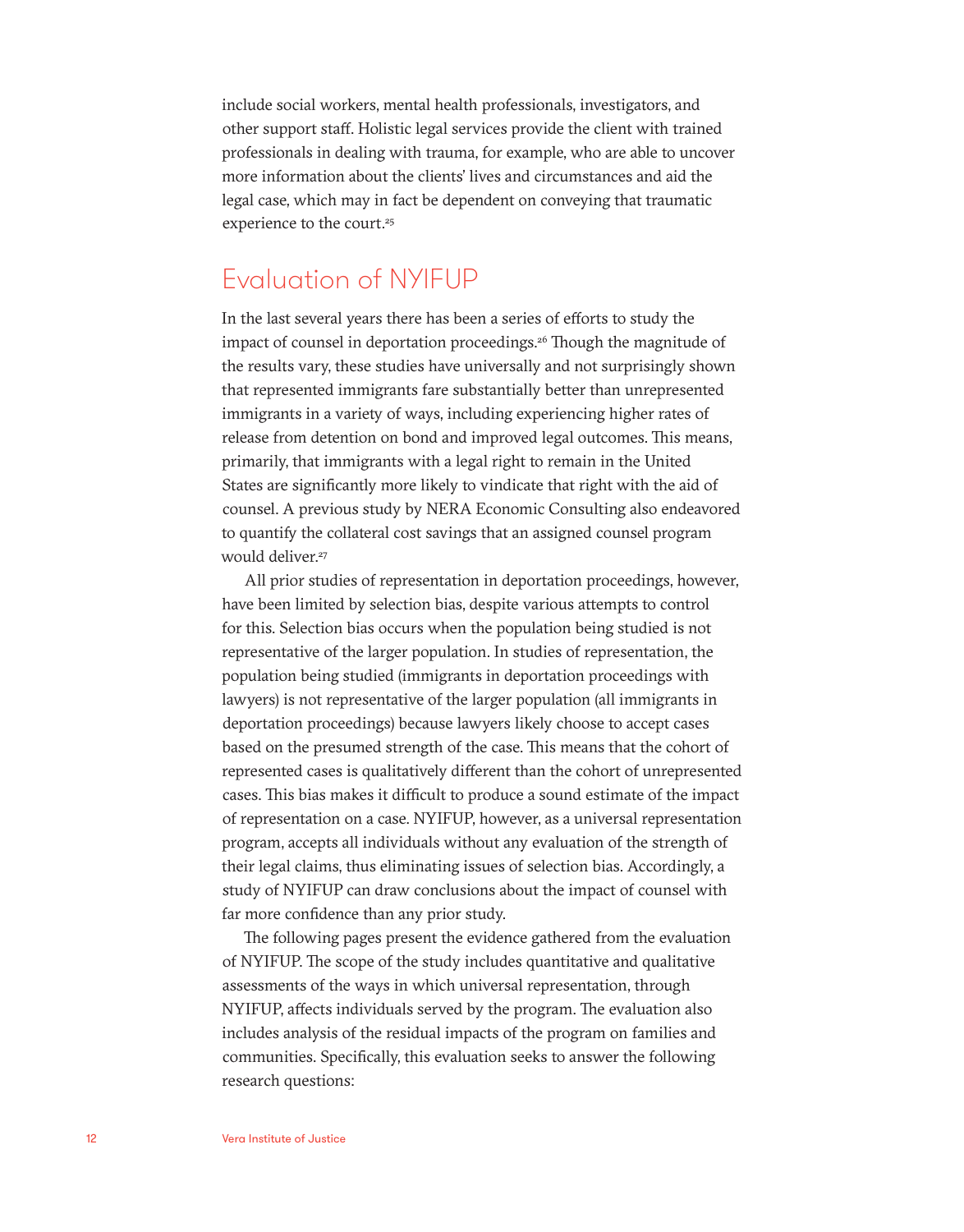include social workers, mental health professionals, investigators, and other support staff. Holistic legal services provide the client with trained professionals in dealing with trauma, for example, who are able to uncover more information about the clients' lives and circumstances and aid the legal case, which may in fact be dependent on conveying that traumatic experience to the court.<sup>25</sup>

### Evaluation of NYIFUP

In the last several years there has been a series of efforts to study the impact of counsel in deportation proceedings.<sup>26</sup> Though the magnitude of the results vary, these studies have universally and not surprisingly shown that represented immigrants fare substantially better than unrepresented immigrants in a variety of ways, including experiencing higher rates of release from detention on bond and improved legal outcomes. This means, primarily, that immigrants with a legal right to remain in the United States are significantly more likely to vindicate that right with the aid of counsel. A previous study by NERA Economic Consulting also endeavored to quantify the collateral cost savings that an assigned counsel program would deliver.<sup>27</sup>

All prior studies of representation in deportation proceedings, however, have been limited by selection bias, despite various attempts to control for this. Selection bias occurs when the population being studied is not representative of the larger population. In studies of representation, the population being studied (immigrants in deportation proceedings with lawyers) is not representative of the larger population (all immigrants in deportation proceedings) because lawyers likely choose to accept cases based on the presumed strength of the case. This means that the cohort of represented cases is qualitatively different than the cohort of unrepresented cases. This bias makes it difficult to produce a sound estimate of the impact of representation on a case. NYIFUP, however, as a universal representation program, accepts all individuals without any evaluation of the strength of their legal claims, thus eliminating issues of selection bias. Accordingly, a study of NYIFUP can draw conclusions about the impact of counsel with far more confidence than any prior study.

The following pages present the evidence gathered from the evaluation of NYIFUP. The scope of the study includes quantitative and qualitative assessments of the ways in which universal representation, through NYIFUP, affects individuals served by the program. The evaluation also includes analysis of the residual impacts of the program on families and communities. Specifically, this evaluation seeks to answer the following research questions: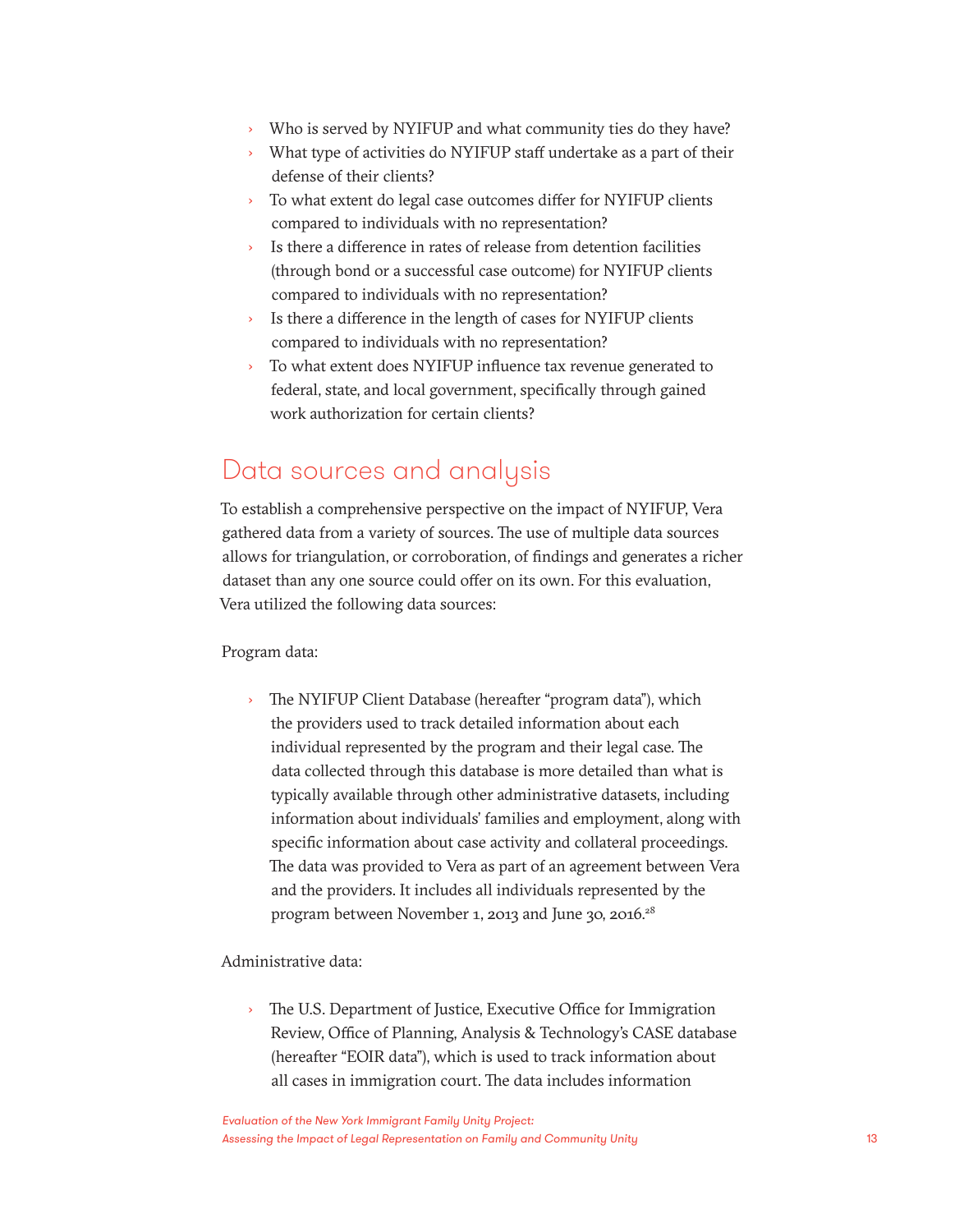- › Who is served by NYIFUP and what community ties do they have?
- › What type of activities do NYIFUP staff undertake as a part of their defense of their clients?
- › To what extent do legal case outcomes differ for NYIFUP clients compared to individuals with no representation?
- › Is there a difference in rates of release from detention facilities (through bond or a successful case outcome) for NYIFUP clients compared to individuals with no representation?
- › Is there a difference in the length of cases for NYIFUP clients compared to individuals with no representation?
- › To what extent does NYIFUP influence tax revenue generated to federal, state, and local government, specifically through gained work authorization for certain clients?

### Data sources and analysis

To establish a comprehensive perspective on the impact of NYIFUP, Vera gathered data from a variety of sources. The use of multiple data sources allows for triangulation, or corroboration, of findings and generates a richer dataset than any one source could offer on its own. For this evaluation, Vera utilized the following data sources:

#### Program data:

› The NYIFUP Client Database (hereafter "program data"), which the providers used to track detailed information about each individual represented by the program and their legal case. The data collected through this database is more detailed than what is typically available through other administrative datasets, including information about individuals' families and employment, along with specific information about case activity and collateral proceedings. The data was provided to Vera as part of an agreement between Vera and the providers. It includes all individuals represented by the program between November 1, 2013 and June 30, 2016.28

#### Administrative data:

› The U.S. Department of Justice, Executive Office for Immigration Review, Office of Planning, Analysis & Technology's CASE database (hereafter "EOIR data"), which is used to track information about all cases in immigration court. The data includes information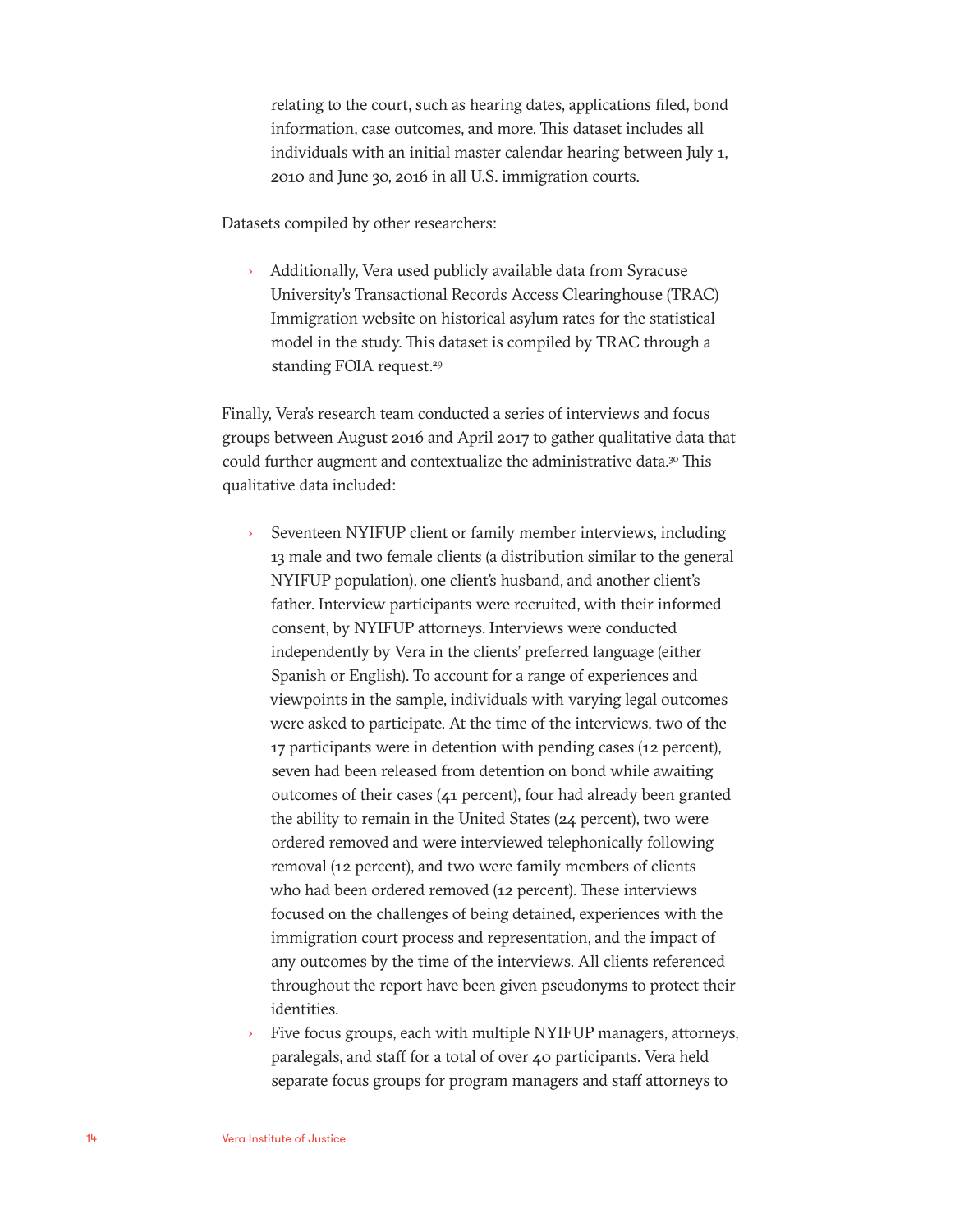relating to the court, such as hearing dates, applications filed, bond information, case outcomes, and more. This dataset includes all individuals with an initial master calendar hearing between July 1, 2010 and June 30, 2016 in all U.S. immigration courts.

Datasets compiled by other researchers:

› Additionally, Vera used publicly available data from Syracuse University's Transactional Records Access Clearinghouse (TRAC) Immigration website on historical asylum rates for the statistical model in the study. This dataset is compiled by TRAC through a standing FOIA request.<sup>29</sup>

Finally, Vera's research team conducted a series of interviews and focus groups between August 2016 and April 2017 to gather qualitative data that could further augment and contextualize the administrative data.<sup>30</sup> This qualitative data included:

- › Seventeen NYIFUP client or family member interviews, including 13 male and two female clients (a distribution similar to the general NYIFUP population), one client's husband, and another client's father. Interview participants were recruited, with their informed consent, by NYIFUP attorneys. Interviews were conducted independently by Vera in the clients' preferred language (either Spanish or English). To account for a range of experiences and viewpoints in the sample, individuals with varying legal outcomes were asked to participate. At the time of the interviews, two of the 17 participants were in detention with pending cases (12 percent), seven had been released from detention on bond while awaiting outcomes of their cases (41 percent), four had already been granted the ability to remain in the United States (24 percent), two were ordered removed and were interviewed telephonically following removal (12 percent), and two were family members of clients who had been ordered removed (12 percent). These interviews focused on the challenges of being detained, experiences with the immigration court process and representation, and the impact of any outcomes by the time of the interviews. All clients referenced throughout the report have been given pseudonyms to protect their identities.
- Five focus groups, each with multiple NYIFUP managers, attorneys, paralegals, and staff for a total of over 40 participants. Vera held separate focus groups for program managers and staff attorneys to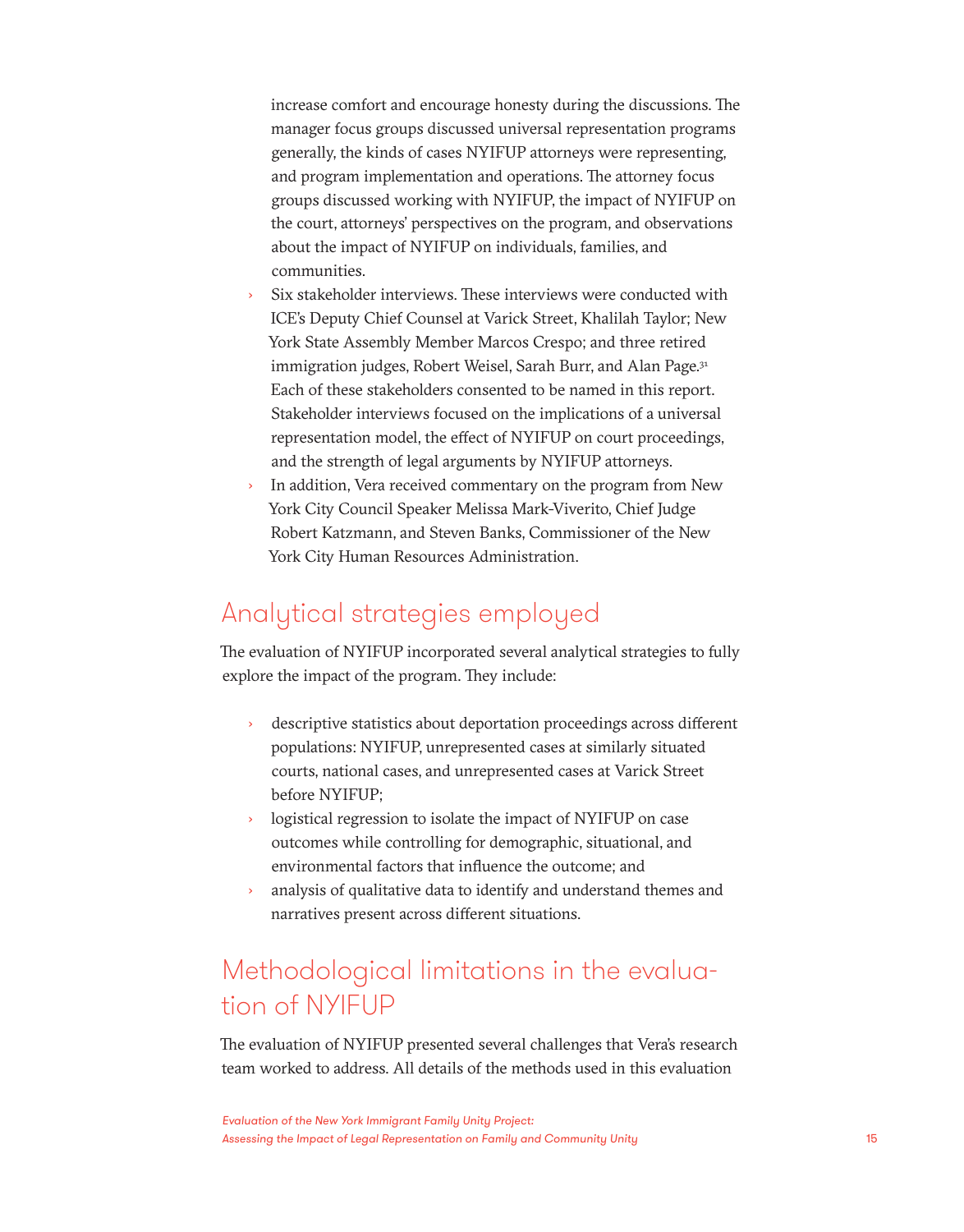increase comfort and encourage honesty during the discussions. The manager focus groups discussed universal representation programs generally, the kinds of cases NYIFUP attorneys were representing, and program implementation and operations. The attorney focus groups discussed working with NYIFUP, the impact of NYIFUP on the court, attorneys' perspectives on the program, and observations about the impact of NYIFUP on individuals, families, and communities.

- Six stakeholder interviews. These interviews were conducted with ICE's Deputy Chief Counsel at Varick Street, Khalilah Taylor; New York State Assembly Member Marcos Crespo; and three retired immigration judges, Robert Weisel, Sarah Burr, and Alan Page.<sup>31</sup> Each of these stakeholders consented to be named in this report. Stakeholder interviews focused on the implications of a universal representation model, the effect of NYIFUP on court proceedings, and the strength of legal arguments by NYIFUP attorneys.
- In addition, Vera received commentary on the program from New York City Council Speaker Melissa Mark-Viverito, Chief Judge Robert Katzmann, and Steven Banks, Commissioner of the New York City Human Resources Administration.

### Analytical strategies employed

The evaluation of NYIFUP incorporated several analytical strategies to fully explore the impact of the program. They include:

- › descriptive statistics about deportation proceedings across different populations: NYIFUP, unrepresented cases at similarly situated courts, national cases, and unrepresented cases at Varick Street before NYIFUP;
- logistical regression to isolate the impact of NYIFUP on case outcomes while controlling for demographic, situational, and environmental factors that influence the outcome; and
- analysis of qualitative data to identify and understand themes and narratives present across different situations.

### Methodological limitations in the evaluation of NYIFUP

The evaluation of NYIFUP presented several challenges that Vera's research team worked to address. All details of the methods used in this evaluation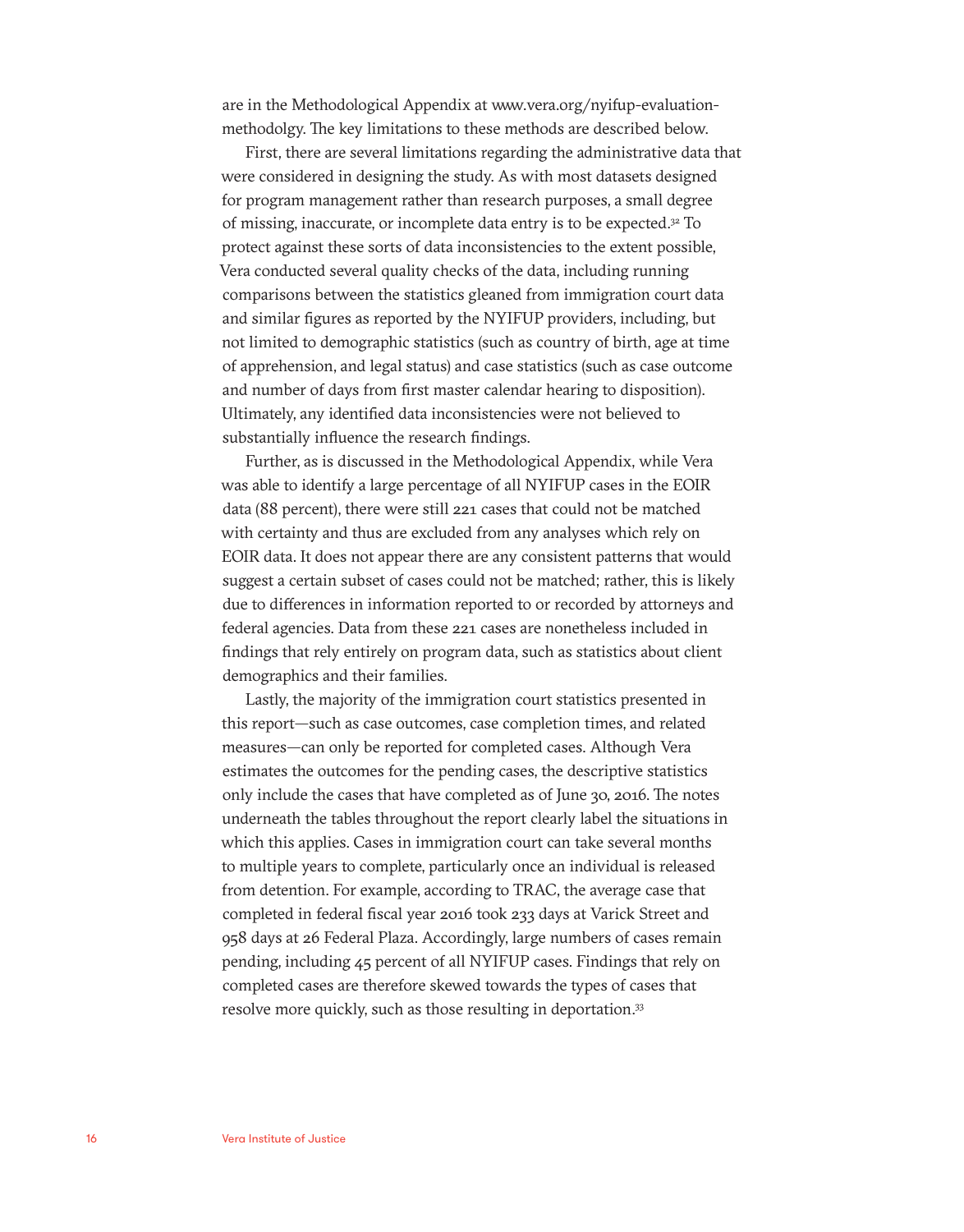are in the Methodological Appendix at www.vera.org/nyifup-evaluationmethodolgy. The key limitations to these methods are described below.

First, there are several limitations regarding the administrative data that were considered in designing the study. As with most datasets designed for program management rather than research purposes, a small degree of missing, inaccurate, or incomplete data entry is to be expected.32 To protect against these sorts of data inconsistencies to the extent possible, Vera conducted several quality checks of the data, including running comparisons between the statistics gleaned from immigration court data and similar figures as reported by the NYIFUP providers, including, but not limited to demographic statistics (such as country of birth, age at time of apprehension, and legal status) and case statistics (such as case outcome and number of days from first master calendar hearing to disposition). Ultimately, any identified data inconsistencies were not believed to substantially influence the research findings.

Further, as is discussed in the Methodological Appendix, while Vera was able to identify a large percentage of all NYIFUP cases in the EOIR data (88 percent), there were still 221 cases that could not be matched with certainty and thus are excluded from any analyses which rely on EOIR data. It does not appear there are any consistent patterns that would suggest a certain subset of cases could not be matched; rather, this is likely due to differences in information reported to or recorded by attorneys and federal agencies. Data from these 221 cases are nonetheless included in findings that rely entirely on program data, such as statistics about client demographics and their families.

Lastly, the majority of the immigration court statistics presented in this report—such as case outcomes, case completion times, and related measures—can only be reported for completed cases. Although Vera estimates the outcomes for the pending cases, the descriptive statistics only include the cases that have completed as of June 30, 2016. The notes underneath the tables throughout the report clearly label the situations in which this applies. Cases in immigration court can take several months to multiple years to complete, particularly once an individual is released from detention. For example, according to TRAC, the average case that completed in federal fiscal year 2016 took 233 days at Varick Street and 958 days at 26 Federal Plaza. Accordingly, large numbers of cases remain pending, including 45 percent of all NYIFUP cases. Findings that rely on completed cases are therefore skewed towards the types of cases that resolve more quickly, such as those resulting in deportation.<sup>33</sup>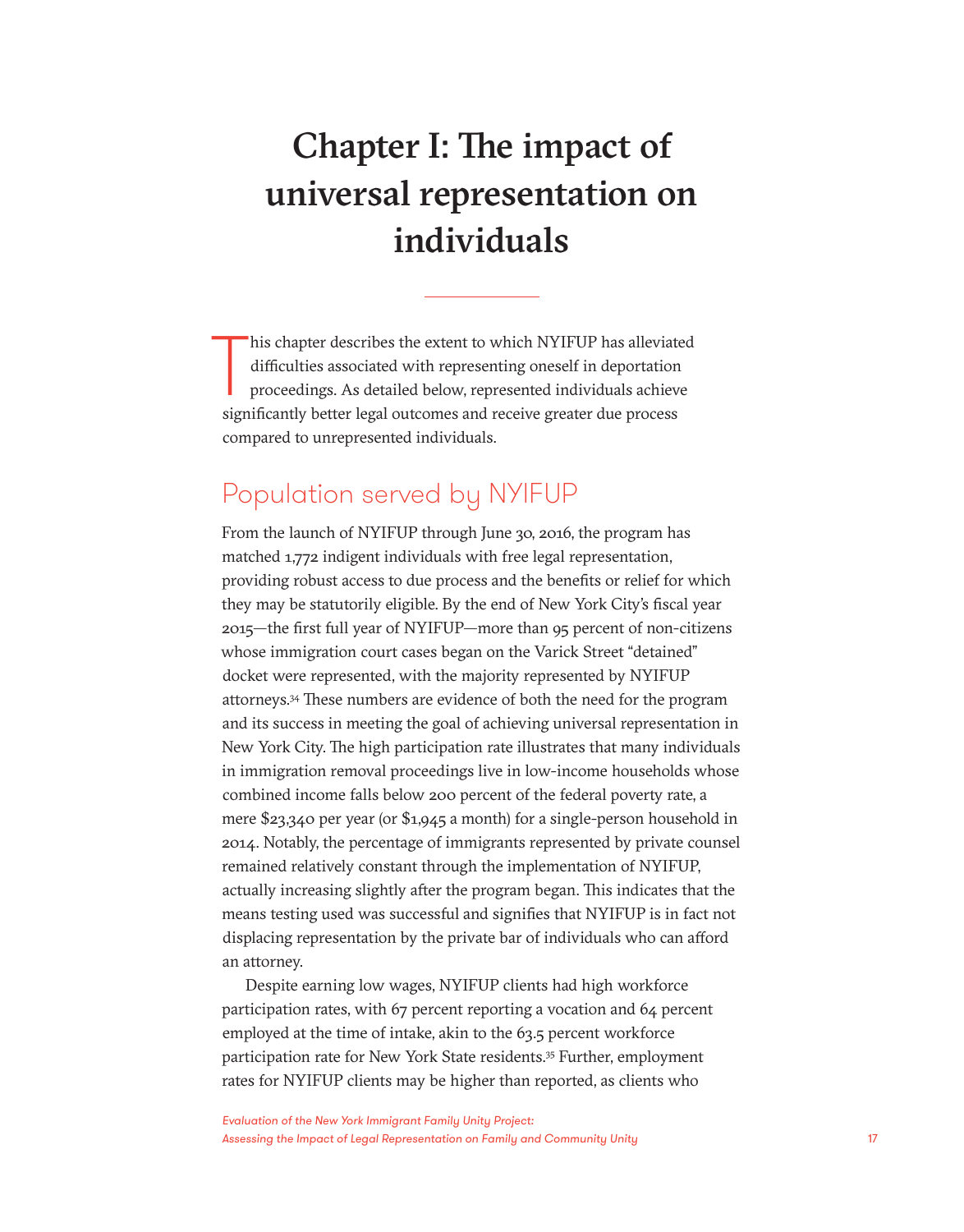# Chapter I: The impact of universal representation on individuals

 $\prod_{\text{sim}}$ his chapter describes the extent to which NYIFUP has alleviated difficulties associated with representing oneself in deportation proceedings. As detailed below, represented individuals achieve significantly better legal outcomes and receive greater due process compared to unrepresented individuals.

### Population served by NYIFUP

From the launch of NYIFUP through June 30, 2016, the program has matched 1,772 indigent individuals with free legal representation, providing robust access to due process and the benefits or relief for which they may be statutorily eligible. By the end of New York City's fiscal year 2015—the first full year of NYIFUP—more than 95 percent of non-citizens whose immigration court cases began on the Varick Street "detained" docket were represented, with the majority represented by NYIFUP attorneys.34 These numbers are evidence of both the need for the program and its success in meeting the goal of achieving universal representation in New York City. The high participation rate illustrates that many individuals in immigration removal proceedings live in low-income households whose combined income falls below 200 percent of the federal poverty rate, a mere \$23,340 per year (or \$1,945 a month) for a single-person household in 2014. Notably, the percentage of immigrants represented by private counsel remained relatively constant through the implementation of NYIFUP, actually increasing slightly after the program began. This indicates that the means testing used was successful and signifies that NYIFUP is in fact not displacing representation by the private bar of individuals who can afford an attorney.

Despite earning low wages, NYIFUP clients had high workforce participation rates, with 67 percent reporting a vocation and 64 percent employed at the time of intake, akin to the 63.5 percent workforce participation rate for New York State residents.<sup>35</sup> Further, employment rates for NYIFUP clients may be higher than reported, as clients who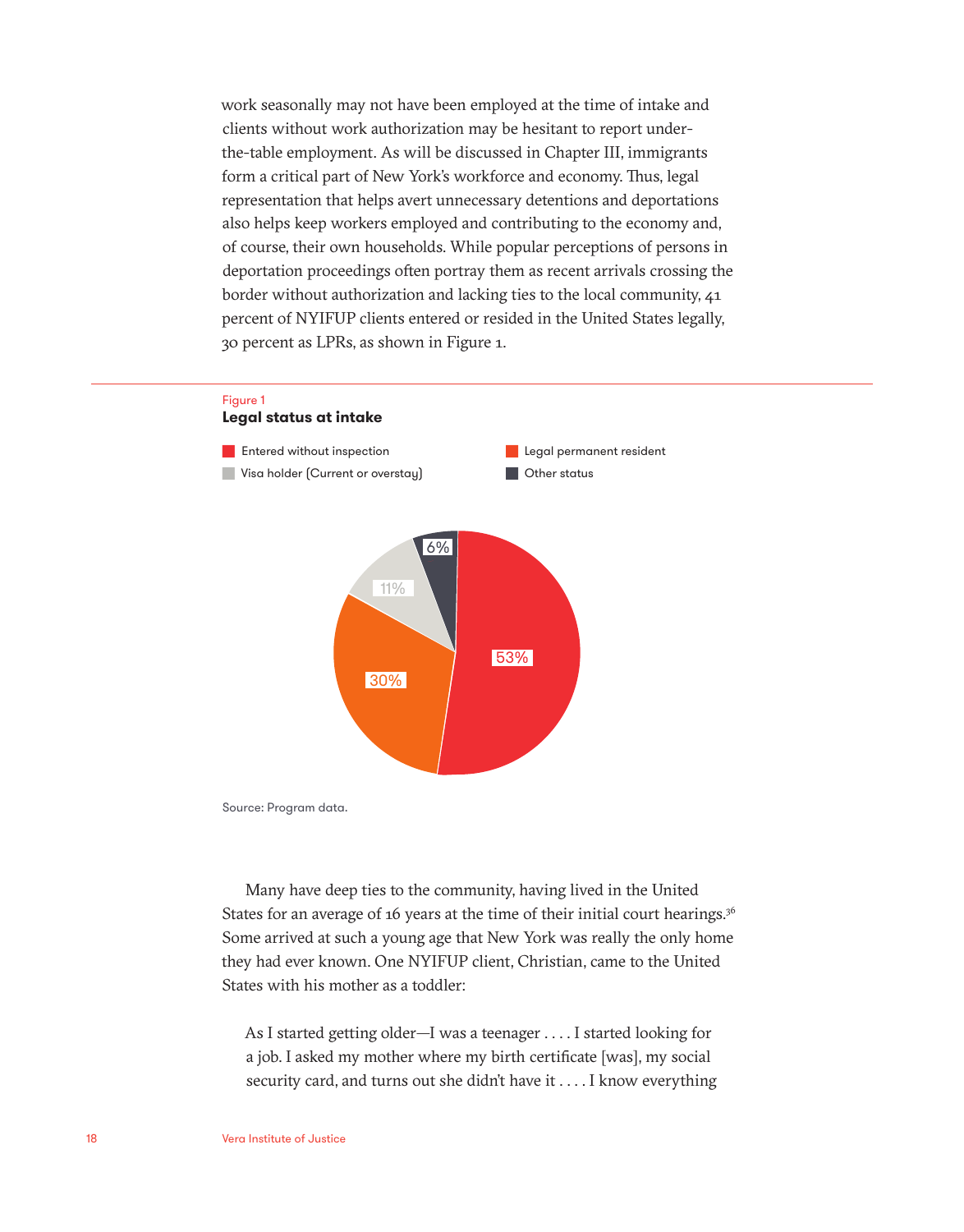work seasonally may not have been employed at the time of intake and clients without work authorization may be hesitant to report underthe-table employment. As will be discussed in Chapter III, immigrants form a critical part of New York's workforce and economy. Thus, legal representation that helps avert unnecessary detentions and deportations also helps keep workers employed and contributing to the economy and, of course, their own households. While popular perceptions of persons in deportation proceedings often portray them as recent arrivals crossing the border without authorization and lacking ties to the local community, 41 percent of NYIFUP clients entered or resided in the United States legally, 30 percent as LPRs, as shown in Figure 1.



Source: Program data.

Many have deep ties to the community, having lived in the United States for an average of 16 years at the time of their initial court hearings.<sup>36</sup> Some arrived at such a young age that New York was really the only home they had ever known. One NYIFUP client, Christian, came to the United States with his mother as a toddler:

As I started getting older—I was a teenager . . . . I started looking for a job. I asked my mother where my birth certificate [was], my social security card, and turns out she didn't have it . . . . I know everything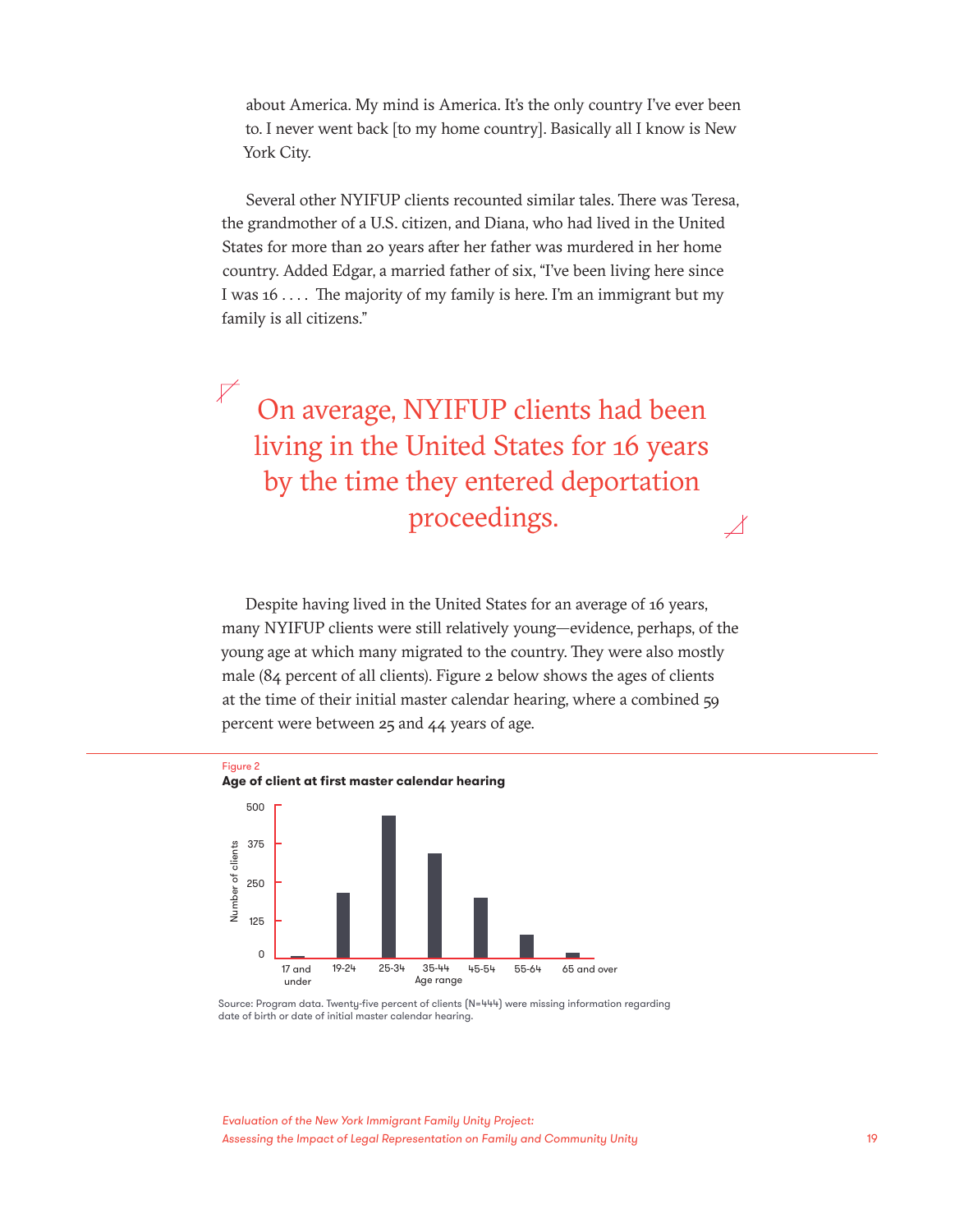about America. My mind is America. It's the only country I've ever been to. I never went back [to my home country]. Basically all I know is New York City.

Several other NYIFUP clients recounted similar tales. There was Teresa, the grandmother of a U.S. citizen, and Diana, who had lived in the United States for more than 20 years after her father was murdered in her home country. Added Edgar, a married father of six, "I've been living here since I was 16 . . . . The majority of my family is here. I'm an immigrant but my family is all citizens."

On average, NYIFUP clients had been living in the United States for 16 years by the time they entered deportation proceedings.

Despite having lived in the United States for an average of 16 years, many NYIFUP clients were still relatively young—evidence, perhaps, of the young age at which many migrated to the country. They were also mostly male (84 percent of all clients). Figure 2 below shows the ages of clients at the time of their initial master calendar hearing, where a combined 59 percent were between 25 and 44 years of age.



Source: Program data. Twenty-five percent of clients (N=444) were missing information regarding date of birth or date of initial master calendar hearing.

*Evaluation of the New York Immigrant Family Unity Project: Assessing the Impact of Legal Representation on Family and Community Unity* 19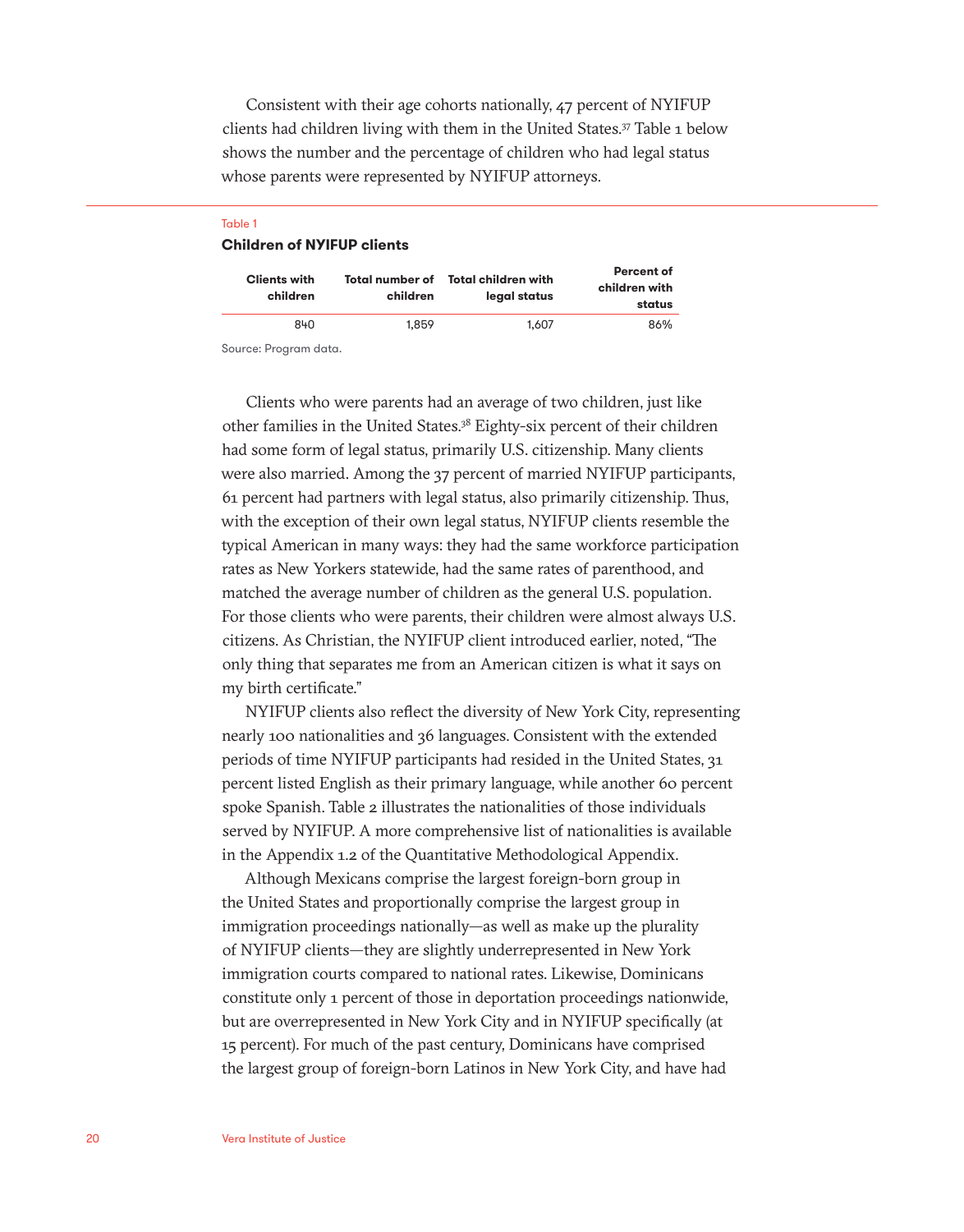Consistent with their age cohorts nationally, 47 percent of NYIFUP clients had children living with them in the United States.37 Table 1 below shows the number and the percentage of children who had legal status whose parents were represented by NYIFUP attorneys.

#### Table 1 **Children of NYIFUP clients**

| <b>Clients with</b><br>children | children | Total number of Total children with<br>legal status | Percent of<br>children with<br>status |
|---------------------------------|----------|-----------------------------------------------------|---------------------------------------|
| 840                             | 1.859    | 1.607                                               | 86%                                   |

Source: Program data.

Clients who were parents had an average of two children, just like other families in the United States.38 Eighty-six percent of their children had some form of legal status, primarily U.S. citizenship. Many clients were also married. Among the 37 percent of married NYIFUP participants, 61 percent had partners with legal status, also primarily citizenship. Thus, with the exception of their own legal status, NYIFUP clients resemble the typical American in many ways: they had the same workforce participation rates as New Yorkers statewide, had the same rates of parenthood, and matched the average number of children as the general U.S. population. For those clients who were parents, their children were almost always U.S. citizens. As Christian, the NYIFUP client introduced earlier, noted, "The only thing that separates me from an American citizen is what it says on my birth certificate."

NYIFUP clients also reflect the diversity of New York City, representing nearly 100 nationalities and 36 languages. Consistent with the extended periods of time NYIFUP participants had resided in the United States, 31 percent listed English as their primary language, while another 60 percent spoke Spanish. Table 2 illustrates the nationalities of those individuals served by NYIFUP. A more comprehensive list of nationalities is available in the Appendix 1.2 of the Quantitative Methodological Appendix.

Although Mexicans comprise the largest foreign-born group in the United States and proportionally comprise the largest group in immigration proceedings nationally—as well as make up the plurality of NYIFUP clients—they are slightly underrepresented in New York immigration courts compared to national rates. Likewise, Dominicans constitute only 1 percent of those in deportation proceedings nationwide, but are overrepresented in New York City and in NYIFUP specifically (at 15 percent). For much of the past century, Dominicans have comprised the largest group of foreign-born Latinos in New York City, and have had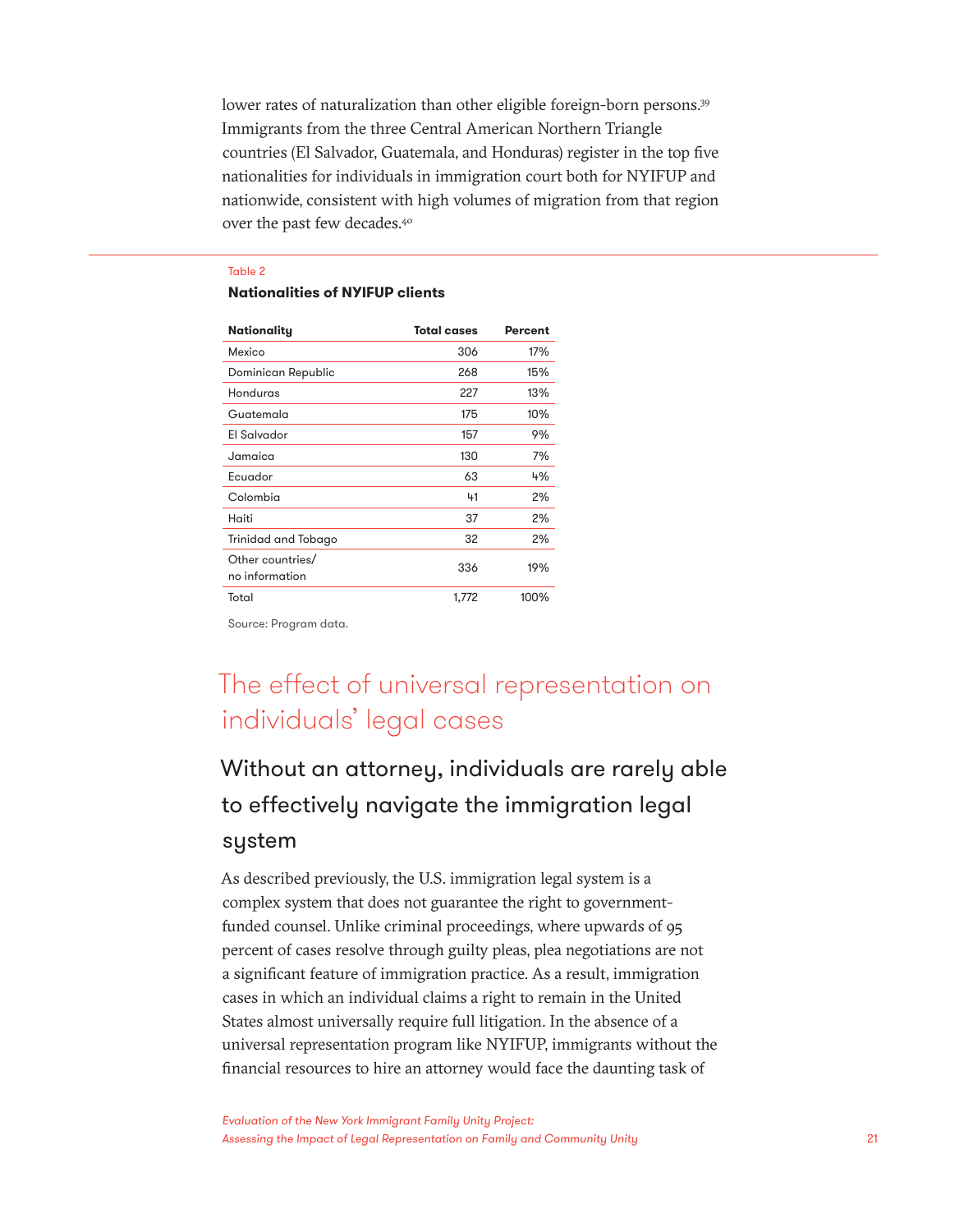lower rates of naturalization than other eligible foreign-born persons.<sup>39</sup> Immigrants from the three Central American Northern Triangle countries (El Salvador, Guatemala, and Honduras) register in the top five nationalities for individuals in immigration court both for NYIFUP and nationwide, consistent with high volumes of migration from that region over the past few decades.40

#### Table 2

#### **Nationalities of NYIFUP clients**

| <b>Nationality</b>                 | <b>Total cases</b> | Percent |
|------------------------------------|--------------------|---------|
| Mexico                             | 306                | 17%     |
| Dominican Republic                 | 268                | 15%     |
| Honduras                           | 227                | 13%     |
| Guatemala                          | 175                | 10%     |
| El Salvador                        | 157                | 9%      |
| Jamaica                            | 130                | 7%      |
| Ecuador                            | 63                 | 4%      |
| Colombia                           | 41                 | 2%      |
| Haiti                              | 37                 | 2%      |
| Trinidad and Tobago                | 32                 | 2%      |
| Other countries/<br>no information | 336                | 19%     |
| Total                              | 1,772              | 100%    |

Source: Program data.

### The effect of universal representation on individuals' legal cases

### Without an attorney, individuals are rarely able to effectively navigate the immigration legal system

As described previously, the U.S. immigration legal system is a complex system that does not guarantee the right to governmentfunded counsel. Unlike criminal proceedings, where upwards of 95 percent of cases resolve through guilty pleas, plea negotiations are not a significant feature of immigration practice. As a result, immigration cases in which an individual claims a right to remain in the United States almost universally require full litigation. In the absence of a universal representation program like NYIFUP, immigrants without the financial resources to hire an attorney would face the daunting task of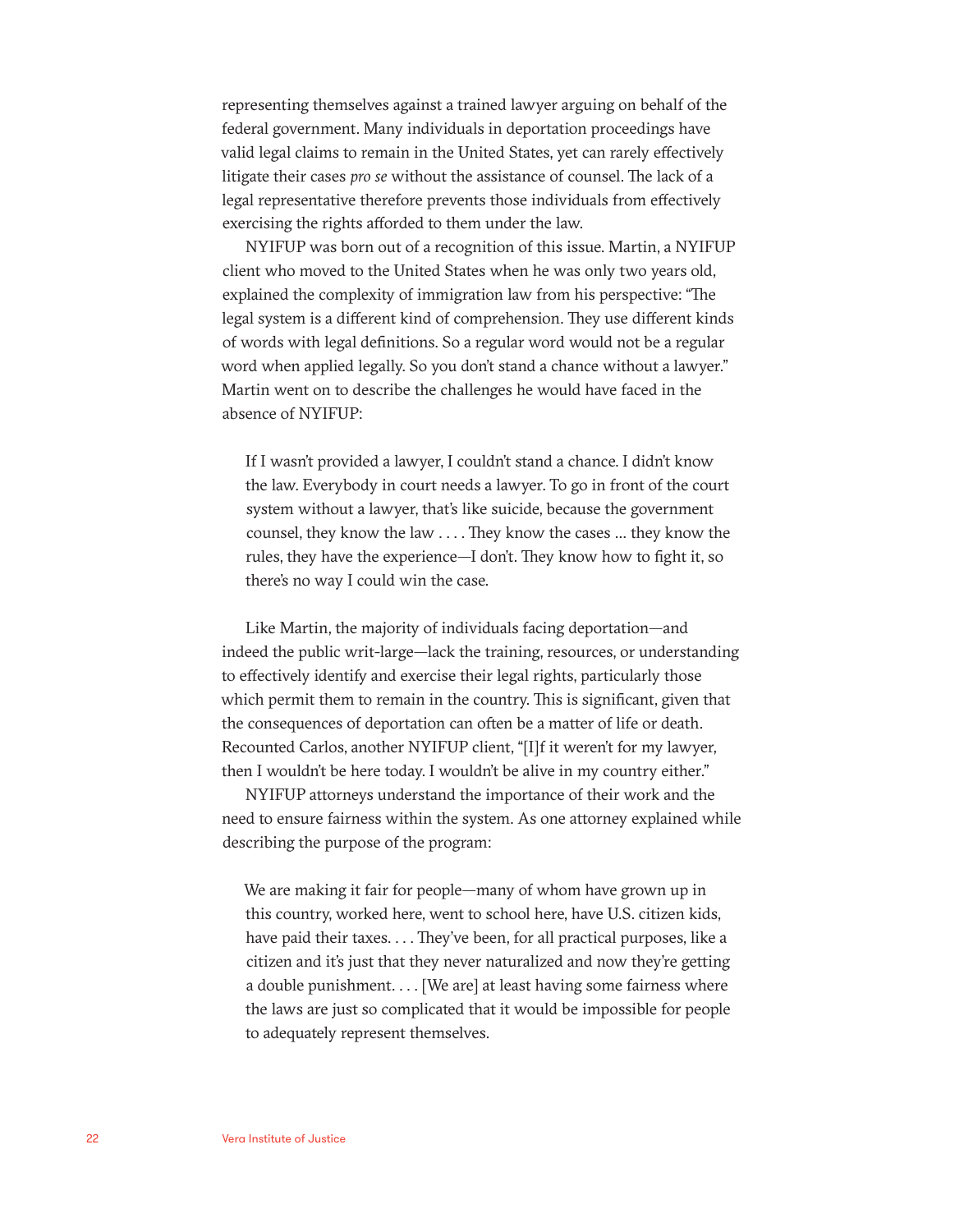representing themselves against a trained lawyer arguing on behalf of the federal government. Many individuals in deportation proceedings have valid legal claims to remain in the United States, yet can rarely effectively litigate their cases *pro se* without the assistance of counsel. The lack of a legal representative therefore prevents those individuals from effectively exercising the rights afforded to them under the law.

NYIFUP was born out of a recognition of this issue. Martin, a NYIFUP client who moved to the United States when he was only two years old, explained the complexity of immigration law from his perspective: "The legal system is a different kind of comprehension. They use different kinds of words with legal definitions. So a regular word would not be a regular word when applied legally. So you don't stand a chance without a lawyer." Martin went on to describe the challenges he would have faced in the absence of NYIFUP:

If I wasn't provided a lawyer, I couldn't stand a chance. I didn't know the law. Everybody in court needs a lawyer. To go in front of the court system without a lawyer, that's like suicide, because the government counsel, they know the law . . . . They know the cases … they know the rules, they have the experience—I don't. They know how to fight it, so there's no way I could win the case.

Like Martin, the majority of individuals facing deportation—and indeed the public writ-large—lack the training, resources, or understanding to effectively identify and exercise their legal rights, particularly those which permit them to remain in the country. This is significant, given that the consequences of deportation can often be a matter of life or death. Recounted Carlos, another NYIFUP client, "[I]f it weren't for my lawyer, then I wouldn't be here today. I wouldn't be alive in my country either."

NYIFUP attorneys understand the importance of their work and the need to ensure fairness within the system. As one attorney explained while describing the purpose of the program:

We are making it fair for people—many of whom have grown up in this country, worked here, went to school here, have U.S. citizen kids, have paid their taxes. . . . They've been, for all practical purposes, like a citizen and it's just that they never naturalized and now they're getting a double punishment. . . . [We are] at least having some fairness where the laws are just so complicated that it would be impossible for people to adequately represent themselves.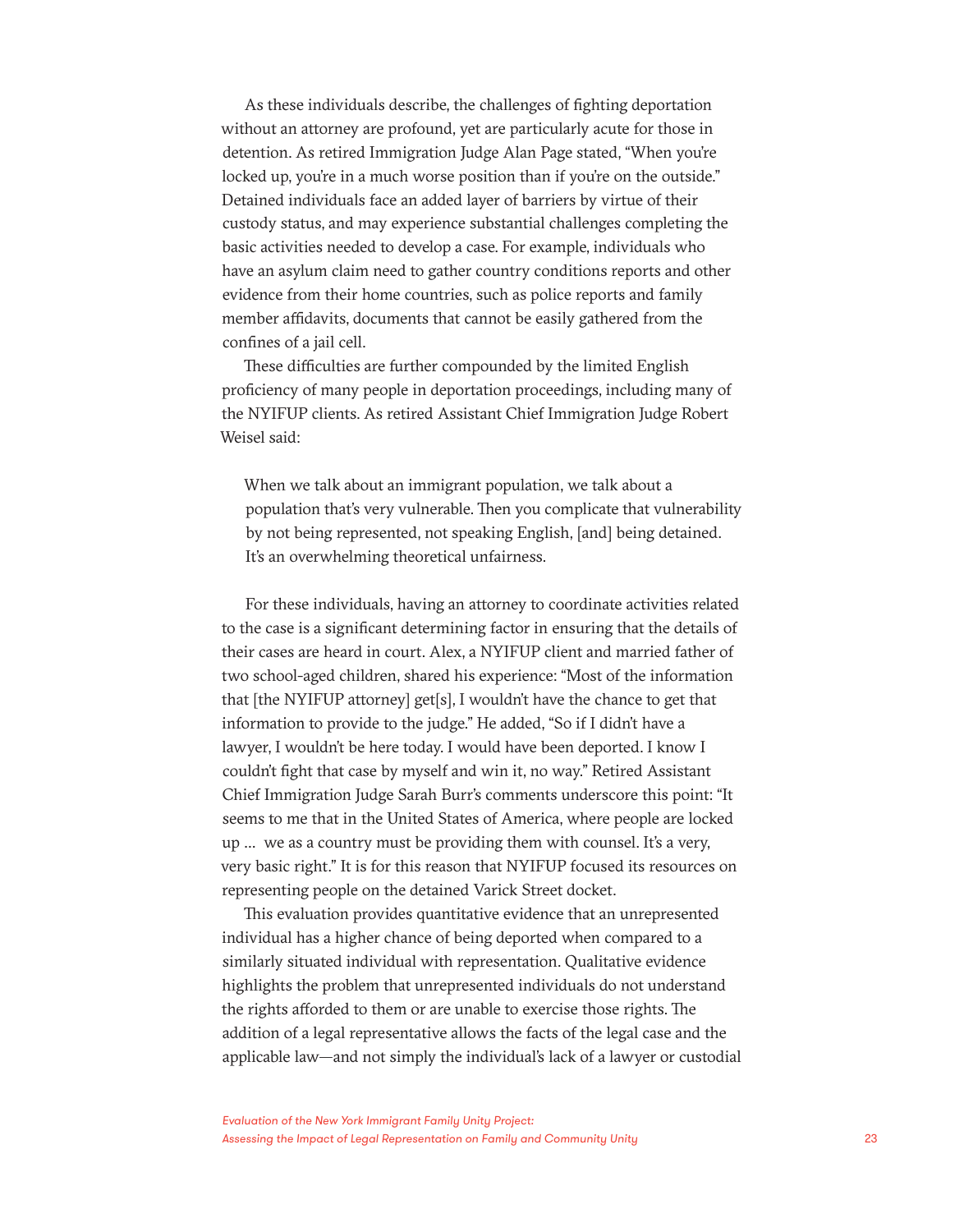As these individuals describe, the challenges of fighting deportation without an attorney are profound, yet are particularly acute for those in detention. As retired Immigration Judge Alan Page stated, "When you're locked up, you're in a much worse position than if you're on the outside." Detained individuals face an added layer of barriers by virtue of their custody status, and may experience substantial challenges completing the basic activities needed to develop a case. For example, individuals who have an asylum claim need to gather country conditions reports and other evidence from their home countries, such as police reports and family member affidavits, documents that cannot be easily gathered from the confines of a jail cell.

These difficulties are further compounded by the limited English proficiency of many people in deportation proceedings, including many of the NYIFUP clients. As retired Assistant Chief Immigration Judge Robert Weisel said:

When we talk about an immigrant population, we talk about a population that's very vulnerable. Then you complicate that vulnerability by not being represented, not speaking English, [and] being detained. It's an overwhelming theoretical unfairness.

For these individuals, having an attorney to coordinate activities related to the case is a significant determining factor in ensuring that the details of their cases are heard in court. Alex, a NYIFUP client and married father of two school-aged children, shared his experience: "Most of the information that [the NYIFUP attorney] get[s], I wouldn't have the chance to get that information to provide to the judge." He added, "So if I didn't have a lawyer, I wouldn't be here today. I would have been deported. I know I couldn't fight that case by myself and win it, no way." Retired Assistant Chief Immigration Judge Sarah Burr's comments underscore this point: "It seems to me that in the United States of America, where people are locked up … we as a country must be providing them with counsel. It's a very, very basic right." It is for this reason that NYIFUP focused its resources on representing people on the detained Varick Street docket.

This evaluation provides quantitative evidence that an unrepresented individual has a higher chance of being deported when compared to a similarly situated individual with representation. Qualitative evidence highlights the problem that unrepresented individuals do not understand the rights afforded to them or are unable to exercise those rights. The addition of a legal representative allows the facts of the legal case and the applicable law—and not simply the individual's lack of a lawyer or custodial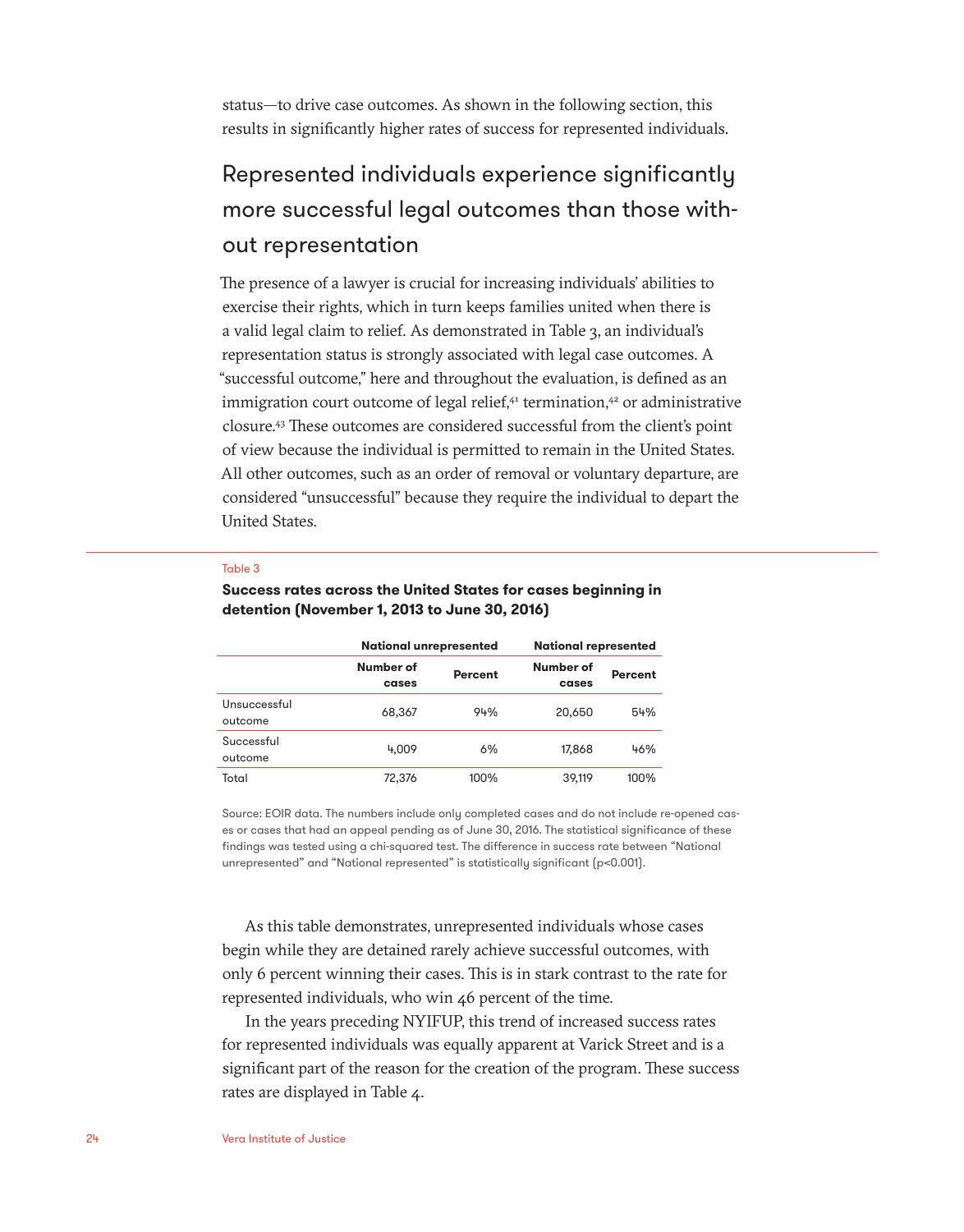status—to drive case outcomes. As shown in the following section, this results in significantly higher rates of success for represented individuals.

### Represented individuals experience significantly more successful legal outcomes than those without representation

The presence of a lawyer is crucial for increasing individuals' abilities to exercise their rights, which in turn keeps families united when there is a valid legal claim to relief. As demonstrated in Table 3, an individual's representation status is strongly associated with legal case outcomes. A "successful outcome," here and throughout the evaluation, is defined as an immigration court outcome of legal relief,<sup>41</sup> termination,<sup>42</sup> or administrative closure.43 These outcomes are considered successful from the client's point of view because the individual is permitted to remain in the United States. All other outcomes, such as an order of removal or voluntary departure, are considered "unsuccessful" because they require the individual to depart the United States.

#### Table 3

|                         | <b>National unrepresented</b> |                | <b>National represented</b> |         |
|-------------------------|-------------------------------|----------------|-----------------------------|---------|
|                         | Number of<br>cases            | <b>Percent</b> | Number of<br>cases          | Percent |
| Unsuccessful<br>outcome | 68,367                        | 94%            | 20,650                      | 54%     |
| Successful<br>outcome   | 4.009                         | 6%             | 17.868                      | 46%     |
| Total                   | 72.376                        | 100%           | 39.119                      | 100%    |

#### **Success rates across the United States for cases beginning in detention (November 1, 2013 to June 30, 2016)**

Source: EOIR data. The numbers include only completed cases and do not include re-opened cases or cases that had an appeal pending as of June 30, 2016. The statistical significance of these findings was tested using a chi-squared test. The difference in success rate between "National unrepresented" and "National represented" is statistically significant (p<0.001).

As this table demonstrates, unrepresented individuals whose cases begin while they are detained rarely achieve successful outcomes, with only 6 percent winning their cases. This is in stark contrast to the rate for represented individuals, who win 46 percent of the time.

In the years preceding NYIFUP, this trend of increased success rates for represented individuals was equally apparent at Varick Street and is a significant part of the reason for the creation of the program. These success rates are displayed in Table 4.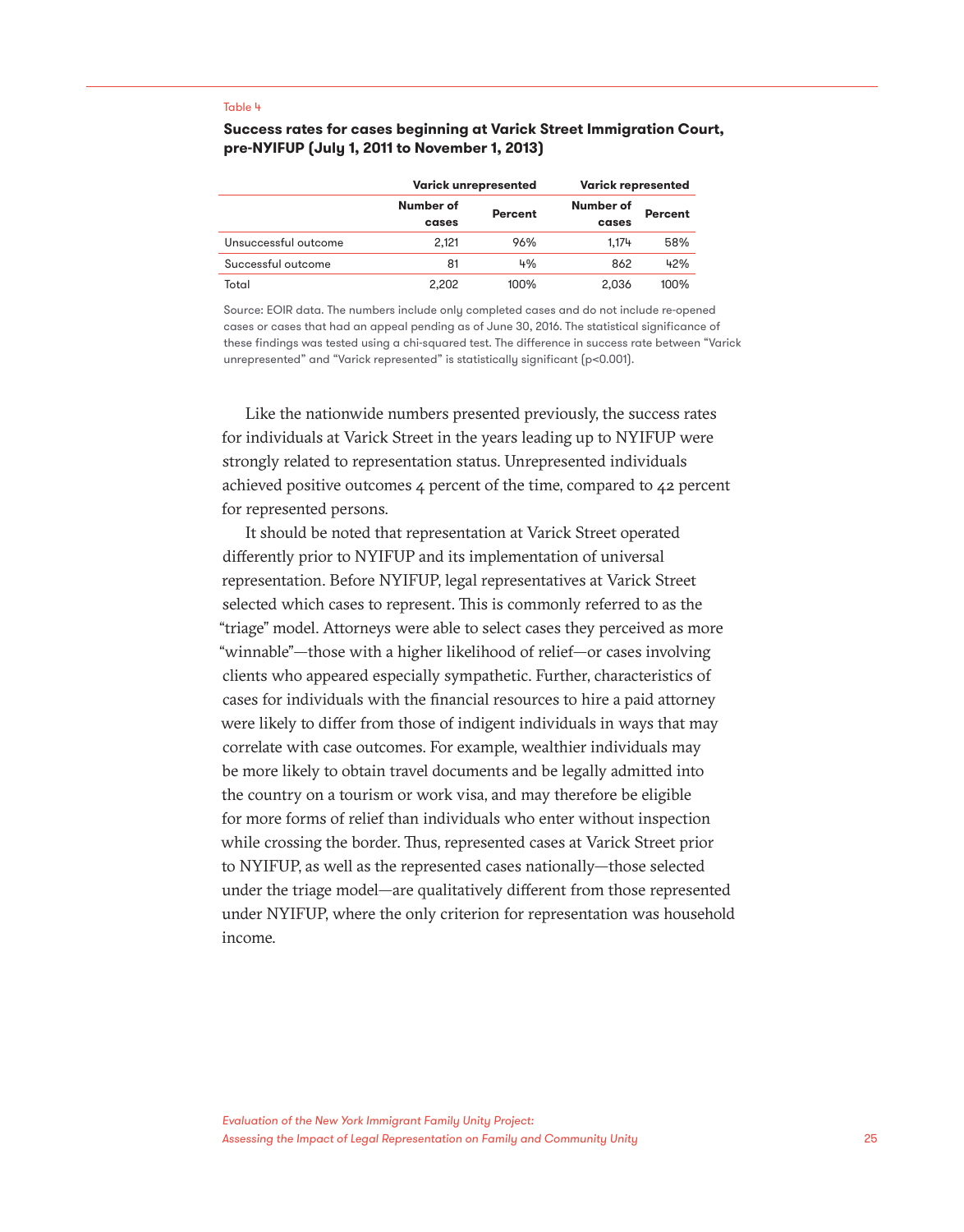#### Table 4

#### **Success rates for cases beginning at Varick Street Immigration Court, pre-NYIFUP (July 1, 2011 to November 1, 2013)**

|                      |                    | <b>Varick unrepresented</b> | <b>Varick represented</b> |         |
|----------------------|--------------------|-----------------------------|---------------------------|---------|
|                      | Number of<br>cases | Percent                     | Number of<br>cases        | Percent |
| Unsuccessful outcome | 2.121              | 96%                         | 1.174                     | 58%     |
| Successful outcome   | 81                 | 4%                          | 862                       | 42%     |
| Total                | 2.202              | $100\%$                     | 2.036                     | 100%    |

Source: EOIR data. The numbers include only completed cases and do not include re-opened cases or cases that had an appeal pending as of June 30, 2016. The statistical significance of these findings was tested using a chi-squared test. The difference in success rate between "Varick unrepresented" and "Varick represented" is statistically significant (p<0.001).

Like the nationwide numbers presented previously, the success rates for individuals at Varick Street in the years leading up to NYIFUP were strongly related to representation status. Unrepresented individuals achieved positive outcomes 4 percent of the time, compared to 42 percent for represented persons.

It should be noted that representation at Varick Street operated differently prior to NYIFUP and its implementation of universal representation. Before NYIFUP, legal representatives at Varick Street selected which cases to represent. This is commonly referred to as the "triage" model. Attorneys were able to select cases they perceived as more "winnable"—those with a higher likelihood of relief—or cases involving clients who appeared especially sympathetic. Further, characteristics of cases for individuals with the financial resources to hire a paid attorney were likely to differ from those of indigent individuals in ways that may correlate with case outcomes. For example, wealthier individuals may be more likely to obtain travel documents and be legally admitted into the country on a tourism or work visa, and may therefore be eligible for more forms of relief than individuals who enter without inspection while crossing the border. Thus, represented cases at Varick Street prior to NYIFUP, as well as the represented cases nationally—those selected under the triage model—are qualitatively different from those represented under NYIFUP, where the only criterion for representation was household income.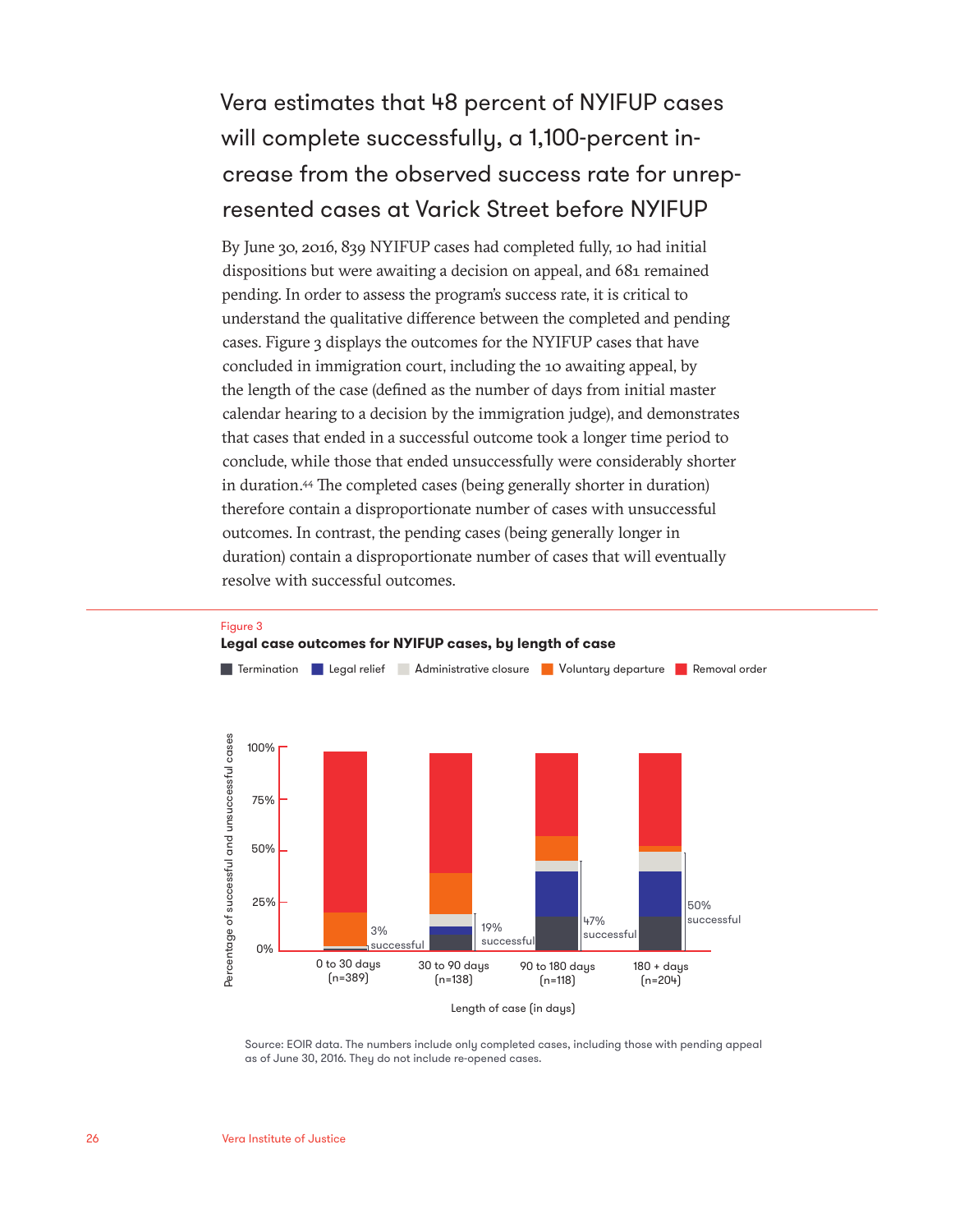### Vera estimates that 48 percent of NYIFUP cases will complete successfully, a 1,100-percent increase from the observed success rate for unrepresented cases at Varick Street before NYIFUP

By June 30, 2016, 839 NYIFUP cases had completed fully, 10 had initial dispositions but were awaiting a decision on appeal, and 681 remained pending. In order to assess the program's success rate, it is critical to understand the qualitative difference between the completed and pending cases. Figure 3 displays the outcomes for the NYIFUP cases that have concluded in immigration court, including the 10 awaiting appeal, by the length of the case (defined as the number of days from initial master calendar hearing to a decision by the immigration judge), and demonstrates that cases that ended in a successful outcome took a longer time period to conclude, while those that ended unsuccessfully were considerably shorter in duration.44 The completed cases (being generally shorter in duration) therefore contain a disproportionate number of cases with unsuccessful outcomes. In contrast, the pending cases (being generally longer in duration) contain a disproportionate number of cases that will eventually resolve with successful outcomes.



#### Source: EOIR data. The numbers include only completed cases, including those with pending appeal as of June 30, 2016. They do not include re-opened cases.

Figure 3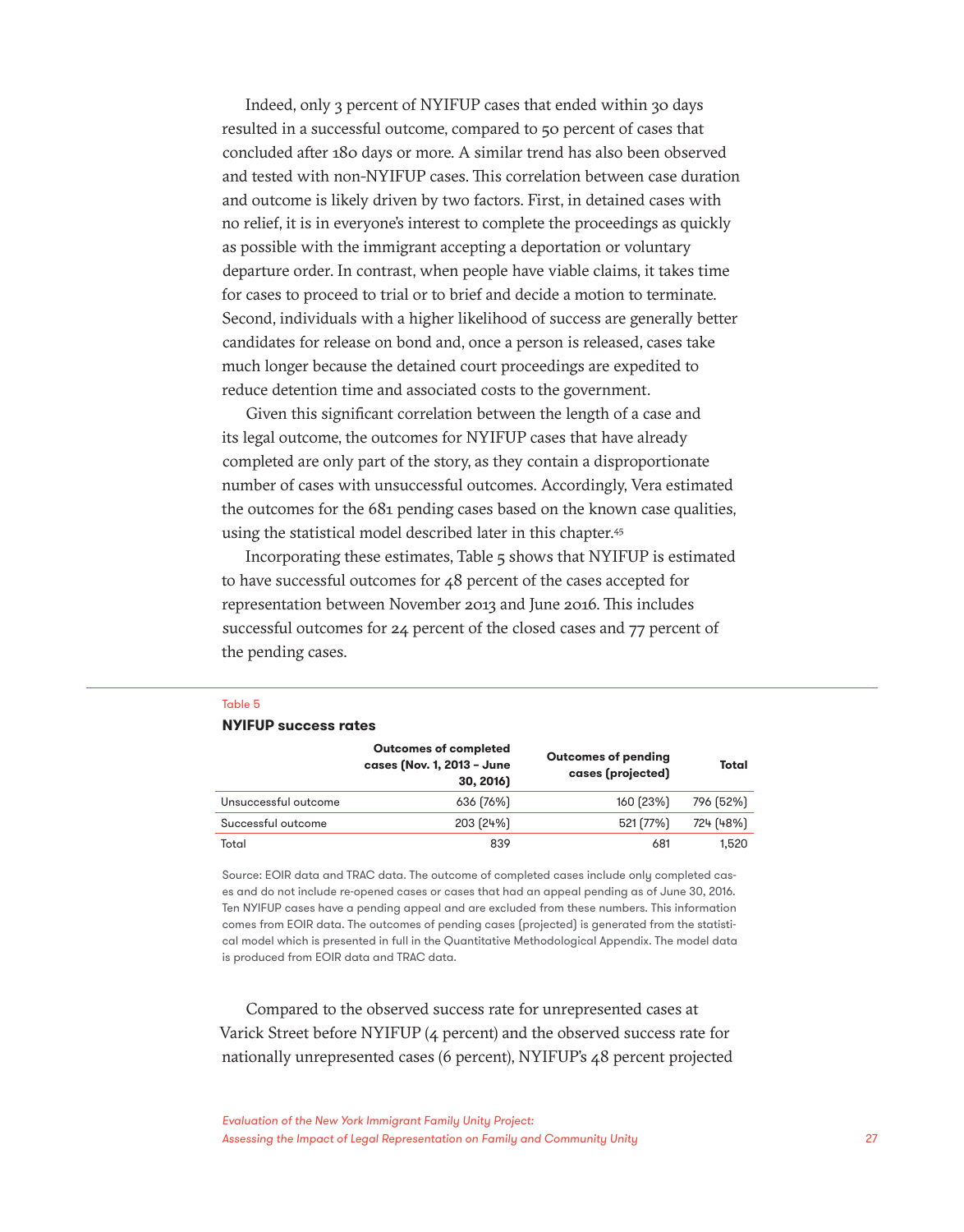Indeed, only 3 percent of NYIFUP cases that ended within 30 days resulted in a successful outcome, compared to 50 percent of cases that concluded after 180 days or more. A similar trend has also been observed and tested with non-NYIFUP cases. This correlation between case duration and outcome is likely driven by two factors. First, in detained cases with no relief, it is in everyone's interest to complete the proceedings as quickly as possible with the immigrant accepting a deportation or voluntary departure order. In contrast, when people have viable claims, it takes time for cases to proceed to trial or to brief and decide a motion to terminate. Second, individuals with a higher likelihood of success are generally better candidates for release on bond and, once a person is released, cases take much longer because the detained court proceedings are expedited to reduce detention time and associated costs to the government.

Given this significant correlation between the length of a case and its legal outcome, the outcomes for NYIFUP cases that have already completed are only part of the story, as they contain a disproportionate number of cases with unsuccessful outcomes. Accordingly, Vera estimated the outcomes for the 681 pending cases based on the known case qualities, using the statistical model described later in this chapter.45

Incorporating these estimates, Table 5 shows that NYIFUP is estimated to have successful outcomes for 48 percent of the cases accepted for representation between November 2013 and June 2016. This includes successful outcomes for 24 percent of the closed cases and 77 percent of the pending cases.

#### Table 5

#### **NYIFUP success rates**

|                      | <b>Outcomes of completed</b><br>cases (Nov. 1, 2013 - June<br>30, 2016) | <b>Outcomes of pending</b><br>cases (projected) | Total     |
|----------------------|-------------------------------------------------------------------------|-------------------------------------------------|-----------|
| Unsuccessful outcome | 636 [76%]                                                               | 160 (23%)                                       | 796 (52%) |
| Successful outcome   | 203 (24%)                                                               | 521 (77%)                                       | 724 (48%) |
| Total                | 839                                                                     | 681                                             | 1.520     |

Source: EOIR data and TRAC data. The outcome of completed cases include only completed cases and do not include re-opened cases or cases that had an appeal pending as of June 30, 2016. Ten NYIFUP cases have a pending appeal and are excluded from these numbers. This information comes from EOIR data. The outcomes of pending cases (projected) is generated from the statistical model which is presented in full in the Quantitative Methodological Appendix. The model data is produced from EOIR data and TRAC data.

Compared to the observed success rate for unrepresented cases at Varick Street before NYIFUP (4 percent) and the observed success rate for nationally unrepresented cases (6 percent), NYIFUP's 48 percent projected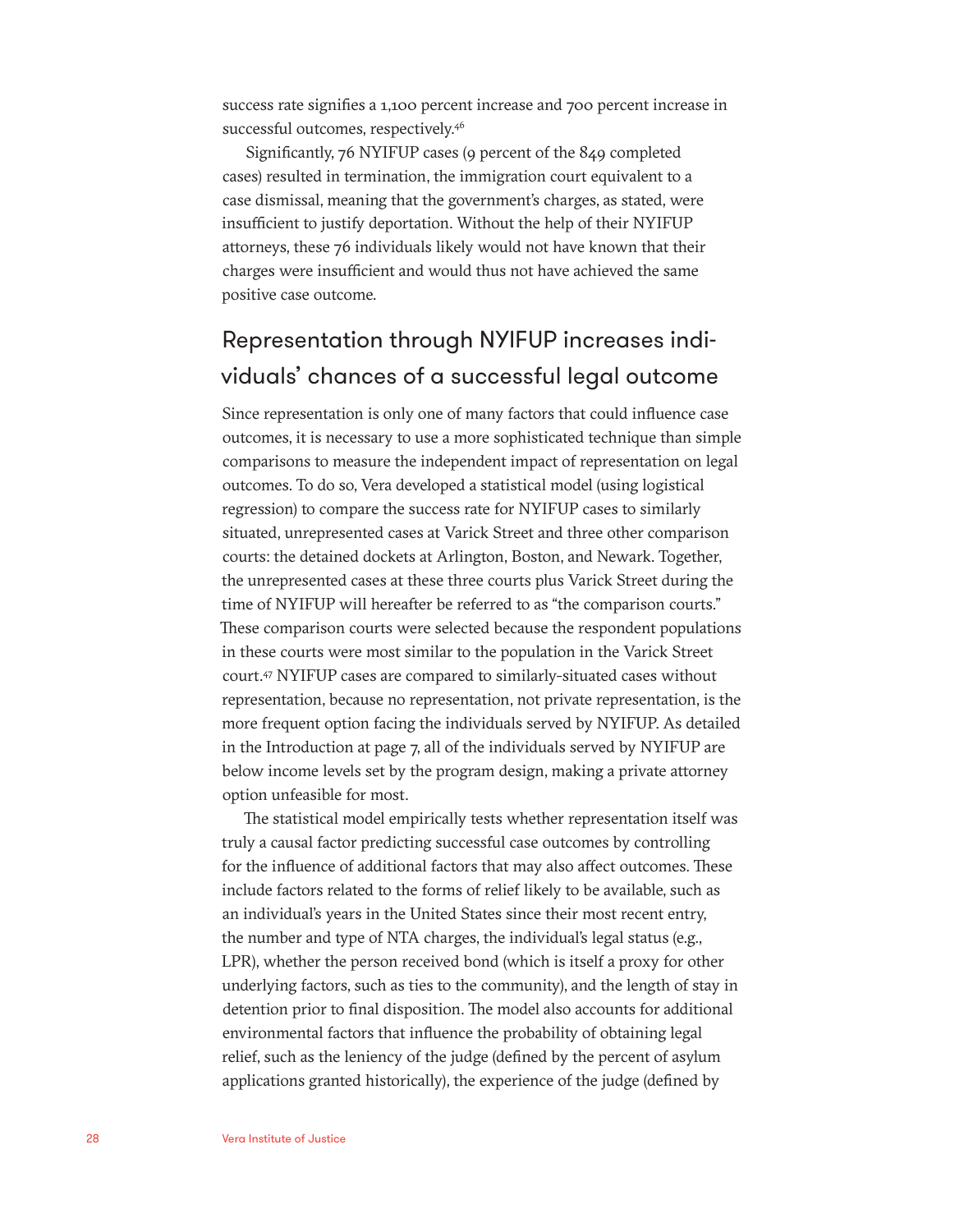success rate signifies a 1,100 percent increase and 700 percent increase in successful outcomes, respectively.<sup>46</sup>

Significantly, 76 NYIFUP cases (9 percent of the 849 completed cases) resulted in termination, the immigration court equivalent to a case dismissal, meaning that the government's charges, as stated, were insufficient to justify deportation. Without the help of their NYIFUP attorneys, these 76 individuals likely would not have known that their charges were insufficient and would thus not have achieved the same positive case outcome.

### Representation through NYIFUP increases individuals' chances of a successful legal outcome

Since representation is only one of many factors that could influence case outcomes, it is necessary to use a more sophisticated technique than simple comparisons to measure the independent impact of representation on legal outcomes. To do so, Vera developed a statistical model (using logistical regression) to compare the success rate for NYIFUP cases to similarly situated, unrepresented cases at Varick Street and three other comparison courts: the detained dockets at Arlington, Boston, and Newark. Together, the unrepresented cases at these three courts plus Varick Street during the time of NYIFUP will hereafter be referred to as "the comparison courts." These comparison courts were selected because the respondent populations in these courts were most similar to the population in the Varick Street court.47 NYIFUP cases are compared to similarly-situated cases without representation, because no representation, not private representation, is the more frequent option facing the individuals served by NYIFUP. As detailed in the Introduction at page 7, all of the individuals served by NYIFUP are below income levels set by the program design, making a private attorney option unfeasible for most.

The statistical model empirically tests whether representation itself was truly a causal factor predicting successful case outcomes by controlling for the influence of additional factors that may also affect outcomes. These include factors related to the forms of relief likely to be available, such as an individual's years in the United States since their most recent entry, the number and type of NTA charges, the individual's legal status (e.g., LPR), whether the person received bond (which is itself a proxy for other underlying factors, such as ties to the community), and the length of stay in detention prior to final disposition. The model also accounts for additional environmental factors that influence the probability of obtaining legal relief, such as the leniency of the judge (defined by the percent of asylum applications granted historically), the experience of the judge (defined by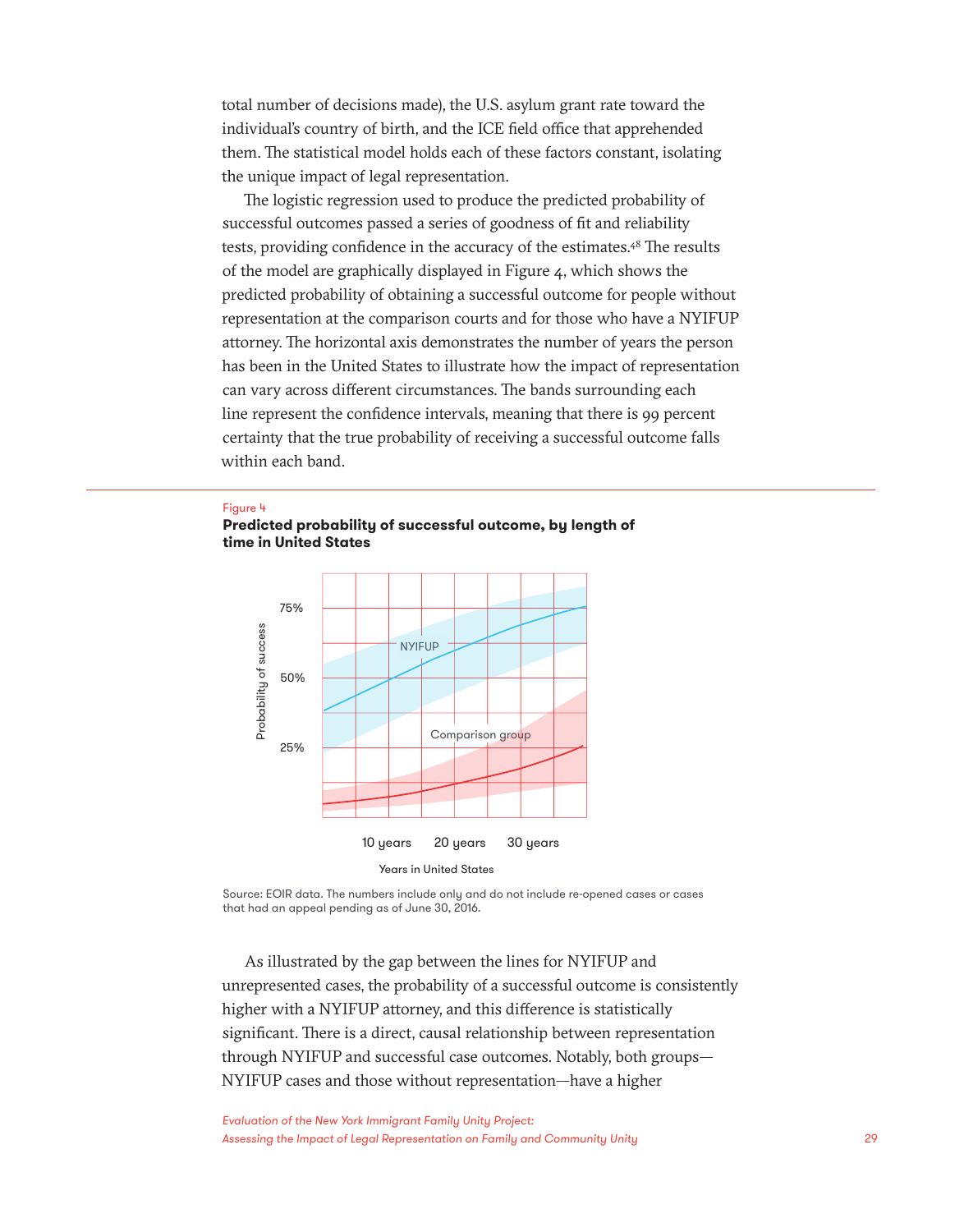total number of decisions made), the U.S. asylum grant rate toward the individual's country of birth, and the ICE field office that apprehended them. The statistical model holds each of these factors constant, isolating the unique impact of legal representation.

The logistic regression used to produce the predicted probability of successful outcomes passed a series of goodness of fit and reliability tests, providing confidence in the accuracy of the estimates.<sup>48</sup> The results of the model are graphically displayed in Figure 4, which shows the predicted probability of obtaining a successful outcome for people without representation at the comparison courts and for those who have a NYIFUP attorney. The horizontal axis demonstrates the number of years the person has been in the United States to illustrate how the impact of representation can vary across different circumstances. The bands surrounding each line represent the confidence intervals, meaning that there is 99 percent certainty that the true probability of receiving a successful outcome falls within each band.

#### Figure 4





Source: EOIR data. The numbers include only and do not include re-opened cases or cases that had an appeal pending as of June 30, 2016.

As illustrated by the gap between the lines for NYIFUP and unrepresented cases, the probability of a successful outcome is consistently higher with a NYIFUP attorney, and this difference is statistically significant. There is a direct, causal relationship between representation through NYIFUP and successful case outcomes. Notably, both groups— NYIFUP cases and those without representation—have a higher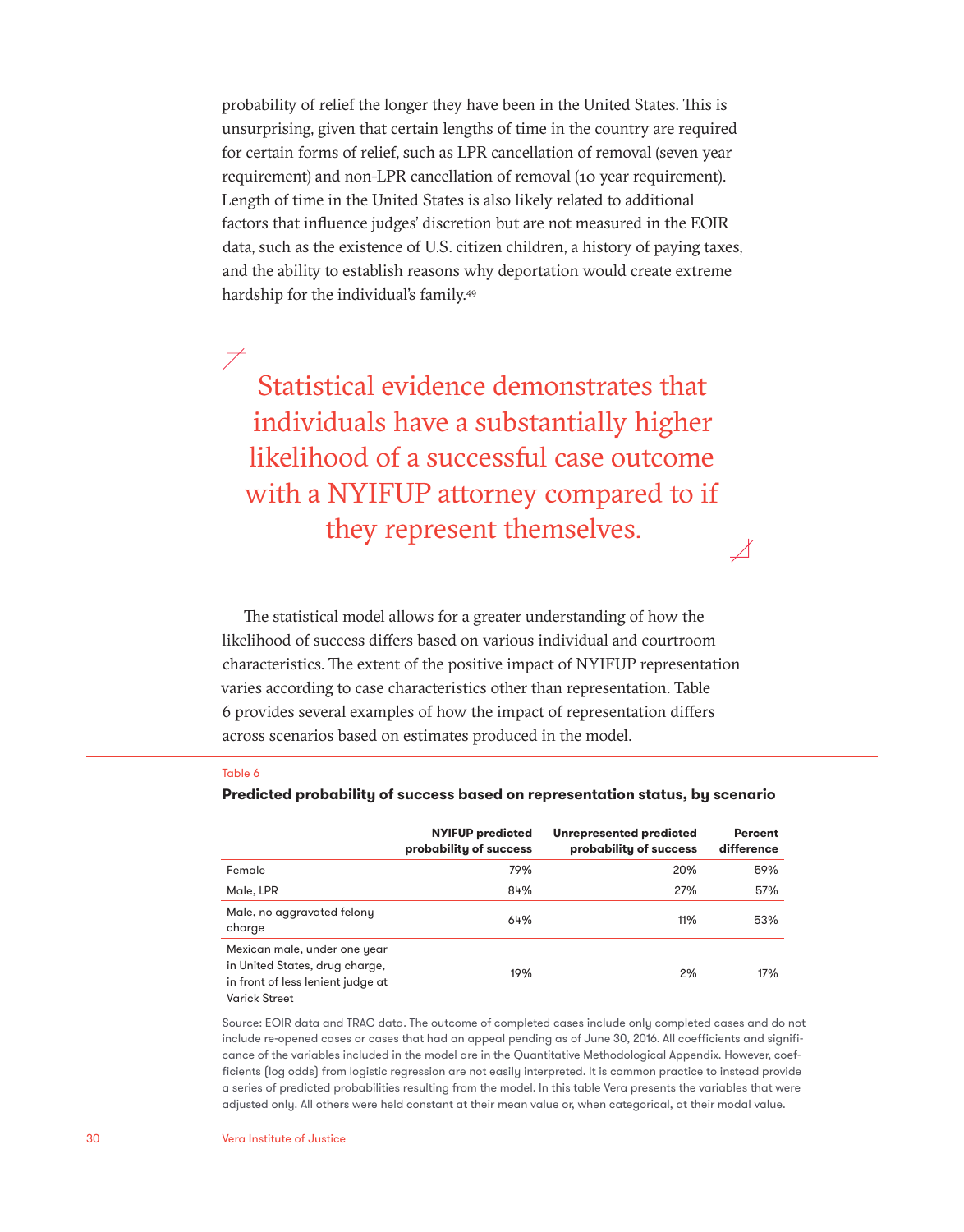probability of relief the longer they have been in the United States. This is unsurprising, given that certain lengths of time in the country are required for certain forms of relief, such as LPR cancellation of removal (seven year requirement) and non-LPR cancellation of removal (10 year requirement). Length of time in the United States is also likely related to additional factors that influence judges' discretion but are not measured in the EOIR data, such as the existence of U.S. citizen children, a history of paying taxes, and the ability to establish reasons why deportation would create extreme hardship for the individual's family.49

 $\not\!\!\!\nabla$ Statistical evidence demonstrates that individuals have a substantially higher likelihood of a successful case outcome with a NYIFUP attorney compared to if they represent themselves.

Λ

The statistical model allows for a greater understanding of how the likelihood of success differs based on various individual and courtroom characteristics. The extent of the positive impact of NYIFUP representation varies according to case characteristics other than representation. Table 6 provides several examples of how the impact of representation differs across scenarios based on estimates produced in the model.

#### Table 6

|                                                                                                                      | <b>NYIFUP predicted</b><br>probability of success | <b>Unrepresented predicted</b><br>probability of success | <b>Percent</b><br>difference |
|----------------------------------------------------------------------------------------------------------------------|---------------------------------------------------|----------------------------------------------------------|------------------------------|
| Female                                                                                                               | 79%                                               | 20%                                                      | 59%                          |
| Male, LPR                                                                                                            | 84%                                               | 27%                                                      | 57%                          |
| Male, no aggravated felony<br>charge                                                                                 | 64%                                               | 11%                                                      | 53%                          |
| Mexican male, under one year<br>in United States, drug charge,<br>in front of less lenient judge at<br>Varick Street | 19%                                               | 2%                                                       | 17%                          |

#### **Predicted probability of success based on representation status, by scenario**

Source: EOIR data and TRAC data. The outcome of completed cases include only completed cases and do not include re-opened cases or cases that had an appeal pending as of June 30, 2016. All coefficients and significance of the variables included in the model are in the Quantitative Methodological Appendix. However, coefficients (log odds) from logistic regression are not easily interpreted. It is common practice to instead provide a series of predicted probabilities resulting from the model. In this table Vera presents the variables that were adjusted only. All others were held constant at their mean value or, when categorical, at their modal value.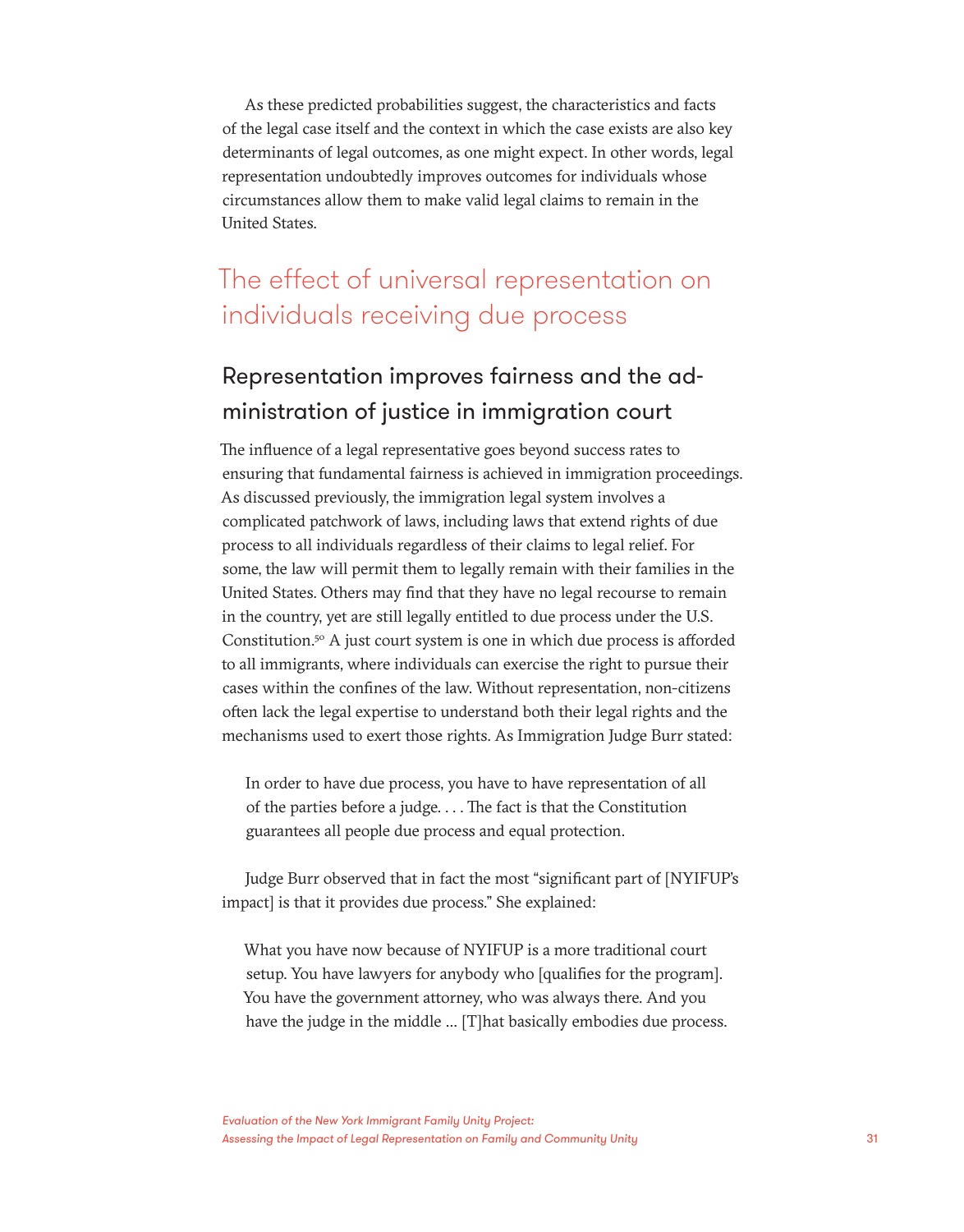As these predicted probabilities suggest, the characteristics and facts of the legal case itself and the context in which the case exists are also key determinants of legal outcomes, as one might expect. In other words, legal representation undoubtedly improves outcomes for individuals whose circumstances allow them to make valid legal claims to remain in the United States.

### The effect of universal representation on individuals receiving due process

### Representation improves fairness and the administration of justice in immigration court

The influence of a legal representative goes beyond success rates to ensuring that fundamental fairness is achieved in immigration proceedings. As discussed previously, the immigration legal system involves a complicated patchwork of laws, including laws that extend rights of due process to all individuals regardless of their claims to legal relief. For some, the law will permit them to legally remain with their families in the United States. Others may find that they have no legal recourse to remain in the country, yet are still legally entitled to due process under the U.S. Constitution.50 A just court system is one in which due process is afforded to all immigrants, where individuals can exercise the right to pursue their cases within the confines of the law. Without representation, non-citizens often lack the legal expertise to understand both their legal rights and the mechanisms used to exert those rights. As Immigration Judge Burr stated:

In order to have due process, you have to have representation of all of the parties before a judge. . . . The fact is that the Constitution guarantees all people due process and equal protection.

Judge Burr observed that in fact the most "significant part of [NYIFUP's impact] is that it provides due process." She explained:

What you have now because of NYIFUP is a more traditional court setup. You have lawyers for anybody who [qualifies for the program]. You have the government attorney, who was always there. And you have the judge in the middle … [T]hat basically embodies due process.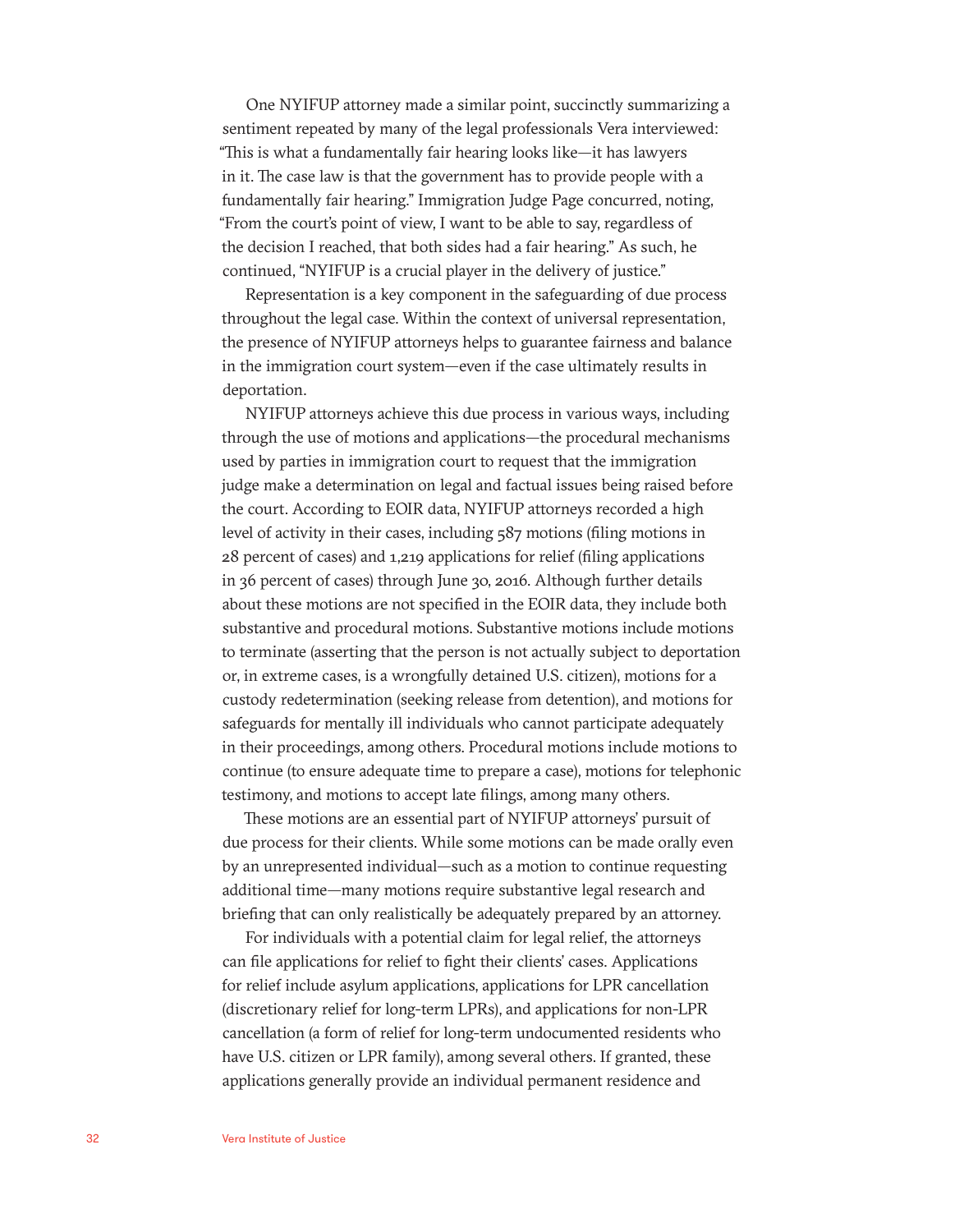One NYIFUP attorney made a similar point, succinctly summarizing a sentiment repeated by many of the legal professionals Vera interviewed: "This is what a fundamentally fair hearing looks like—it has lawyers in it. The case law is that the government has to provide people with a fundamentally fair hearing." Immigration Judge Page concurred, noting, "From the court's point of view, I want to be able to say, regardless of the decision I reached, that both sides had a fair hearing." As such, he continued, "NYIFUP is a crucial player in the delivery of justice."

Representation is a key component in the safeguarding of due process throughout the legal case. Within the context of universal representation, the presence of NYIFUP attorneys helps to guarantee fairness and balance in the immigration court system—even if the case ultimately results in deportation.

NYIFUP attorneys achieve this due process in various ways, including through the use of motions and applications—the procedural mechanisms used by parties in immigration court to request that the immigration judge make a determination on legal and factual issues being raised before the court. According to EOIR data, NYIFUP attorneys recorded a high level of activity in their cases, including 587 motions (filing motions in 28 percent of cases) and 1,219 applications for relief (filing applications in 36 percent of cases) through June 30, 2016. Although further details about these motions are not specified in the EOIR data, they include both substantive and procedural motions. Substantive motions include motions to terminate (asserting that the person is not actually subject to deportation or, in extreme cases, is a wrongfully detained U.S. citizen), motions for a custody redetermination (seeking release from detention), and motions for safeguards for mentally ill individuals who cannot participate adequately in their proceedings, among others. Procedural motions include motions to continue (to ensure adequate time to prepare a case), motions for telephonic testimony, and motions to accept late filings, among many others.

These motions are an essential part of NYIFUP attorneys' pursuit of due process for their clients. While some motions can be made orally even by an unrepresented individual—such as a motion to continue requesting additional time—many motions require substantive legal research and briefing that can only realistically be adequately prepared by an attorney.

For individuals with a potential claim for legal relief, the attorneys can file applications for relief to fight their clients' cases. Applications for relief include asylum applications, applications for LPR cancellation (discretionary relief for long-term LPRs), and applications for non-LPR cancellation (a form of relief for long-term undocumented residents who have U.S. citizen or LPR family), among several others. If granted, these applications generally provide an individual permanent residence and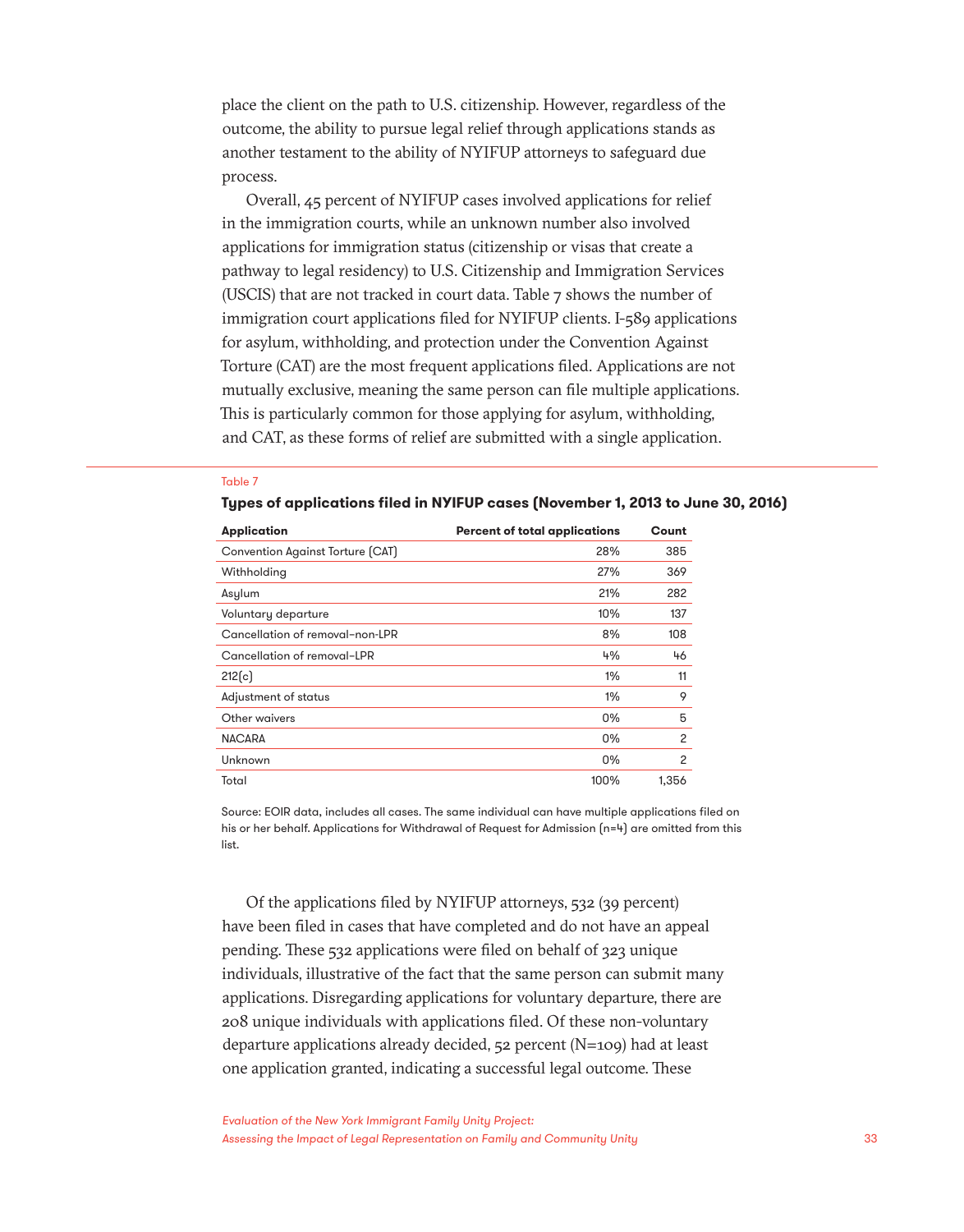place the client on the path to U.S. citizenship. However, regardless of the outcome, the ability to pursue legal relief through applications stands as another testament to the ability of NYIFUP attorneys to safeguard due process.

Overall, 45 percent of NYIFUP cases involved applications for relief in the immigration courts, while an unknown number also involved applications for immigration status (citizenship or visas that create a pathway to legal residency) to U.S. Citizenship and Immigration Services (USCIS) that are not tracked in court data. Table 7 shows the number of immigration court applications filed for NYIFUP clients. I-589 applications for asylum, withholding, and protection under the Convention Against Torture (CAT) are the most frequent applications filed. Applications are not mutually exclusive, meaning the same person can file multiple applications. This is particularly common for those applying for asylum, withholding, and CAT, as these forms of relief are submitted with a single application.

#### Table 7

**Types of applications filed in NYIFUP cases (November 1, 2013 to June 30, 2016)**

| <b>Application</b>               | <b>Percent of total applications</b> | Count          |
|----------------------------------|--------------------------------------|----------------|
| Convention Against Torture (CAT) | 28%                                  | 385            |
| Withholding                      | 27%                                  | 369            |
| Asylum                           | 21%                                  | 282            |
| Voluntary departure              | 10%                                  | 137            |
| Cancellation of removal-non-LPR  | 8%                                   | 108            |
| Cancellation of removal-LPR      | 4%                                   | 46             |
| 212(c)                           | $1\%$                                | 11             |
| Adjustment of status             | $1\%$                                | 9              |
| Other waivers                    | 0%                                   | 5              |
| <b>NACARA</b>                    | 0%                                   | $\overline{c}$ |
| Unknown                          | 0%                                   | $\overline{c}$ |
| Total                            | 100%                                 | 1.356          |

Source: EOIR data, includes all cases. The same individual can have multiple applications filed on his or her behalf. Applications for Withdrawal of Request for Admission (n=4) are omitted from this list.

Of the applications filed by NYIFUP attorneys, 532 (39 percent) have been filed in cases that have completed and do not have an appeal pending. These 532 applications were filed on behalf of 323 unique individuals, illustrative of the fact that the same person can submit many applications. Disregarding applications for voluntary departure, there are 208 unique individuals with applications filed. Of these non-voluntary departure applications already decided, 52 percent (N=109) had at least one application granted, indicating a successful legal outcome. These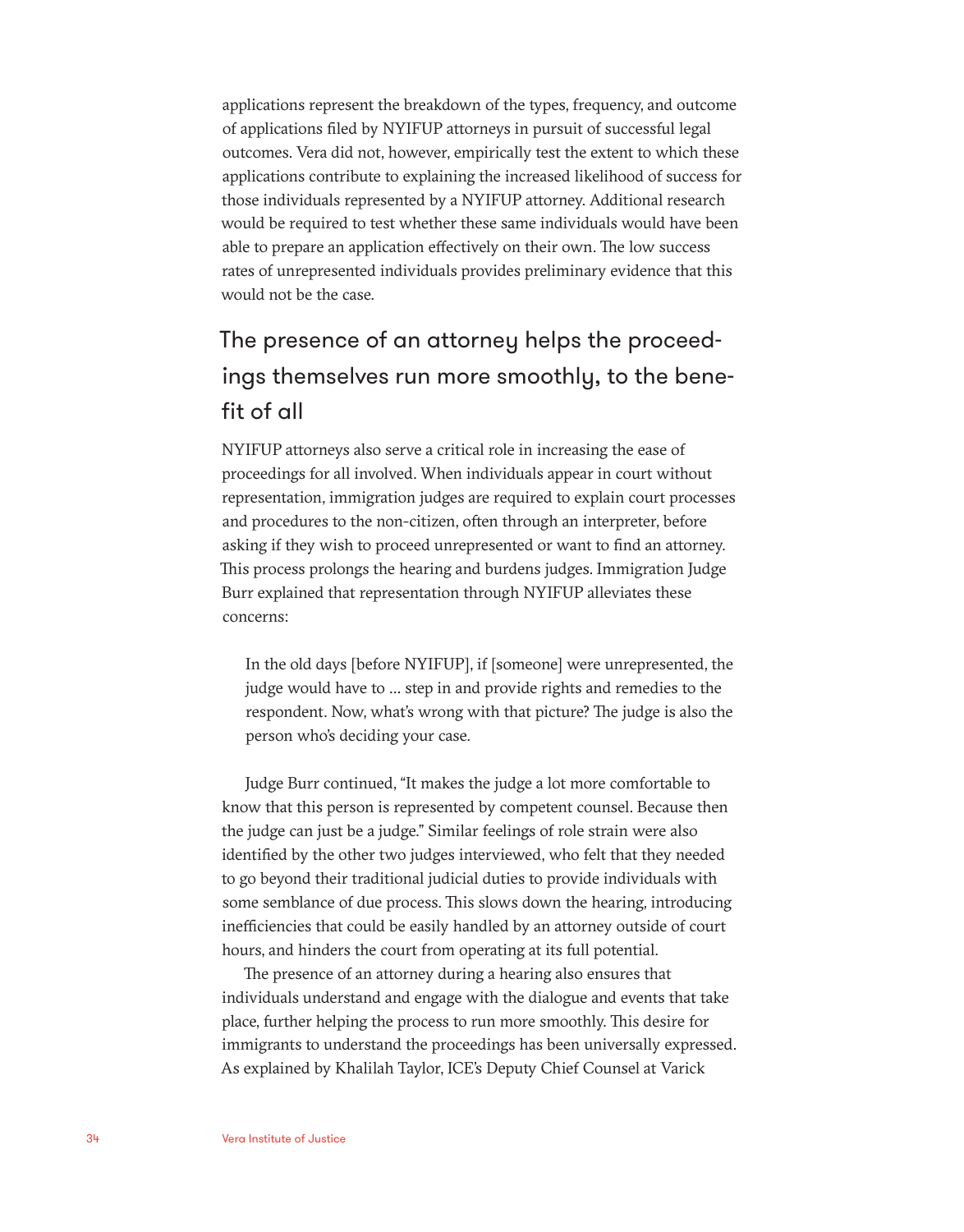applications represent the breakdown of the types, frequency, and outcome of applications filed by NYIFUP attorneys in pursuit of successful legal outcomes. Vera did not, however, empirically test the extent to which these applications contribute to explaining the increased likelihood of success for those individuals represented by a NYIFUP attorney. Additional research would be required to test whether these same individuals would have been able to prepare an application effectively on their own. The low success rates of unrepresented individuals provides preliminary evidence that this would not be the case.

### The presence of an attorney helps the proceedings themselves run more smoothly, to the benefit of all

NYIFUP attorneys also serve a critical role in increasing the ease of proceedings for all involved. When individuals appear in court without representation, immigration judges are required to explain court processes and procedures to the non-citizen, often through an interpreter, before asking if they wish to proceed unrepresented or want to find an attorney. This process prolongs the hearing and burdens judges. Immigration Judge Burr explained that representation through NYIFUP alleviates these concerns:

In the old days [before NYIFUP], if [someone] were unrepresented, the judge would have to … step in and provide rights and remedies to the respondent. Now, what's wrong with that picture? The judge is also the person who's deciding your case.

Judge Burr continued, "It makes the judge a lot more comfortable to know that this person is represented by competent counsel. Because then the judge can just be a judge." Similar feelings of role strain were also identified by the other two judges interviewed, who felt that they needed to go beyond their traditional judicial duties to provide individuals with some semblance of due process. This slows down the hearing, introducing inefficiencies that could be easily handled by an attorney outside of court hours, and hinders the court from operating at its full potential.

The presence of an attorney during a hearing also ensures that individuals understand and engage with the dialogue and events that take place, further helping the process to run more smoothly. This desire for immigrants to understand the proceedings has been universally expressed. As explained by Khalilah Taylor, ICE's Deputy Chief Counsel at Varick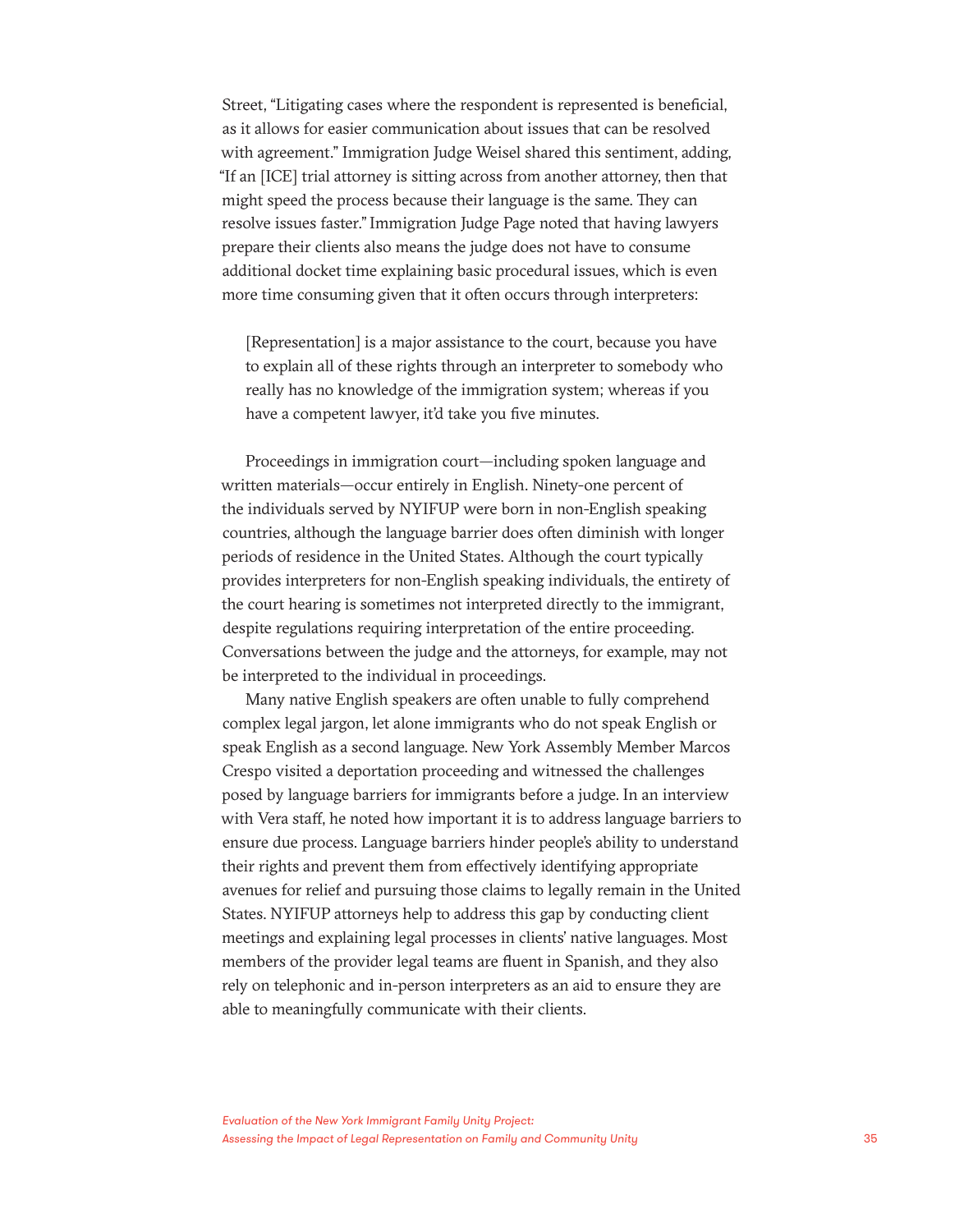Street, "Litigating cases where the respondent is represented is beneficial, as it allows for easier communication about issues that can be resolved with agreement." Immigration Judge Weisel shared this sentiment, adding, "If an [ICE] trial attorney is sitting across from another attorney, then that might speed the process because their language is the same. They can resolve issues faster." Immigration Judge Page noted that having lawyers prepare their clients also means the judge does not have to consume additional docket time explaining basic procedural issues, which is even more time consuming given that it often occurs through interpreters:

[Representation] is a major assistance to the court, because you have to explain all of these rights through an interpreter to somebody who really has no knowledge of the immigration system; whereas if you have a competent lawyer, it'd take you five minutes.

Proceedings in immigration court—including spoken language and written materials—occur entirely in English. Ninety-one percent of the individuals served by NYIFUP were born in non-English speaking countries, although the language barrier does often diminish with longer periods of residence in the United States. Although the court typically provides interpreters for non-English speaking individuals, the entirety of the court hearing is sometimes not interpreted directly to the immigrant, despite regulations requiring interpretation of the entire proceeding. Conversations between the judge and the attorneys, for example, may not be interpreted to the individual in proceedings.

Many native English speakers are often unable to fully comprehend complex legal jargon, let alone immigrants who do not speak English or speak English as a second language. New York Assembly Member Marcos Crespo visited a deportation proceeding and witnessed the challenges posed by language barriers for immigrants before a judge. In an interview with Vera staff, he noted how important it is to address language barriers to ensure due process. Language barriers hinder people's ability to understand their rights and prevent them from effectively identifying appropriate avenues for relief and pursuing those claims to legally remain in the United States. NYIFUP attorneys help to address this gap by conducting client meetings and explaining legal processes in clients' native languages. Most members of the provider legal teams are fluent in Spanish, and they also rely on telephonic and in-person interpreters as an aid to ensure they are able to meaningfully communicate with their clients.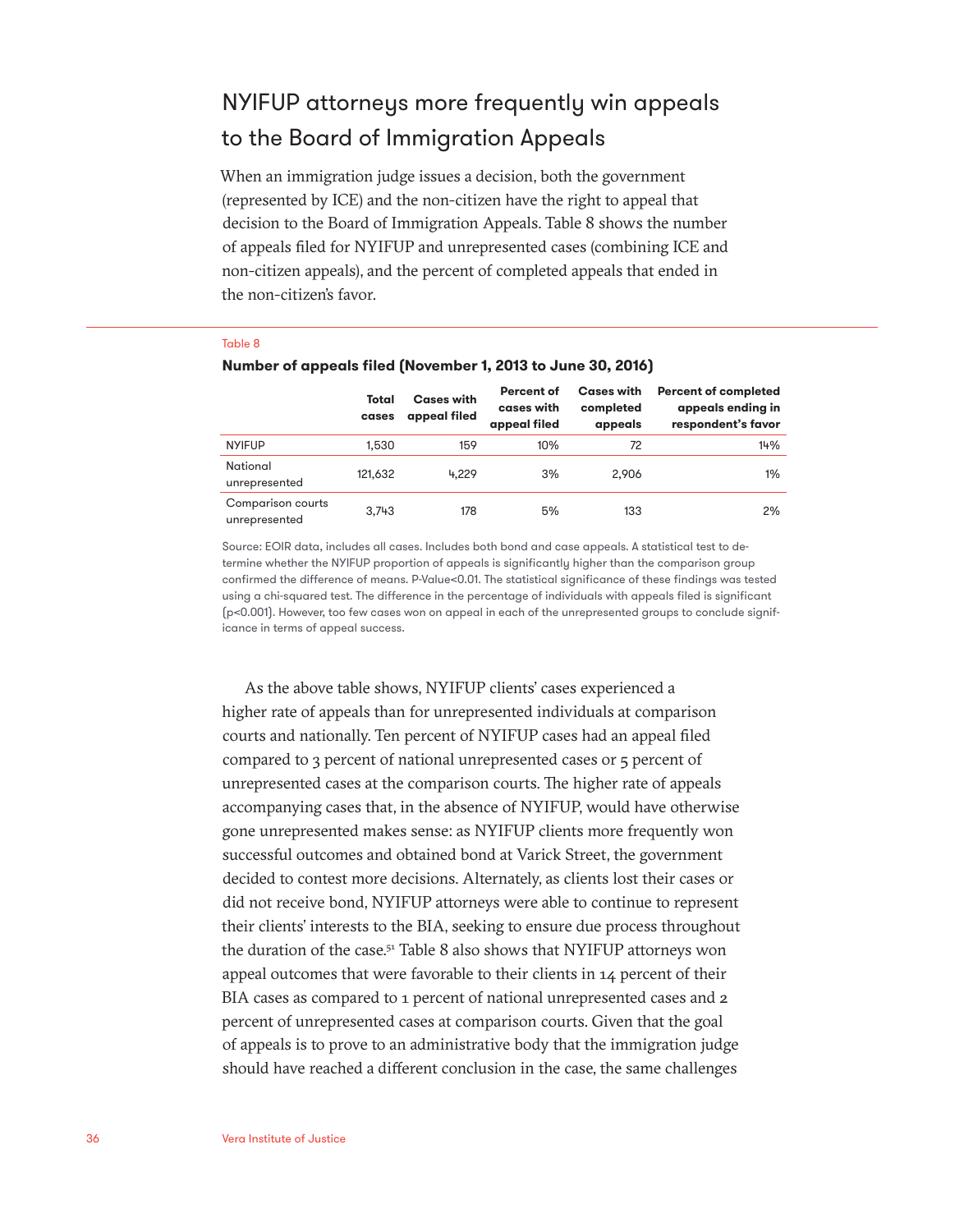### NYIFUP attorneys more frequently win appeals to the Board of Immigration Appeals

When an immigration judge issues a decision, both the government (represented by ICE) and the non-citizen have the right to appeal that decision to the Board of Immigration Appeals. Table 8 shows the number of appeals filed for NYIFUP and unrepresented cases (combining ICE and non-citizen appeals), and the percent of completed appeals that ended in the non-citizen's favor.

#### Table 8

|                                    | Total<br>cases | <b>Cases with</b><br>appeal filed | Percent of<br>cases with<br>appeal filed | <b>Cases with</b><br>completed<br>appeals | <b>Percent of completed</b><br>appeals ending in<br>respondent's favor |
|------------------------------------|----------------|-----------------------------------|------------------------------------------|-------------------------------------------|------------------------------------------------------------------------|
| <b>NYIFUP</b>                      | 1.530          | 159                               | 10%                                      | 72                                        | 14%                                                                    |
| National<br>unrepresented          | 121,632        | 4.229                             | 3%                                       | 2.906                                     | $1\%$                                                                  |
| Comparison courts<br>unrepresented | 3.743          | 178                               | 5%                                       | 133                                       | 2%                                                                     |

#### **Number of appeals filed (November 1, 2013 to June 30, 2016)**

Source: EOIR data, includes all cases. Includes both bond and case appeals. A statistical test to determine whether the NYIFUP proportion of appeals is significantly higher than the comparison group confirmed the difference of means. P-Value<0.01. The statistical significance of these findings was tested using a chi-squared test. The difference in the percentage of individuals with appeals filed is significant (p<0.001). However, too few cases won on appeal in each of the unrepresented groups to conclude significance in terms of appeal success.

As the above table shows, NYIFUP clients' cases experienced a higher rate of appeals than for unrepresented individuals at comparison courts and nationally. Ten percent of NYIFUP cases had an appeal filed compared to 3 percent of national unrepresented cases or 5 percent of unrepresented cases at the comparison courts. The higher rate of appeals accompanying cases that, in the absence of NYIFUP, would have otherwise gone unrepresented makes sense: as NYIFUP clients more frequently won successful outcomes and obtained bond at Varick Street, the government decided to contest more decisions. Alternately, as clients lost their cases or did not receive bond, NYIFUP attorneys were able to continue to represent their clients' interests to the BIA, seeking to ensure due process throughout the duration of the case.<sup>51</sup> Table 8 also shows that NYIFUP attorneys won appeal outcomes that were favorable to their clients in 14 percent of their BIA cases as compared to 1 percent of national unrepresented cases and 2 percent of unrepresented cases at comparison courts. Given that the goal of appeals is to prove to an administrative body that the immigration judge should have reached a different conclusion in the case, the same challenges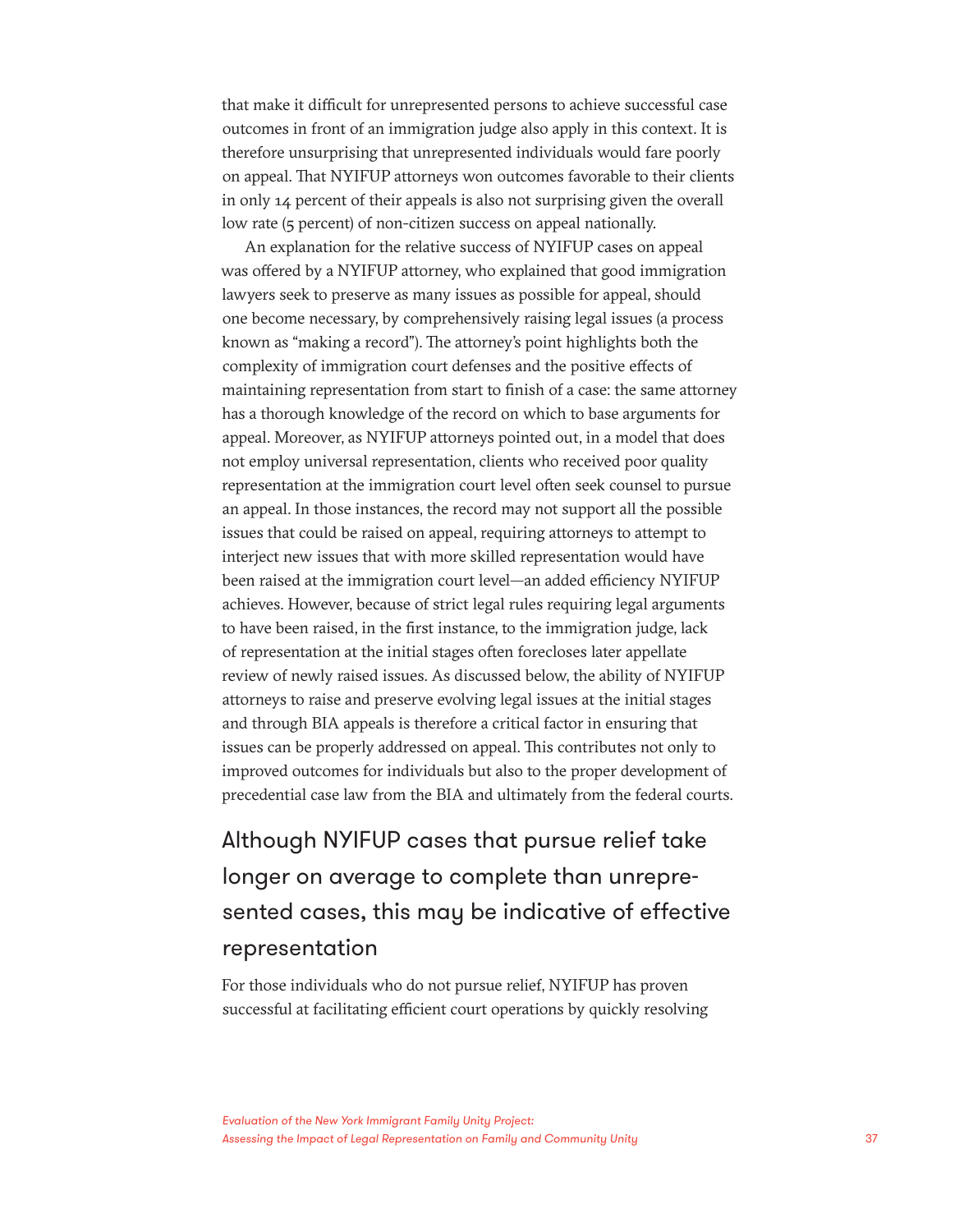that make it difficult for unrepresented persons to achieve successful case outcomes in front of an immigration judge also apply in this context. It is therefore unsurprising that unrepresented individuals would fare poorly on appeal. That NYIFUP attorneys won outcomes favorable to their clients in only 14 percent of their appeals is also not surprising given the overall low rate (5 percent) of non-citizen success on appeal nationally.

An explanation for the relative success of NYIFUP cases on appeal was offered by a NYIFUP attorney, who explained that good immigration lawyers seek to preserve as many issues as possible for appeal, should one become necessary, by comprehensively raising legal issues (a process known as "making a record"). The attorney's point highlights both the complexity of immigration court defenses and the positive effects of maintaining representation from start to finish of a case: the same attorney has a thorough knowledge of the record on which to base arguments for appeal. Moreover, as NYIFUP attorneys pointed out, in a model that does not employ universal representation, clients who received poor quality representation at the immigration court level often seek counsel to pursue an appeal. In those instances, the record may not support all the possible issues that could be raised on appeal, requiring attorneys to attempt to interject new issues that with more skilled representation would have been raised at the immigration court level—an added efficiency NYIFUP achieves. However, because of strict legal rules requiring legal arguments to have been raised, in the first instance, to the immigration judge, lack of representation at the initial stages often forecloses later appellate review of newly raised issues. As discussed below, the ability of NYIFUP attorneys to raise and preserve evolving legal issues at the initial stages and through BIA appeals is therefore a critical factor in ensuring that issues can be properly addressed on appeal. This contributes not only to improved outcomes for individuals but also to the proper development of precedential case law from the BIA and ultimately from the federal courts.

Although NYIFUP cases that pursue relief take longer on average to complete than unrepresented cases, this may be indicative of effective representation

For those individuals who do not pursue relief, NYIFUP has proven successful at facilitating efficient court operations by quickly resolving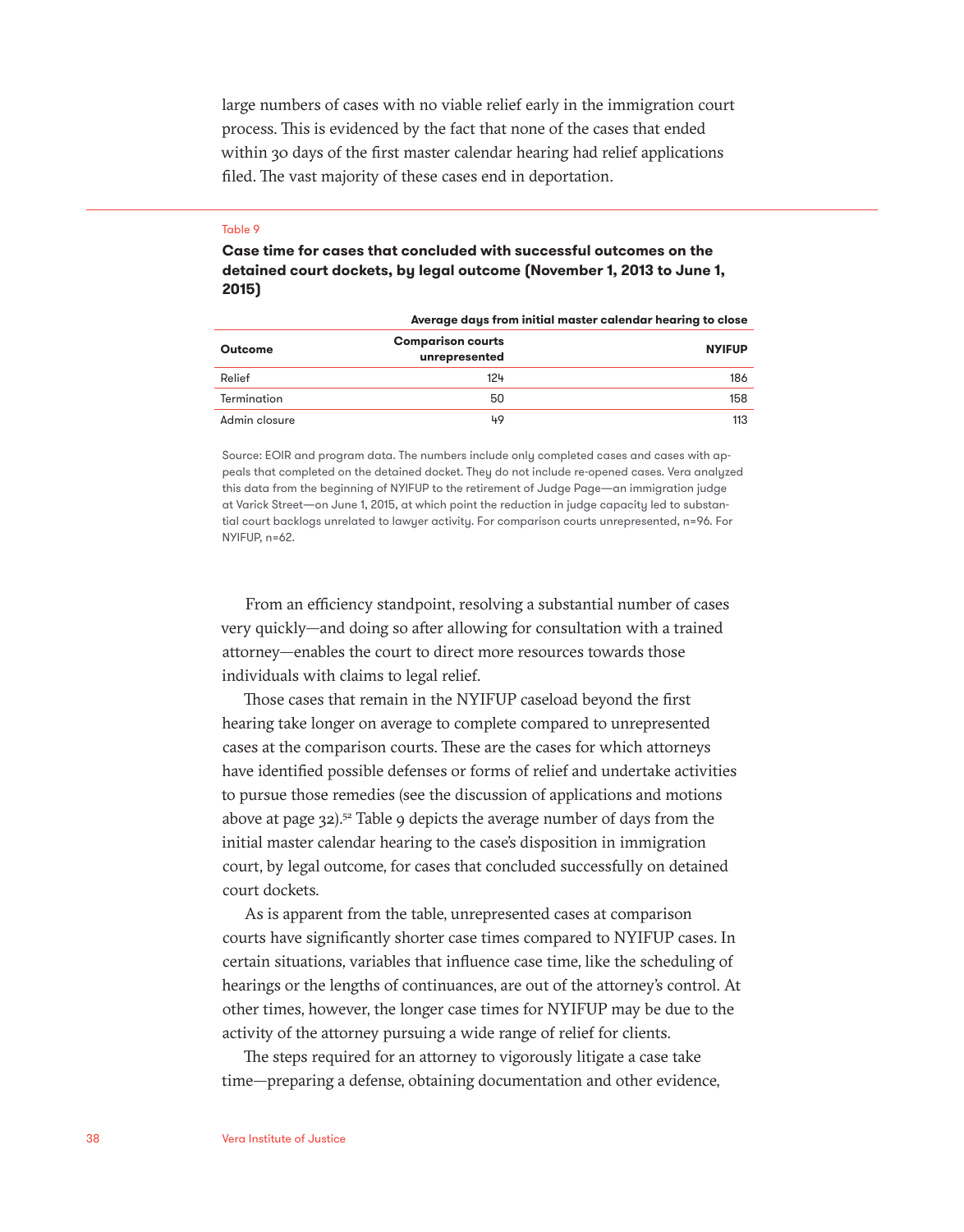large numbers of cases with no viable relief early in the immigration court process. This is evidenced by the fact that none of the cases that ended within 30 days of the first master calendar hearing had relief applications filed. The vast majority of these cases end in deportation.

#### Table 9

**Case time for cases that concluded with successful outcomes on the detained court dockets, by legal outcome (November 1, 2013 to June 1, 2015)**

|                | Average days from initial master calendar hearing to close |               |
|----------------|------------------------------------------------------------|---------------|
| <b>Outcome</b> | <b>Comparison courts</b><br>unrepresented                  | <b>NYIFUP</b> |
| Relief         | 124                                                        | 186           |
| Termination    | 50                                                         | 158           |
| Admin closure  | 49                                                         | 113           |

Source: EOIR and program data. The numbers include only completed cases and cases with appeals that completed on the detained docket. They do not include re-opened cases. Vera analyzed this data from the beginning of NYIFUP to the retirement of Judge Page—an immigration judge at Varick Street—on June 1, 2015, at which point the reduction in judge capacity led to substantial court backlogs unrelated to lawyer activity. For comparison courts unrepresented, n=96. For NYIFUP, n=62.

From an efficiency standpoint, resolving a substantial number of cases very quickly—and doing so after allowing for consultation with a trained attorney—enables the court to direct more resources towards those individuals with claims to legal relief.

Those cases that remain in the NYIFUP caseload beyond the first hearing take longer on average to complete compared to unrepresented cases at the comparison courts. These are the cases for which attorneys have identified possible defenses or forms of relief and undertake activities to pursue those remedies (see the discussion of applications and motions above at page 32).<sup>52</sup> Table 9 depicts the average number of days from the initial master calendar hearing to the case's disposition in immigration court, by legal outcome, for cases that concluded successfully on detained court dockets.

As is apparent from the table, unrepresented cases at comparison courts have significantly shorter case times compared to NYIFUP cases. In certain situations, variables that influence case time, like the scheduling of hearings or the lengths of continuances, are out of the attorney's control. At other times, however, the longer case times for NYIFUP may be due to the activity of the attorney pursuing a wide range of relief for clients.

The steps required for an attorney to vigorously litigate a case take time—preparing a defense, obtaining documentation and other evidence,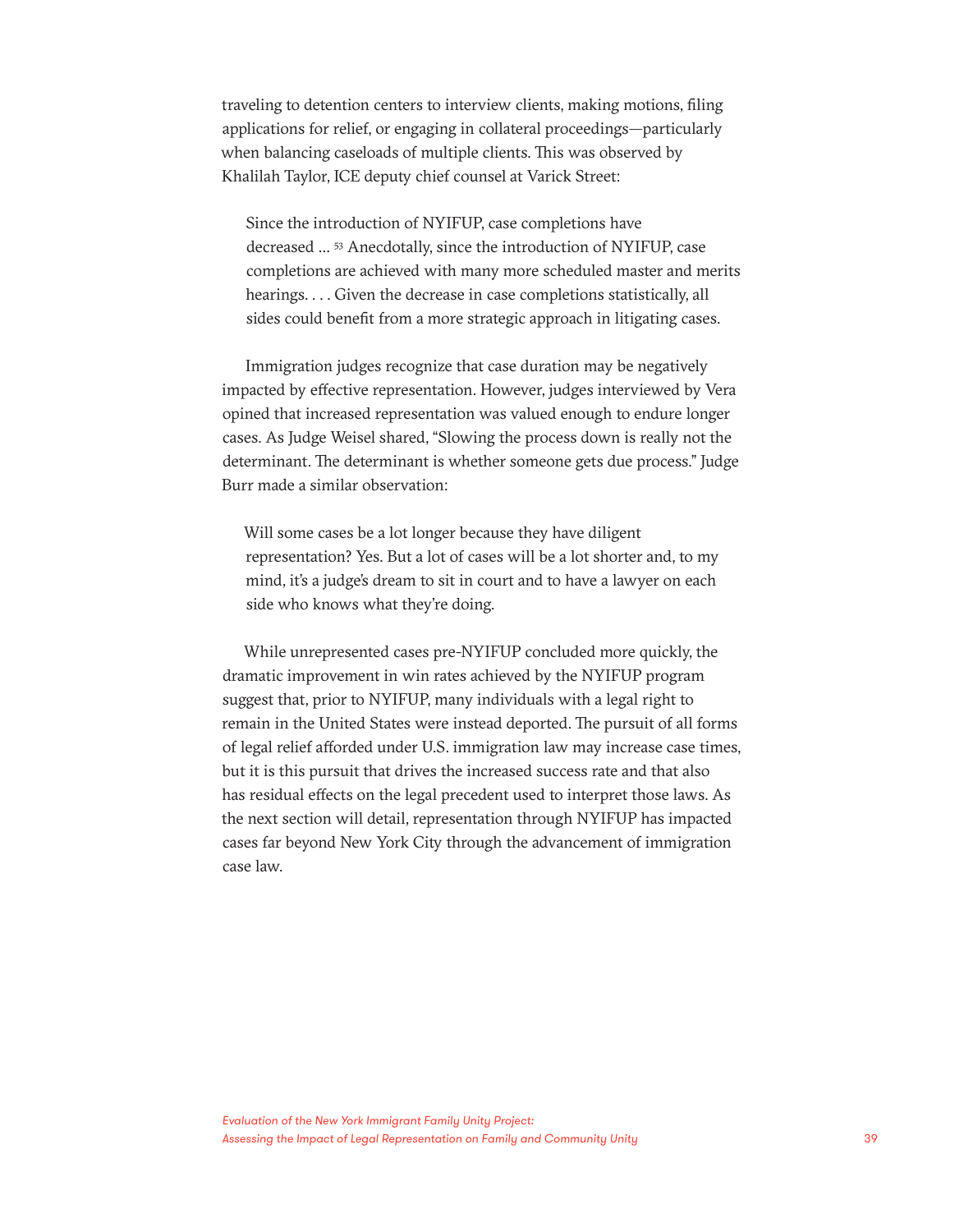traveling to detention centers to interview clients, making motions, filing applications for relief, or engaging in collateral proceedings—particularly when balancing caseloads of multiple clients. This was observed by Khalilah Taylor, ICE deputy chief counsel at Varick Street:

Since the introduction of NYIFUP, case completions have decreased … 53 Anecdotally, since the introduction of NYIFUP, case completions are achieved with many more scheduled master and merits hearings. . . . Given the decrease in case completions statistically, all sides could benefit from a more strategic approach in litigating cases.

Immigration judges recognize that case duration may be negatively impacted by effective representation. However, judges interviewed by Vera opined that increased representation was valued enough to endure longer cases. As Judge Weisel shared, "Slowing the process down is really not the determinant. The determinant is whether someone gets due process." Judge Burr made a similar observation:

Will some cases be a lot longer because they have diligent representation? Yes. But a lot of cases will be a lot shorter and, to my mind, it's a judge's dream to sit in court and to have a lawyer on each side who knows what they're doing.

While unrepresented cases pre-NYIFUP concluded more quickly, the dramatic improvement in win rates achieved by the NYIFUP program suggest that, prior to NYIFUP, many individuals with a legal right to remain in the United States were instead deported. The pursuit of all forms of legal relief afforded under U.S. immigration law may increase case times, but it is this pursuit that drives the increased success rate and that also has residual effects on the legal precedent used to interpret those laws. As the next section will detail, representation through NYIFUP has impacted cases far beyond New York City through the advancement of immigration case law.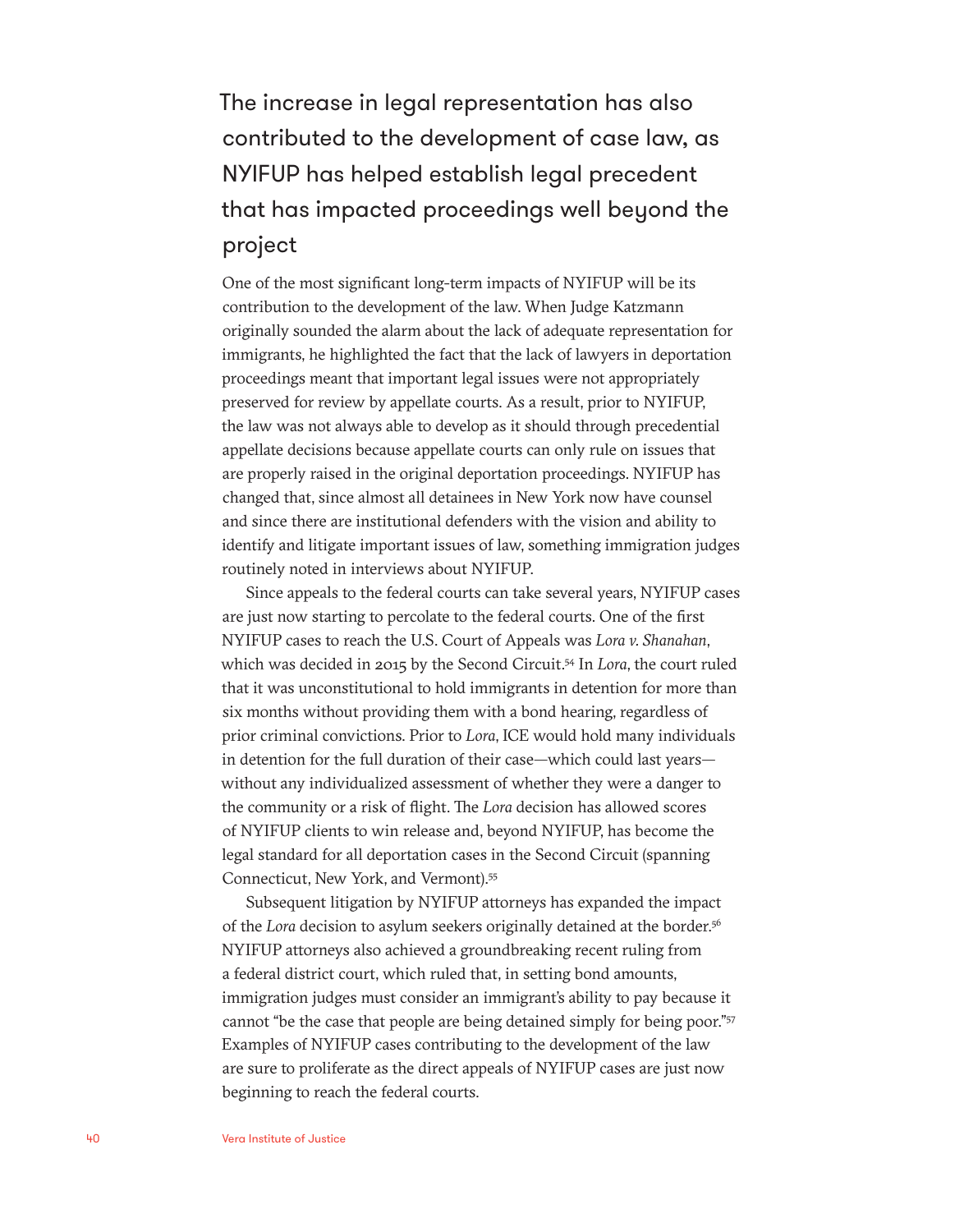The increase in legal representation has also contributed to the development of case law, as NYIFUP has helped establish legal precedent that has impacted proceedings well beyond the project

One of the most significant long-term impacts of NYIFUP will be its contribution to the development of the law. When Judge Katzmann originally sounded the alarm about the lack of adequate representation for immigrants, he highlighted the fact that the lack of lawyers in deportation proceedings meant that important legal issues were not appropriately preserved for review by appellate courts. As a result, prior to NYIFUP, the law was not always able to develop as it should through precedential appellate decisions because appellate courts can only rule on issues that are properly raised in the original deportation proceedings. NYIFUP has changed that, since almost all detainees in New York now have counsel and since there are institutional defenders with the vision and ability to identify and litigate important issues of law, something immigration judges routinely noted in interviews about NYIFUP.

Since appeals to the federal courts can take several years, NYIFUP cases are just now starting to percolate to the federal courts. One of the first NYIFUP cases to reach the U.S. Court of Appeals was *Lora v. Shanahan*, which was decided in 2015 by the Second Circuit.54 In *Lora*, the court ruled that it was unconstitutional to hold immigrants in detention for more than six months without providing them with a bond hearing, regardless of prior criminal convictions. Prior to *Lora*, ICE would hold many individuals in detention for the full duration of their case—which could last years without any individualized assessment of whether they were a danger to the community or a risk of flight. The *Lora* decision has allowed scores of NYIFUP clients to win release and, beyond NYIFUP, has become the legal standard for all deportation cases in the Second Circuit (spanning Connecticut, New York, and Vermont).55

Subsequent litigation by NYIFUP attorneys has expanded the impact of the *Lora* decision to asylum seekers originally detained at the border.<sup>56</sup> NYIFUP attorneys also achieved a groundbreaking recent ruling from a federal district court, which ruled that, in setting bond amounts, immigration judges must consider an immigrant's ability to pay because it cannot "be the case that people are being detained simply for being poor."57 Examples of NYIFUP cases contributing to the development of the law are sure to proliferate as the direct appeals of NYIFUP cases are just now beginning to reach the federal courts.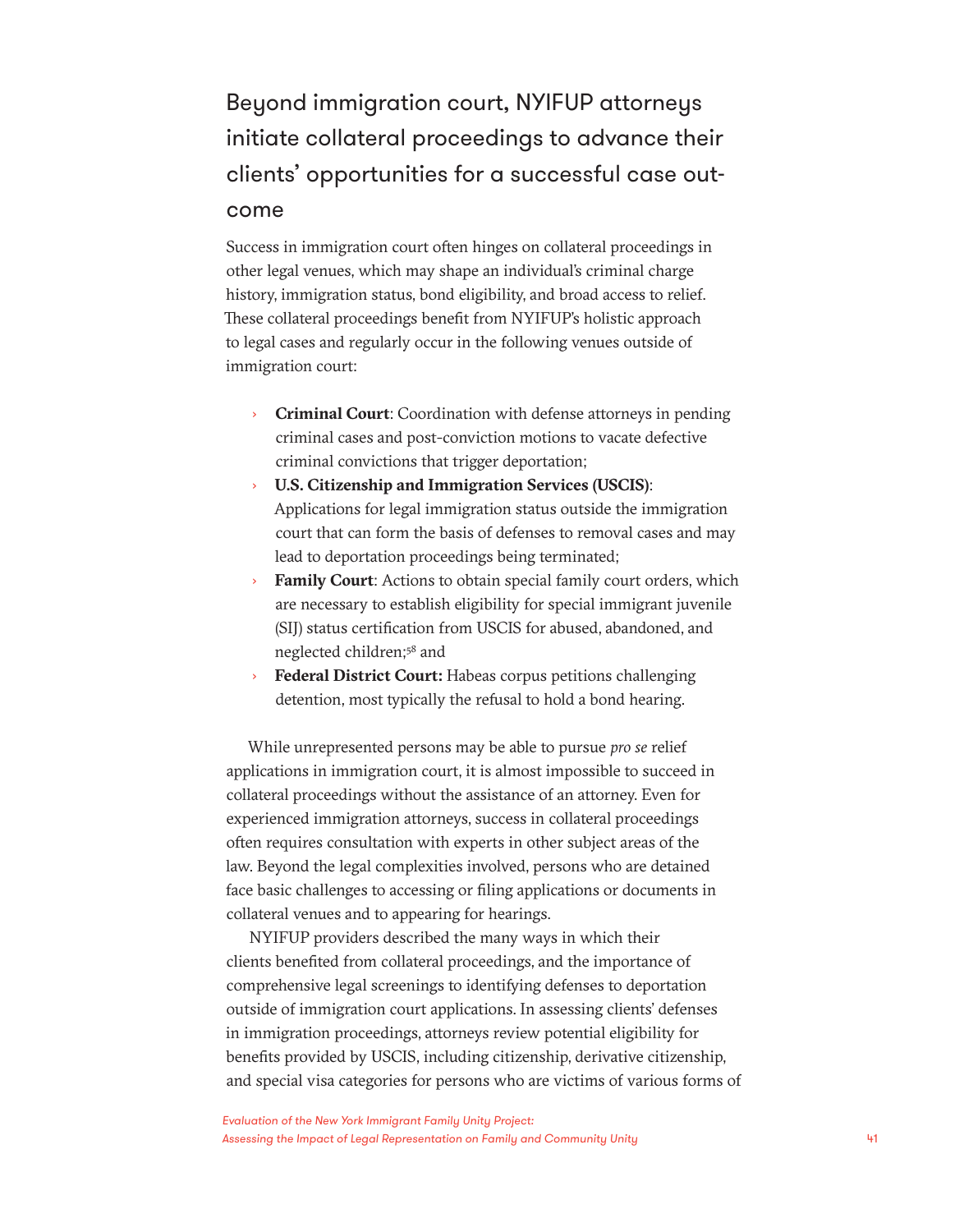### Beyond immigration court, NYIFUP attorneys initiate collateral proceedings to advance their clients' opportunities for a successful case outcome

Success in immigration court often hinges on collateral proceedings in other legal venues, which may shape an individual's criminal charge history, immigration status, bond eligibility, and broad access to relief. These collateral proceedings benefit from NYIFUP's holistic approach to legal cases and regularly occur in the following venues outside of immigration court:

- **Criminal Court**: Coordination with defense attorneys in pending criminal cases and post-conviction motions to vacate defective criminal convictions that trigger deportation;
- **U.S. Citizenship and Immigration Services (USCIS):** Applications for legal immigration status outside the immigration court that can form the basis of defenses to removal cases and may lead to deportation proceedings being terminated;
- Family Court: Actions to obtain special family court orders, which are necessary to establish eligibility for special immigrant juvenile (SIJ) status certification from USCIS for abused, abandoned, and neglected children;<sup>58</sup> and
- › **Federal District Court:** Habeas corpus petitions challenging detention, most typically the refusal to hold a bond hearing.

While unrepresented persons may be able to pursue *pro se* relief applications in immigration court, it is almost impossible to succeed in collateral proceedings without the assistance of an attorney. Even for experienced immigration attorneys, success in collateral proceedings often requires consultation with experts in other subject areas of the law. Beyond the legal complexities involved, persons who are detained face basic challenges to accessing or filing applications or documents in collateral venues and to appearing for hearings.

NYIFUP providers described the many ways in which their clients benefited from collateral proceedings, and the importance of comprehensive legal screenings to identifying defenses to deportation outside of immigration court applications. In assessing clients' defenses in immigration proceedings, attorneys review potential eligibility for benefits provided by USCIS, including citizenship, derivative citizenship, and special visa categories for persons who are victims of various forms of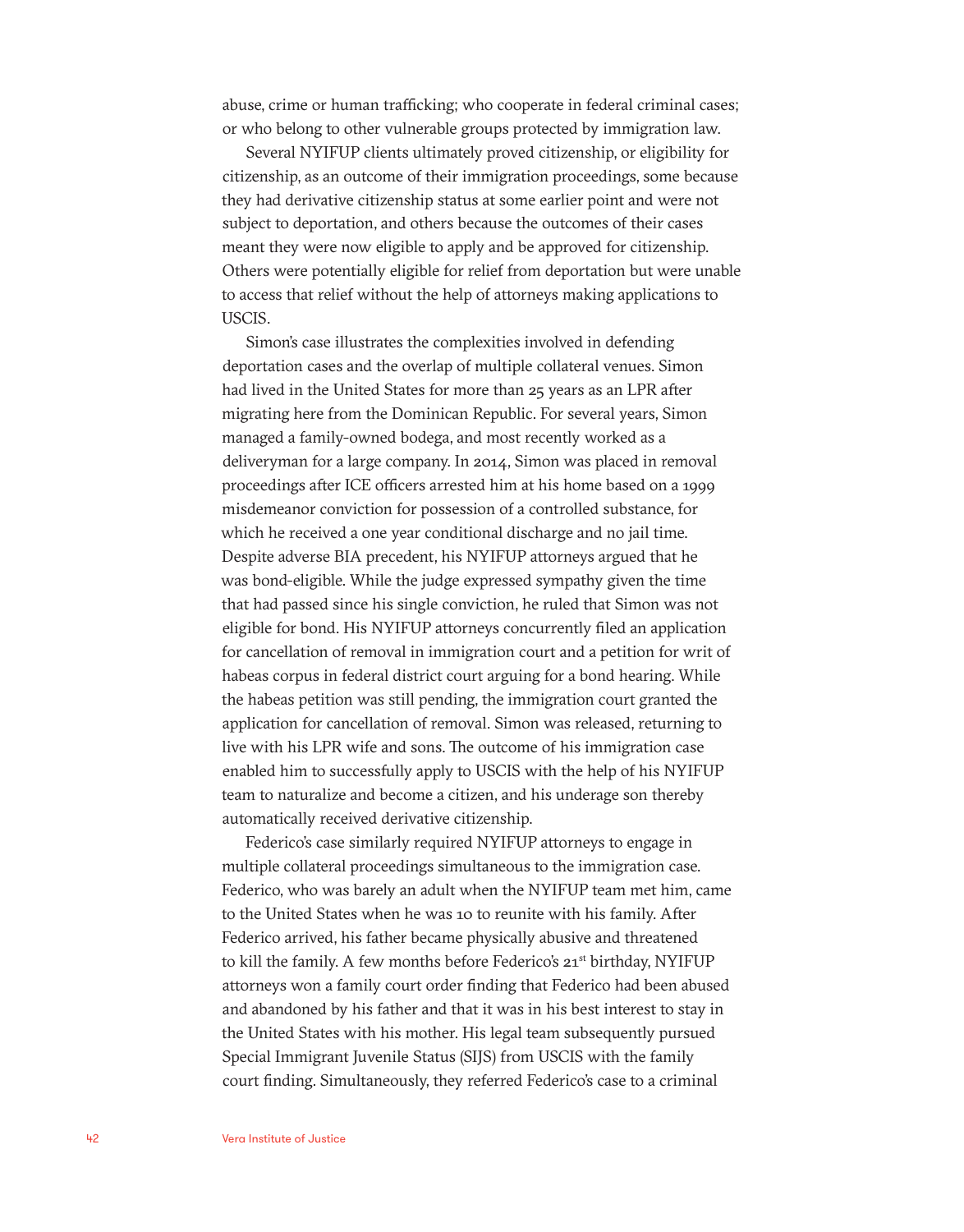abuse, crime or human trafficking; who cooperate in federal criminal cases; or who belong to other vulnerable groups protected by immigration law.

Several NYIFUP clients ultimately proved citizenship, or eligibility for citizenship, as an outcome of their immigration proceedings, some because they had derivative citizenship status at some earlier point and were not subject to deportation, and others because the outcomes of their cases meant they were now eligible to apply and be approved for citizenship. Others were potentially eligible for relief from deportation but were unable to access that relief without the help of attorneys making applications to USCIS.

Simon's case illustrates the complexities involved in defending deportation cases and the overlap of multiple collateral venues. Simon had lived in the United States for more than 25 years as an LPR after migrating here from the Dominican Republic. For several years, Simon managed a family-owned bodega, and most recently worked as a deliveryman for a large company. In 2014, Simon was placed in removal proceedings after ICE officers arrested him at his home based on a 1999 misdemeanor conviction for possession of a controlled substance, for which he received a one year conditional discharge and no jail time. Despite adverse BIA precedent, his NYIFUP attorneys argued that he was bond-eligible. While the judge expressed sympathy given the time that had passed since his single conviction, he ruled that Simon was not eligible for bond. His NYIFUP attorneys concurrently filed an application for cancellation of removal in immigration court and a petition for writ of habeas corpus in federal district court arguing for a bond hearing. While the habeas petition was still pending, the immigration court granted the application for cancellation of removal. Simon was released, returning to live with his LPR wife and sons. The outcome of his immigration case enabled him to successfully apply to USCIS with the help of his NYIFUP team to naturalize and become a citizen, and his underage son thereby automatically received derivative citizenship.

Federico's case similarly required NYIFUP attorneys to engage in multiple collateral proceedings simultaneous to the immigration case. Federico, who was barely an adult when the NYIFUP team met him, came to the United States when he was 10 to reunite with his family. After Federico arrived, his father became physically abusive and threatened to kill the family. A few months before Federico's 21<sup>st</sup> birthday, NYIFUP attorneys won a family court order finding that Federico had been abused and abandoned by his father and that it was in his best interest to stay in the United States with his mother. His legal team subsequently pursued Special Immigrant Juvenile Status (SIJS) from USCIS with the family court finding. Simultaneously, they referred Federico's case to a criminal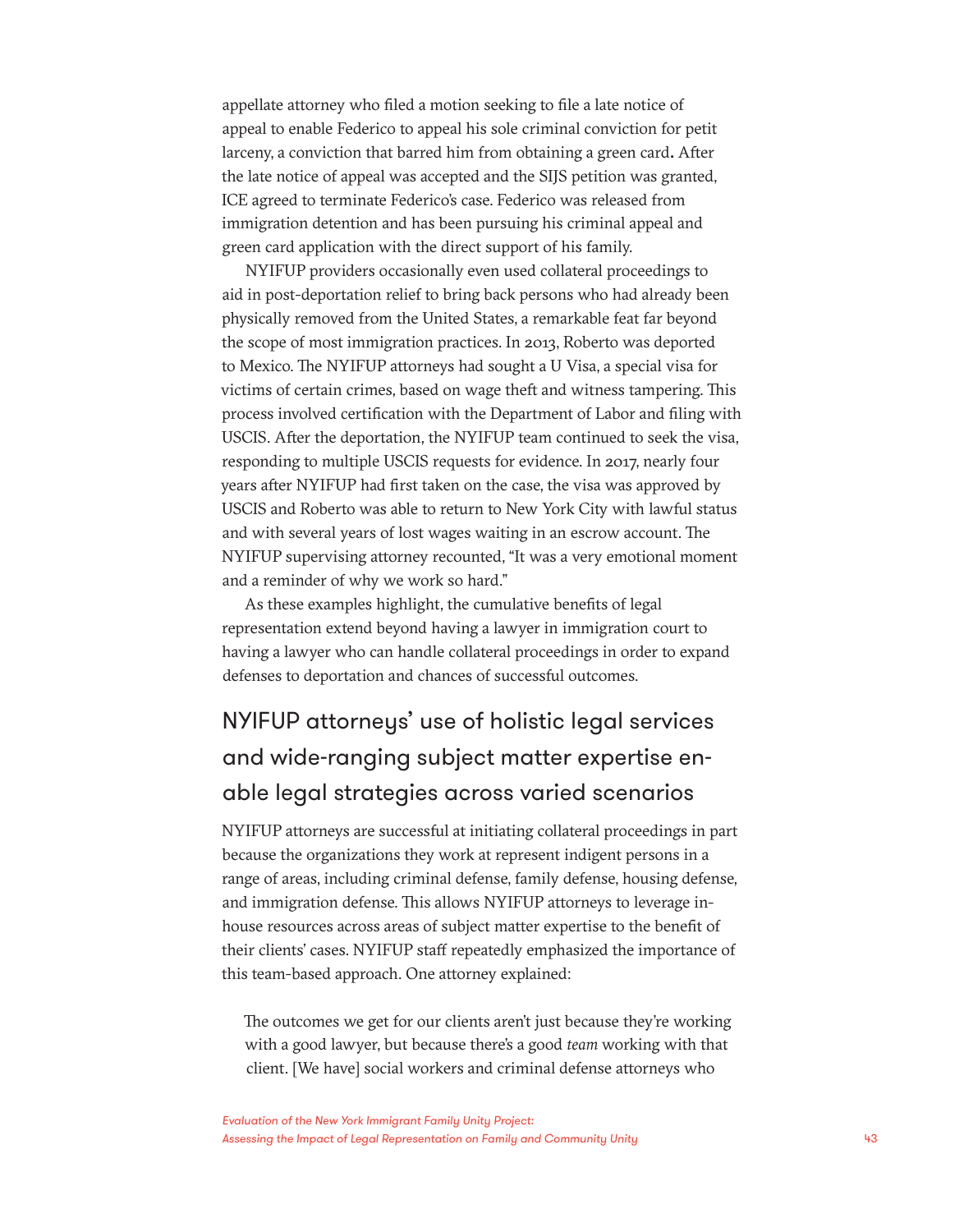appellate attorney who filed a motion seeking to file a late notice of appeal to enable Federico to appeal his sole criminal conviction for petit larceny, a conviction that barred him from obtaining a green card**.** After the late notice of appeal was accepted and the SIJS petition was granted, ICE agreed to terminate Federico's case. Federico was released from immigration detention and has been pursuing his criminal appeal and green card application with the direct support of his family.

NYIFUP providers occasionally even used collateral proceedings to aid in post-deportation relief to bring back persons who had already been physically removed from the United States, a remarkable feat far beyond the scope of most immigration practices. In 2013, Roberto was deported to Mexico. The NYIFUP attorneys had sought a U Visa, a special visa for victims of certain crimes, based on wage theft and witness tampering. This process involved certification with the Department of Labor and filing with USCIS. After the deportation, the NYIFUP team continued to seek the visa, responding to multiple USCIS requests for evidence. In 2017, nearly four years after NYIFUP had first taken on the case, the visa was approved by USCIS and Roberto was able to return to New York City with lawful status and with several years of lost wages waiting in an escrow account. The NYIFUP supervising attorney recounted, "It was a very emotional moment and a reminder of why we work so hard."

As these examples highlight, the cumulative benefits of legal representation extend beyond having a lawyer in immigration court to having a lawyer who can handle collateral proceedings in order to expand defenses to deportation and chances of successful outcomes.

### NYIFUP attorneys' use of holistic legal services and wide-ranging subject matter expertise enable legal strategies across varied scenarios

NYIFUP attorneys are successful at initiating collateral proceedings in part because the organizations they work at represent indigent persons in a range of areas, including criminal defense, family defense, housing defense, and immigration defense. This allows NYIFUP attorneys to leverage inhouse resources across areas of subject matter expertise to the benefit of their clients' cases. NYIFUP staff repeatedly emphasized the importance of this team-based approach. One attorney explained:

The outcomes we get for our clients aren't just because they're working with a good lawyer, but because there's a good *team* working with that client. [We have] social workers and criminal defense attorneys who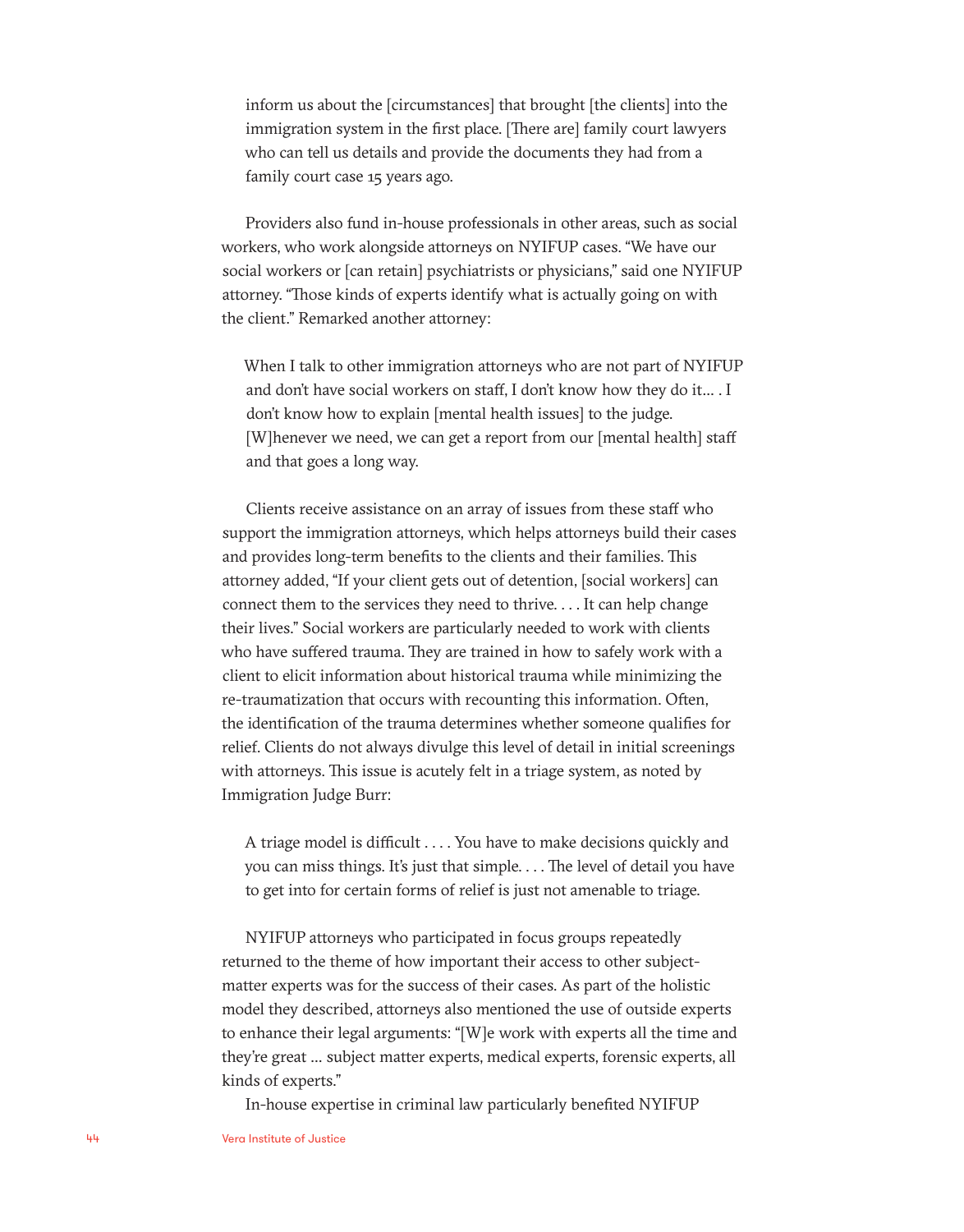inform us about the [circumstances] that brought [the clients] into the immigration system in the first place. [There are] family court lawyers who can tell us details and provide the documents they had from a family court case 15 years ago.

Providers also fund in-house professionals in other areas, such as social workers, who work alongside attorneys on NYIFUP cases. "We have our social workers or [can retain] psychiatrists or physicians," said one NYIFUP attorney. "Those kinds of experts identify what is actually going on with the client." Remarked another attorney:

When I talk to other immigration attorneys who are not part of NYIFUP and don't have social workers on staff, I don't know how they do it… . I don't know how to explain [mental health issues] to the judge. [W]henever we need, we can get a report from our [mental health] staff and that goes a long way.

Clients receive assistance on an array of issues from these staff who support the immigration attorneys, which helps attorneys build their cases and provides long-term benefits to the clients and their families. This attorney added, "If your client gets out of detention, [social workers] can connect them to the services they need to thrive. . . . It can help change their lives." Social workers are particularly needed to work with clients who have suffered trauma. They are trained in how to safely work with a client to elicit information about historical trauma while minimizing the re-traumatization that occurs with recounting this information. Often, the identification of the trauma determines whether someone qualifies for relief. Clients do not always divulge this level of detail in initial screenings with attorneys. This issue is acutely felt in a triage system, as noted by Immigration Judge Burr:

A triage model is difficult . . . . You have to make decisions quickly and you can miss things. It's just that simple. . . . The level of detail you have to get into for certain forms of relief is just not amenable to triage.

NYIFUP attorneys who participated in focus groups repeatedly returned to the theme of how important their access to other subjectmatter experts was for the success of their cases. As part of the holistic model they described, attorneys also mentioned the use of outside experts to enhance their legal arguments: "[W]e work with experts all the time and they're great … subject matter experts, medical experts, forensic experts, all kinds of experts."

In-house expertise in criminal law particularly benefited NYIFUP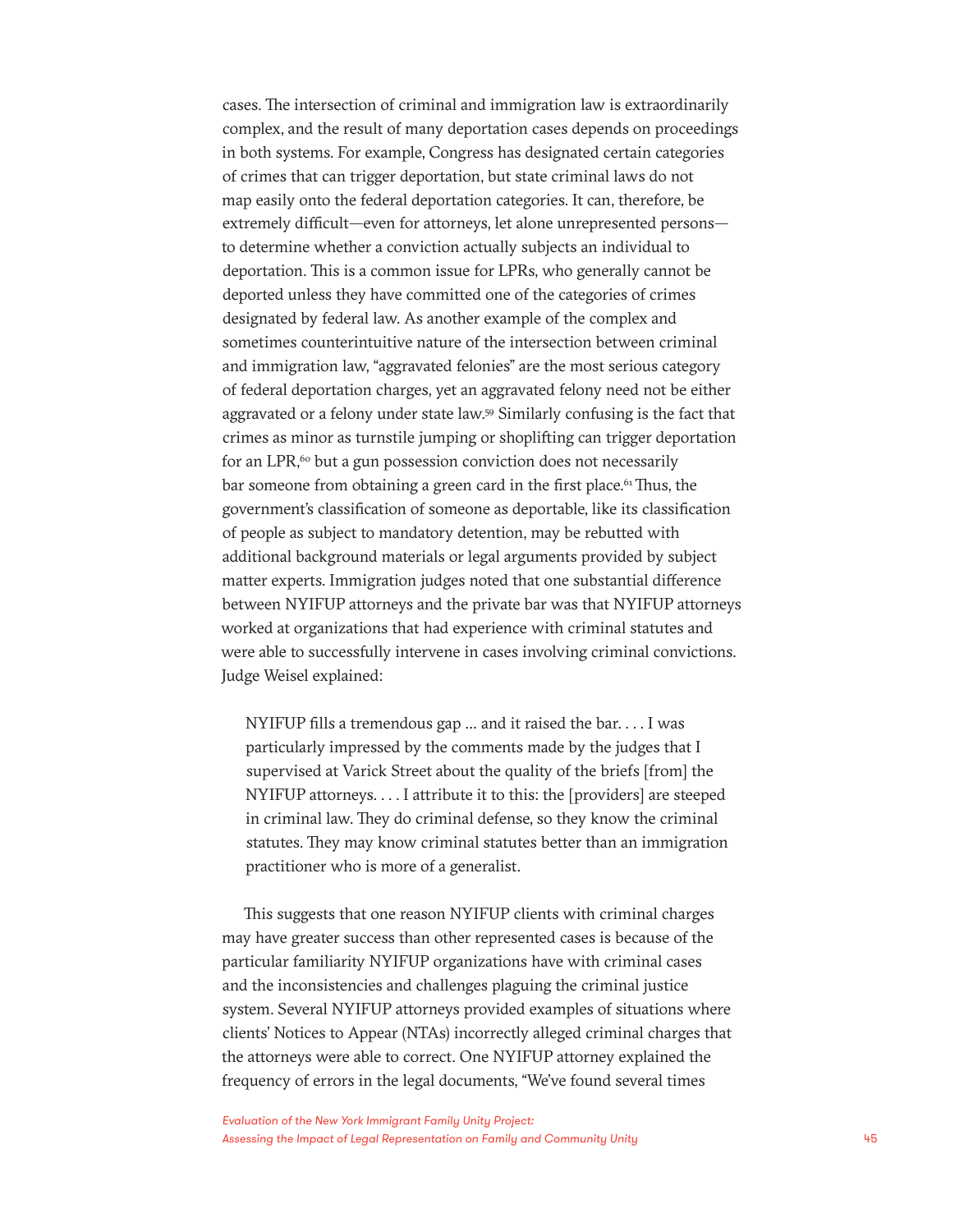cases. The intersection of criminal and immigration law is extraordinarily complex, and the result of many deportation cases depends on proceedings in both systems. For example, Congress has designated certain categories of crimes that can trigger deportation, but state criminal laws do not map easily onto the federal deportation categories. It can, therefore, be extremely difficult—even for attorneys, let alone unrepresented persons to determine whether a conviction actually subjects an individual to deportation. This is a common issue for LPRs, who generally cannot be deported unless they have committed one of the categories of crimes designated by federal law. As another example of the complex and sometimes counterintuitive nature of the intersection between criminal and immigration law, "aggravated felonies" are the most serious category of federal deportation charges, yet an aggravated felony need not be either aggravated or a felony under state law.59 Similarly confusing is the fact that crimes as minor as turnstile jumping or shoplifting can trigger deportation for an LPR, $60$  but a gun possession conviction does not necessarily bar someone from obtaining a green card in the first place.<sup>61</sup> Thus, the government's classification of someone as deportable, like its classification of people as subject to mandatory detention, may be rebutted with additional background materials or legal arguments provided by subject matter experts. Immigration judges noted that one substantial difference between NYIFUP attorneys and the private bar was that NYIFUP attorneys worked at organizations that had experience with criminal statutes and were able to successfully intervene in cases involving criminal convictions. Judge Weisel explained:

NYIFUP fills a tremendous gap … and it raised the bar. . . . I was particularly impressed by the comments made by the judges that I supervised at Varick Street about the quality of the briefs [from] the NYIFUP attorneys. . . . I attribute it to this: the [providers] are steeped in criminal law. They do criminal defense, so they know the criminal statutes. They may know criminal statutes better than an immigration practitioner who is more of a generalist.

This suggests that one reason NYIFUP clients with criminal charges may have greater success than other represented cases is because of the particular familiarity NYIFUP organizations have with criminal cases and the inconsistencies and challenges plaguing the criminal justice system. Several NYIFUP attorneys provided examples of situations where clients' Notices to Appear (NTAs) incorrectly alleged criminal charges that the attorneys were able to correct. One NYIFUP attorney explained the frequency of errors in the legal documents, "We've found several times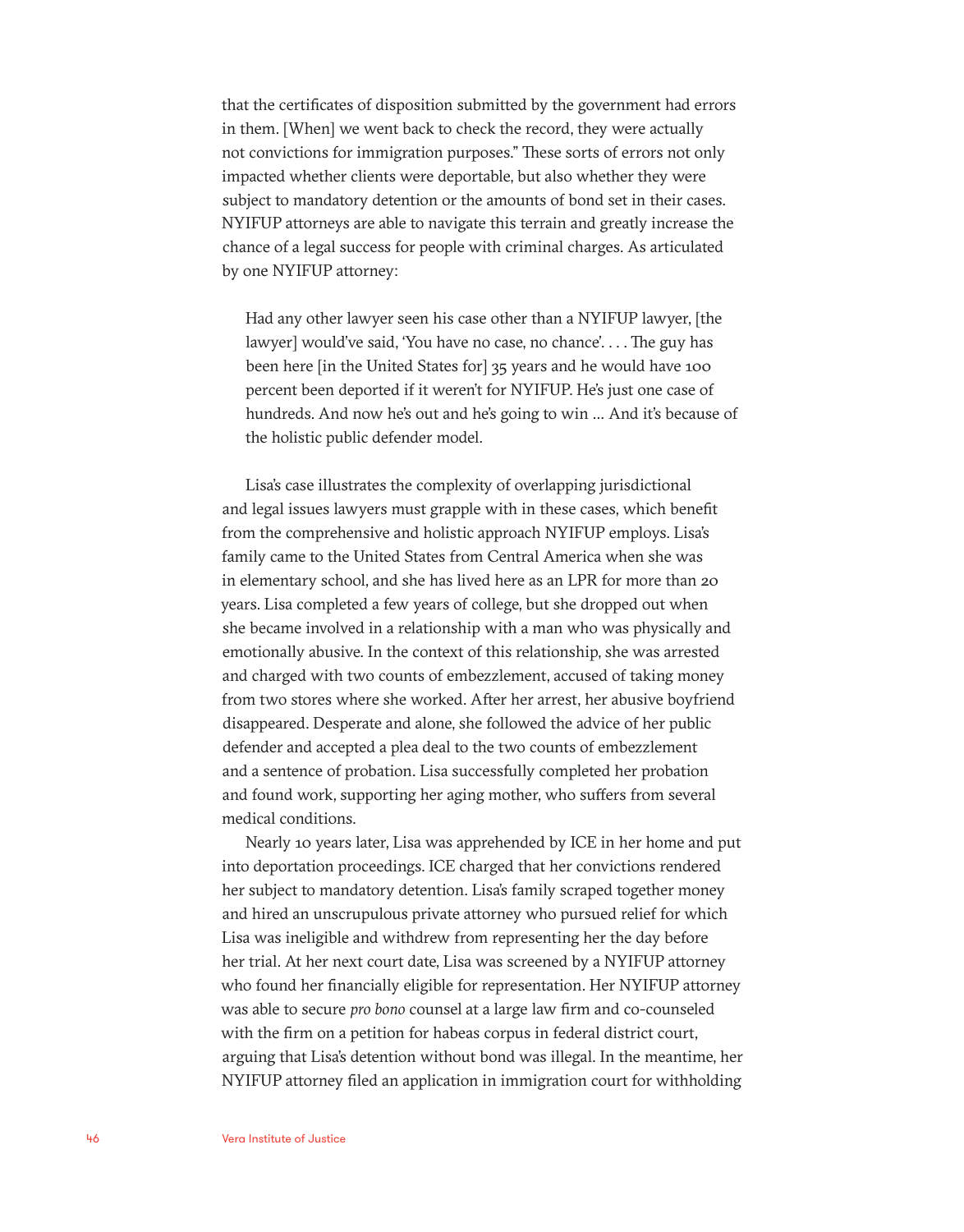that the certificates of disposition submitted by the government had errors in them. [When] we went back to check the record, they were actually not convictions for immigration purposes." These sorts of errors not only impacted whether clients were deportable, but also whether they were subject to mandatory detention or the amounts of bond set in their cases. NYIFUP attorneys are able to navigate this terrain and greatly increase the chance of a legal success for people with criminal charges. As articulated by one NYIFUP attorney:

Had any other lawyer seen his case other than a NYIFUP lawyer, [the lawyer] would've said, 'You have no case, no chance'. . . . The guy has been here [in the United States for] 35 years and he would have 100 percent been deported if it weren't for NYIFUP. He's just one case of hundreds. And now he's out and he's going to win … And it's because of the holistic public defender model.

Lisa's case illustrates the complexity of overlapping jurisdictional and legal issues lawyers must grapple with in these cases, which benefit from the comprehensive and holistic approach NYIFUP employs. Lisa's family came to the United States from Central America when she was in elementary school, and she has lived here as an LPR for more than 20 years. Lisa completed a few years of college, but she dropped out when she became involved in a relationship with a man who was physically and emotionally abusive. In the context of this relationship, she was arrested and charged with two counts of embezzlement, accused of taking money from two stores where she worked. After her arrest, her abusive boyfriend disappeared. Desperate and alone, she followed the advice of her public defender and accepted a plea deal to the two counts of embezzlement and a sentence of probation. Lisa successfully completed her probation and found work, supporting her aging mother, who suffers from several medical conditions.

Nearly 10 years later, Lisa was apprehended by ICE in her home and put into deportation proceedings. ICE charged that her convictions rendered her subject to mandatory detention. Lisa's family scraped together money and hired an unscrupulous private attorney who pursued relief for which Lisa was ineligible and withdrew from representing her the day before her trial. At her next court date, Lisa was screened by a NYIFUP attorney who found her financially eligible for representation. Her NYIFUP attorney was able to secure *pro bono* counsel at a large law firm and co-counseled with the firm on a petition for habeas corpus in federal district court, arguing that Lisa's detention without bond was illegal. In the meantime, her NYIFUP attorney filed an application in immigration court for withholding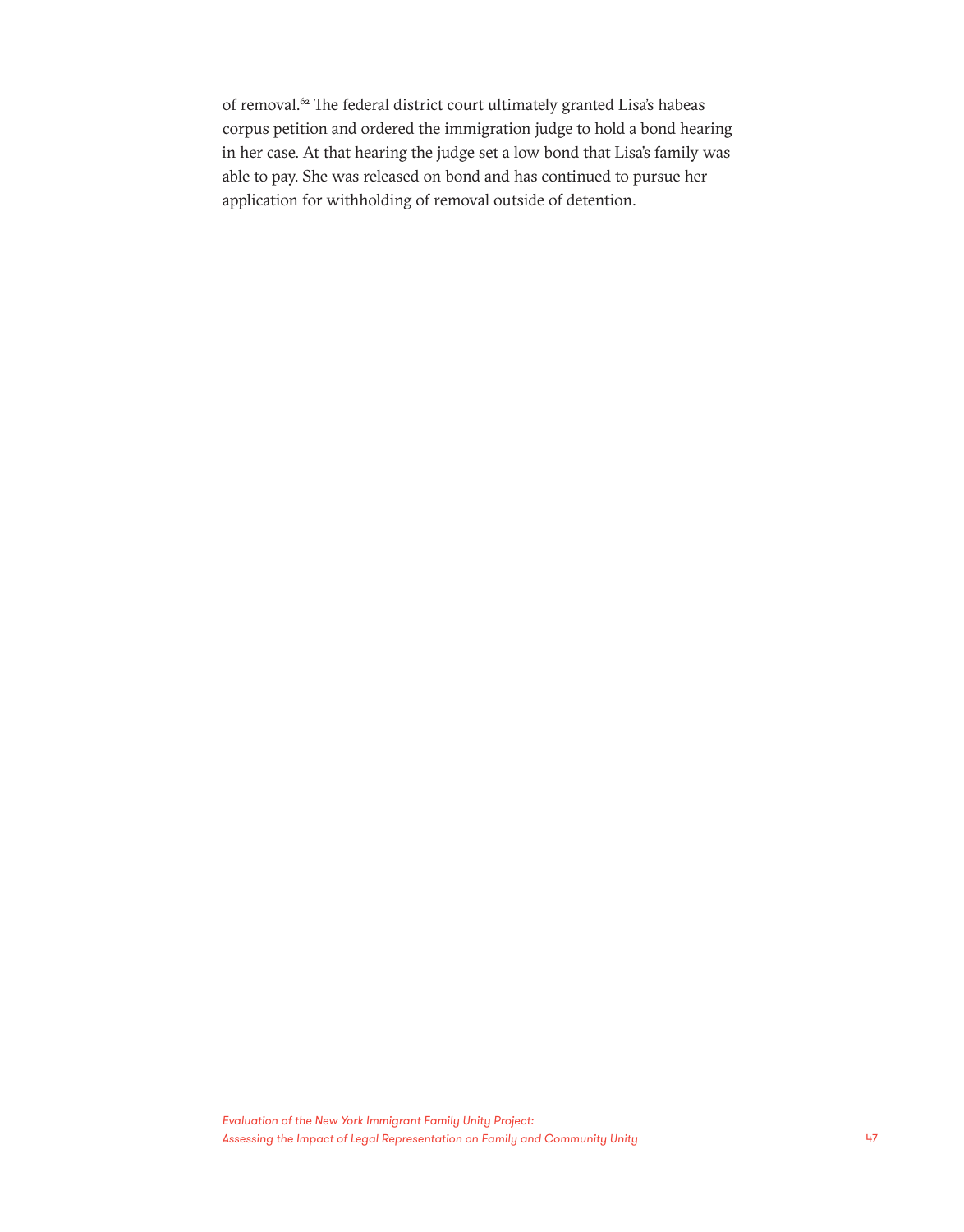of removal.<sup>62</sup> The federal district court ultimately granted Lisa's habeas corpus petition and ordered the immigration judge to hold a bond hearing in her case. At that hearing the judge set a low bond that Lisa's family was able to pay. She was released on bond and has continued to pursue her application for withholding of removal outside of detention.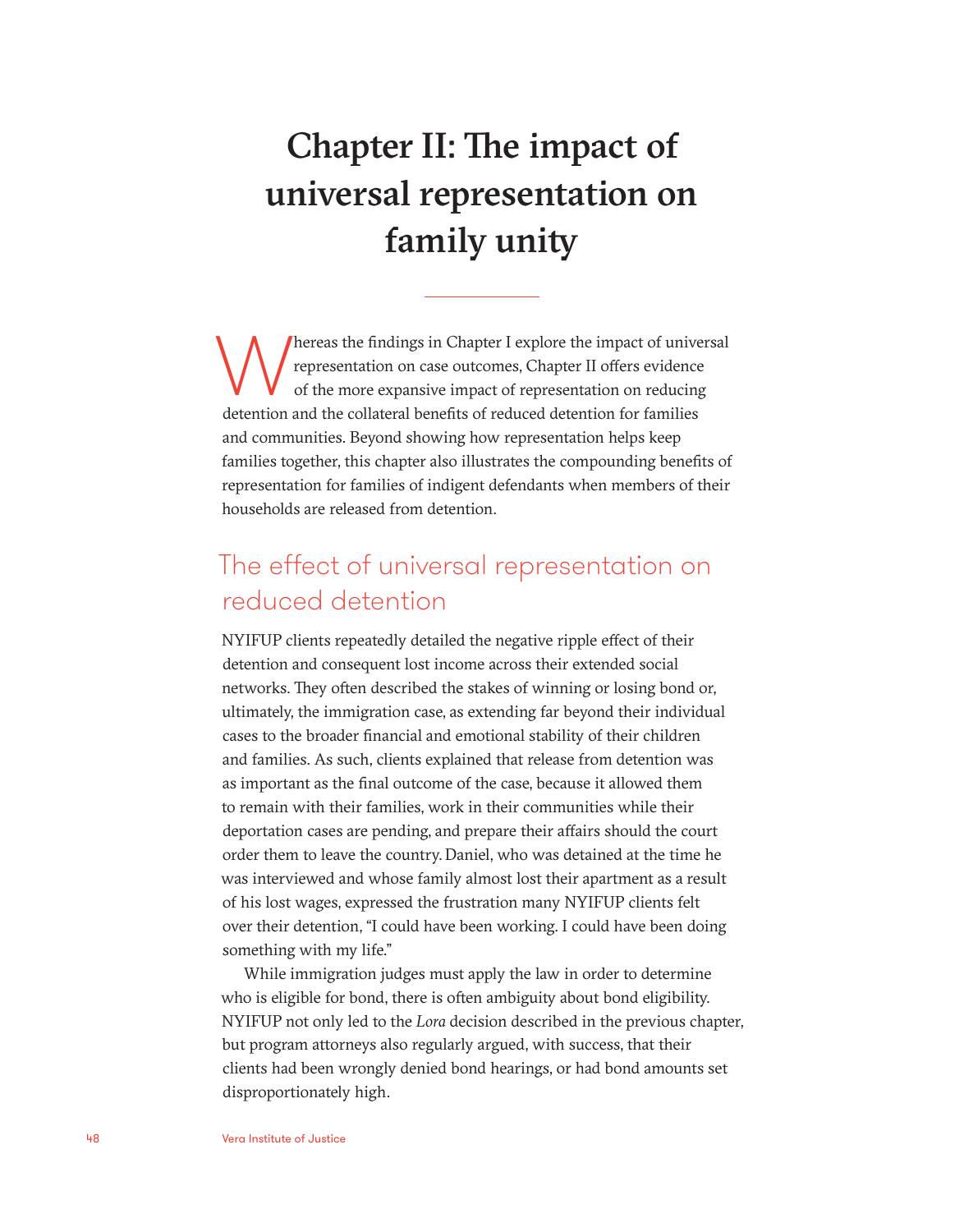# Chapter II: The impact of universal representation on family unity

Thereas the findings in Chapter I explore the impact of universal<br>representation on case outcomes, Chapter II offers evidence<br>of the more expansive impact of representation on reducing<br>detention and the collateral benefits representation on case outcomes, Chapter II offers evidence of the more expansive impact of representation on reducing detention and the collateral benefits of reduced detention for families and communities. Beyond showing how representation helps keep families together, this chapter also illustrates the compounding benefits of representation for families of indigent defendants when members of their households are released from detention.

### The effect of universal representation on reduced detention

NYIFUP clients repeatedly detailed the negative ripple effect of their detention and consequent lost income across their extended social networks. They often described the stakes of winning or losing bond or, ultimately, the immigration case, as extending far beyond their individual cases to the broader financial and emotional stability of their children and families. As such, clients explained that release from detention was as important as the final outcome of the case, because it allowed them to remain with their families, work in their communities while their deportation cases are pending, and prepare their affairs should the court order them to leave the country. Daniel, who was detained at the time he was interviewed and whose family almost lost their apartment as a result of his lost wages, expressed the frustration many NYIFUP clients felt over their detention, "I could have been working. I could have been doing something with my life."

While immigration judges must apply the law in order to determine who is eligible for bond, there is often ambiguity about bond eligibility. NYIFUP not only led to the *Lora* decision described in the previous chapter, but program attorneys also regularly argued, with success, that their clients had been wrongly denied bond hearings, or had bond amounts set disproportionately high.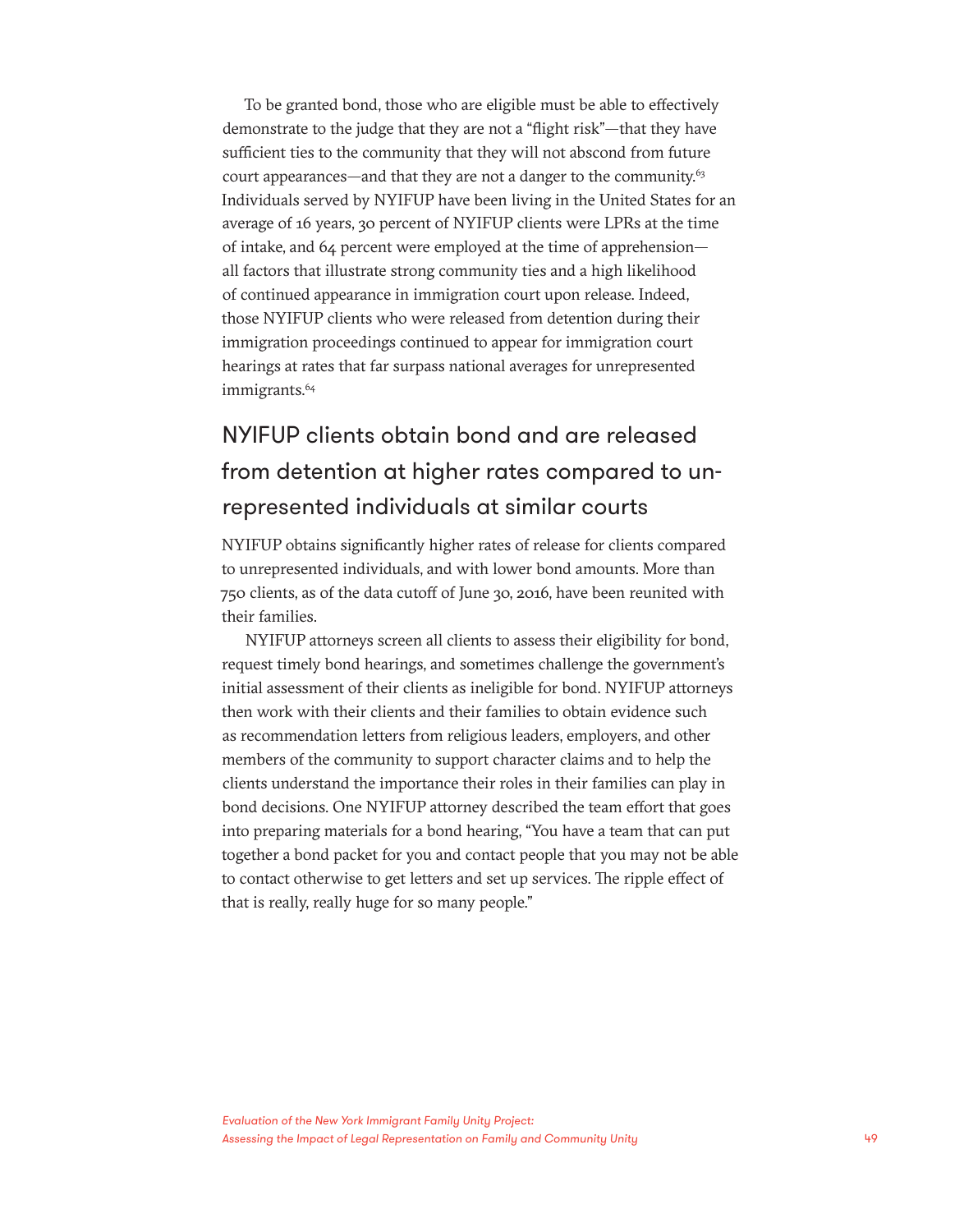To be granted bond, those who are eligible must be able to effectively demonstrate to the judge that they are not a "flight risk"—that they have sufficient ties to the community that they will not abscond from future court appearances—and that they are not a danger to the community.<sup>63</sup> Individuals served by NYIFUP have been living in the United States for an average of 16 years, 30 percent of NYIFUP clients were LPRs at the time of intake, and 64 percent were employed at the time of apprehension all factors that illustrate strong community ties and a high likelihood of continued appearance in immigration court upon release. Indeed, those NYIFUP clients who were released from detention during their immigration proceedings continued to appear for immigration court hearings at rates that far surpass national averages for unrepresented immigrants.<sup>64</sup>

### NYIFUP clients obtain bond and are released from detention at higher rates compared to unrepresented individuals at similar courts

NYIFUP obtains significantly higher rates of release for clients compared to unrepresented individuals, and with lower bond amounts. More than 750 clients, as of the data cutoff of June 30, 2016, have been reunited with their families.

NYIFUP attorneys screen all clients to assess their eligibility for bond, request timely bond hearings, and sometimes challenge the government's initial assessment of their clients as ineligible for bond. NYIFUP attorneys then work with their clients and their families to obtain evidence such as recommendation letters from religious leaders, employers, and other members of the community to support character claims and to help the clients understand the importance their roles in their families can play in bond decisions. One NYIFUP attorney described the team effort that goes into preparing materials for a bond hearing, "You have a team that can put together a bond packet for you and contact people that you may not be able to contact otherwise to get letters and set up services. The ripple effect of that is really, really huge for so many people."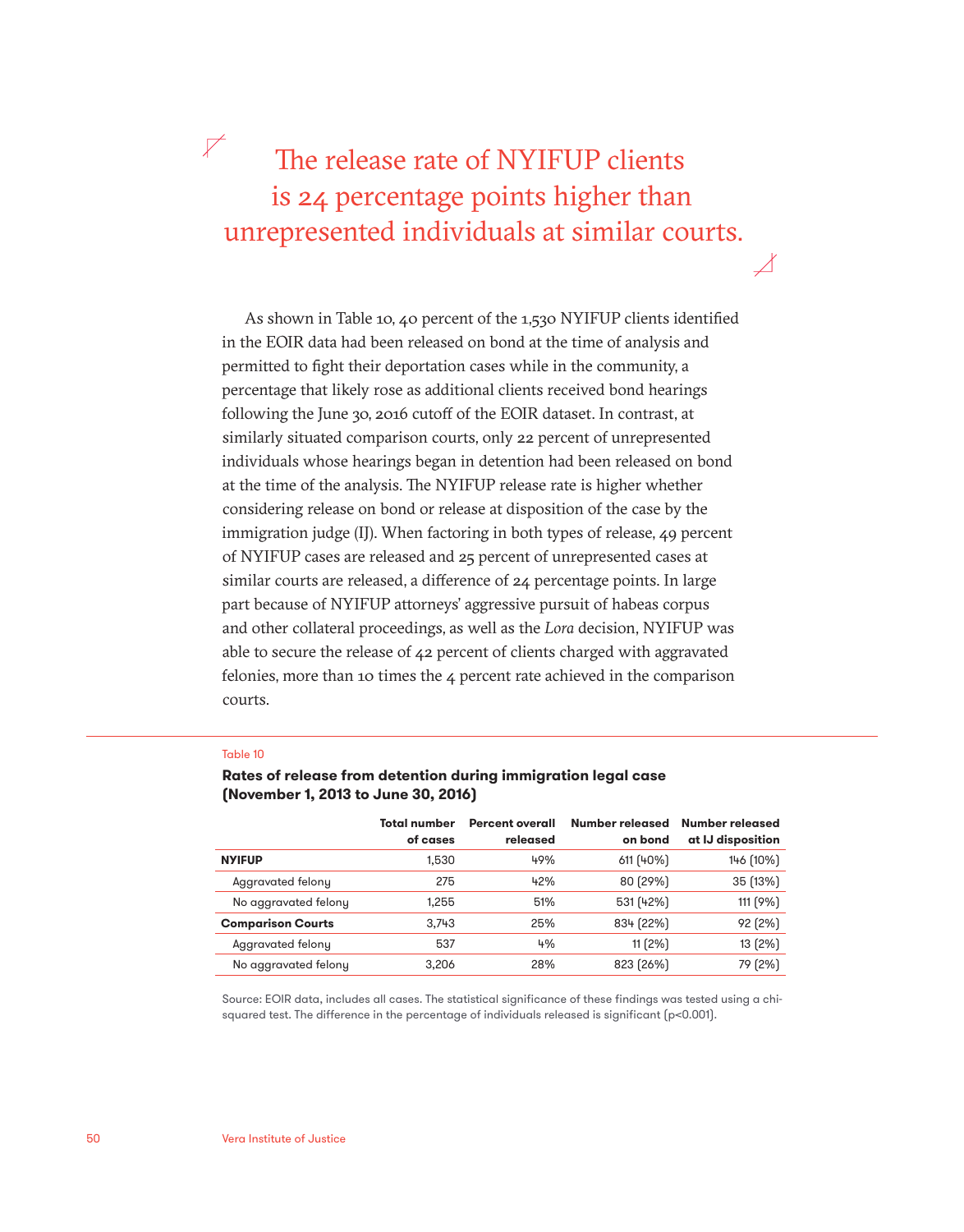### $\nabla$ The release rate of NYIFUP clients is 24 percentage points higher than unrepresented individuals at similar courts.

 $\angle$ 

As shown in Table 10, 40 percent of the 1,530 NYIFUP clients identified in the EOIR data had been released on bond at the time of analysis and permitted to fight their deportation cases while in the community, a percentage that likely rose as additional clients received bond hearings following the June 30, 2016 cutoff of the EOIR dataset. In contrast, at similarly situated comparison courts, only 22 percent of unrepresented individuals whose hearings began in detention had been released on bond at the time of the analysis. The NYIFUP release rate is higher whether considering release on bond or release at disposition of the case by the immigration judge (IJ). When factoring in both types of release, 49 percent of NYIFUP cases are released and 25 percent of unrepresented cases at similar courts are released, a difference of 24 percentage points. In large part because of NYIFUP attorneys' aggressive pursuit of habeas corpus and other collateral proceedings, as well as the *Lora* decision, NYIFUP was able to secure the release of 42 percent of clients charged with aggravated felonies, more than 10 times the 4 percent rate achieved in the comparison courts.

#### Table 10

| (November 1, 2013 to June 30, 2016) |                                 |                                    |                            |                                      |  |  |
|-------------------------------------|---------------------------------|------------------------------------|----------------------------|--------------------------------------|--|--|
|                                     | <b>Total number</b><br>of cases | <b>Percent overall</b><br>released | Number released<br>on bond | Number released<br>at IJ disposition |  |  |
| <b>NYIFUP</b>                       | 1.530                           | 49%                                | 611 (40%)                  | 146 (10%)                            |  |  |
| Aggravated felony                   | 275                             | 42%                                | 80 (29%)                   | 35 (13%)                             |  |  |
| No aggravated felony                | 1,255                           | 51%                                | 531 (42%)                  | 111 (9%)                             |  |  |

### **Rates of release from detention during immigration legal case**

Source: EOIR data, includes all cases. The statistical significance of these findings was tested using a chisquared test. The difference in the percentage of individuals released is significant  $[p<0.001]$ .

**Comparison Courts** 3,743 25% 834 (22%) 92 (2%) Aggravated felony **537** 4% 11 (2%) 13 (2%) No aggravated felony 3,206 28% 823 (26%) 79 (2%)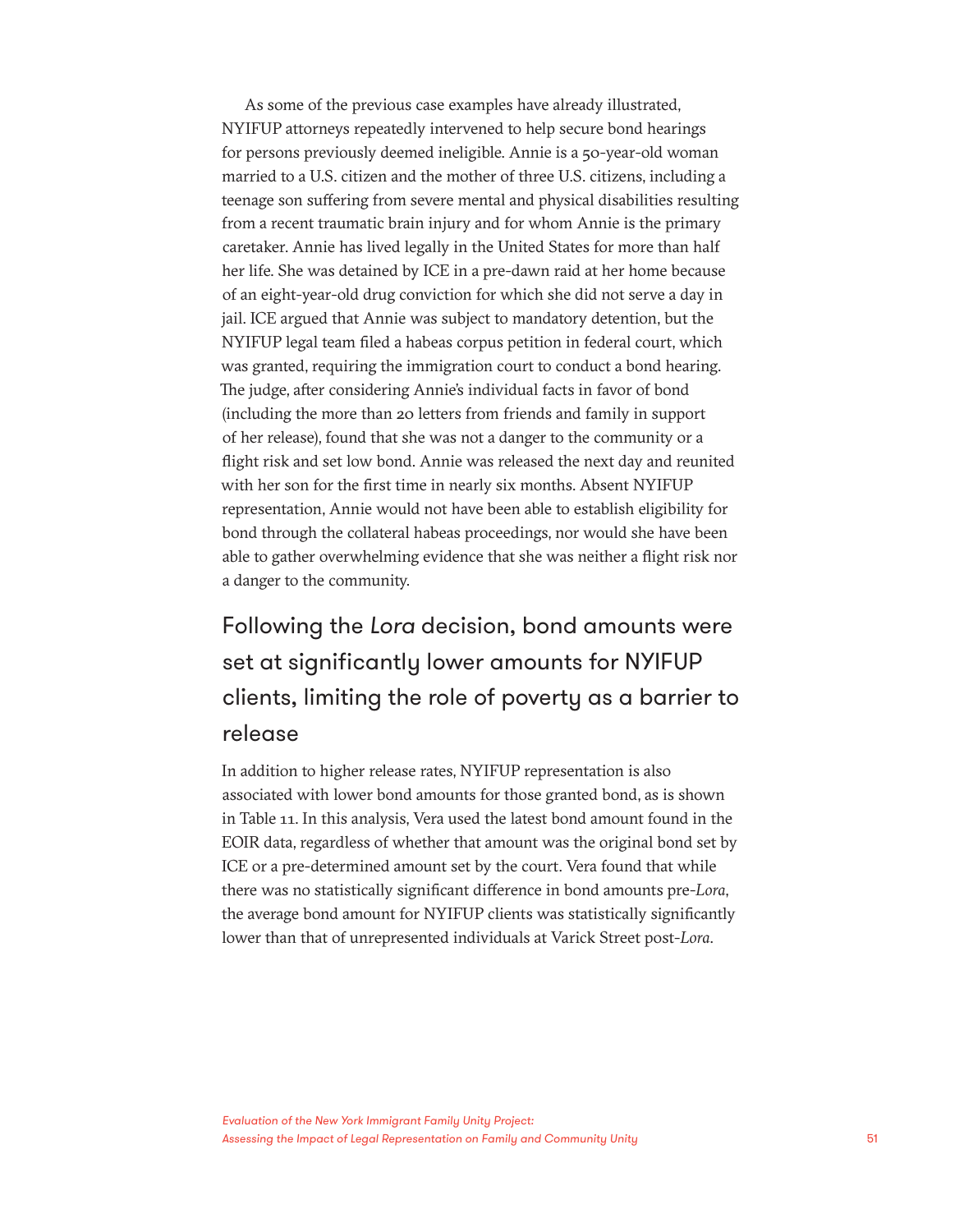As some of the previous case examples have already illustrated, NYIFUP attorneys repeatedly intervened to help secure bond hearings for persons previously deemed ineligible. Annie is a 50-year-old woman married to a U.S. citizen and the mother of three U.S. citizens, including a teenage son suffering from severe mental and physical disabilities resulting from a recent traumatic brain injury and for whom Annie is the primary caretaker. Annie has lived legally in the United States for more than half her life. She was detained by ICE in a pre-dawn raid at her home because of an eight-year-old drug conviction for which she did not serve a day in jail. ICE argued that Annie was subject to mandatory detention, but the NYIFUP legal team filed a habeas corpus petition in federal court, which was granted, requiring the immigration court to conduct a bond hearing. The judge, after considering Annie's individual facts in favor of bond (including the more than 20 letters from friends and family in support of her release), found that she was not a danger to the community or a flight risk and set low bond. Annie was released the next day and reunited with her son for the first time in nearly six months. Absent NYIFUP representation, Annie would not have been able to establish eligibility for bond through the collateral habeas proceedings, nor would she have been able to gather overwhelming evidence that she was neither a flight risk nor a danger to the community.

### Following the *Lora* decision, bond amounts were set at significantly lower amounts for NYIFUP clients, limiting the role of poverty as a barrier to release

In addition to higher release rates, NYIFUP representation is also associated with lower bond amounts for those granted bond, as is shown in Table 11. In this analysis, Vera used the latest bond amount found in the EOIR data, regardless of whether that amount was the original bond set by ICE or a pre-determined amount set by the court. Vera found that while there was no statistically significant difference in bond amounts pre-*Lora*, the average bond amount for NYIFUP clients was statistically significantly lower than that of unrepresented individuals at Varick Street post-*Lora*.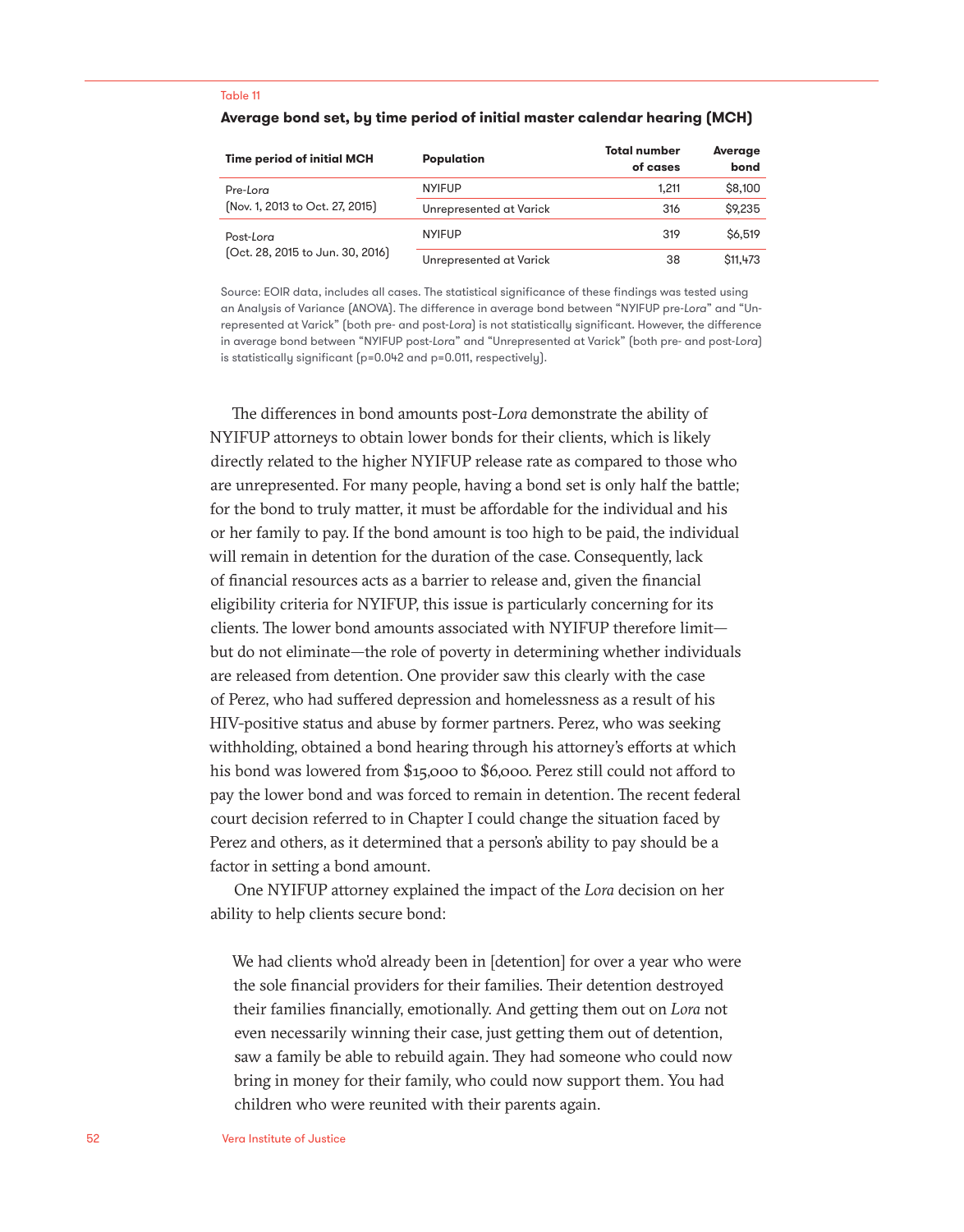#### Table 11

| <b>Time period of initial MCH</b>             | Population              | <b>Total number</b><br>of cases | <b>Average</b><br>bond |
|-----------------------------------------------|-------------------------|---------------------------------|------------------------|
| Pre-Lora                                      | <b>NYIFUP</b>           | 1.211                           | \$8,100                |
| (Nov. 1, 2013 to Oct. 27, 2015)               | Unrepresented at Varick | 316                             | \$9,235                |
| Post-Lora<br>[Oct. 28, 2015 to Jun. 30, 2016] | <b>NYIFUP</b>           | 319                             | <b>\$6,519</b>         |
|                                               | Unrepresented at Varick | 38                              | \$11,473               |

#### **Average bond set, by time period of initial master calendar hearing (MCH)**

Source: EOIR data, includes all cases. The statistical significance of these findings was tested using an Analysis of Variance (ANOVA). The difference in average bond between "NYIFUP pre-*Lora*" and "Unrepresented at Varick" (both pre- and post-*Lora*) is not statistically significant. However, the difference in average bond between "NYIFUP post-*Lor*a" and "Unrepresented at Varick" (both pre- and post-*Lora*) is statistically significant (p=0.042 and p=0.011, respectively).

The differences in bond amounts post-*Lora* demonstrate the ability of NYIFUP attorneys to obtain lower bonds for their clients, which is likely directly related to the higher NYIFUP release rate as compared to those who are unrepresented. For many people, having a bond set is only half the battle; for the bond to truly matter, it must be affordable for the individual and his or her family to pay. If the bond amount is too high to be paid, the individual will remain in detention for the duration of the case. Consequently, lack of financial resources acts as a barrier to release and, given the financial eligibility criteria for NYIFUP, this issue is particularly concerning for its clients. The lower bond amounts associated with NYIFUP therefore limit but do not eliminate—the role of poverty in determining whether individuals are released from detention. One provider saw this clearly with the case of Perez, who had suffered depression and homelessness as a result of his HIV-positive status and abuse by former partners. Perez, who was seeking withholding, obtained a bond hearing through his attorney's efforts at which his bond was lowered from \$15,000 to \$6,000. Perez still could not afford to pay the lower bond and was forced to remain in detention. The recent federal court decision referred to in Chapter I could change the situation faced by Perez and others, as it determined that a person's ability to pay should be a factor in setting a bond amount.

One NYIFUP attorney explained the impact of the *Lora* decision on her ability to help clients secure bond:

We had clients who'd already been in [detention] for over a year who were the sole financial providers for their families. Their detention destroyed their families financially, emotionally. And getting them out on *Lora* not even necessarily winning their case, just getting them out of detention, saw a family be able to rebuild again. They had someone who could now bring in money for their family, who could now support them. You had children who were reunited with their parents again.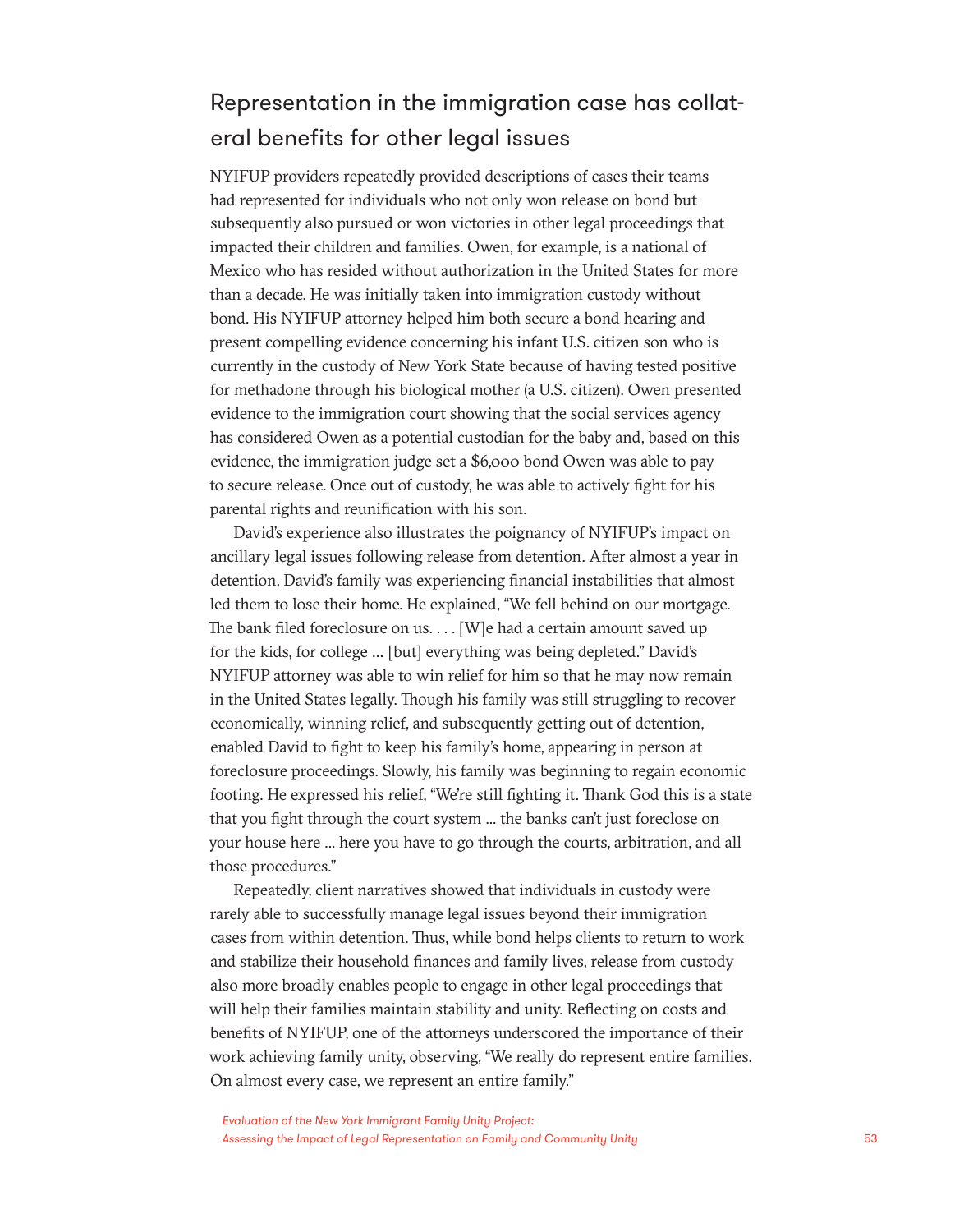### Representation in the immigration case has collateral benefits for other legal issues

NYIFUP providers repeatedly provided descriptions of cases their teams had represented for individuals who not only won release on bond but subsequently also pursued or won victories in other legal proceedings that impacted their children and families. Owen, for example, is a national of Mexico who has resided without authorization in the United States for more than a decade. He was initially taken into immigration custody without bond. His NYIFUP attorney helped him both secure a bond hearing and present compelling evidence concerning his infant U.S. citizen son who is currently in the custody of New York State because of having tested positive for methadone through his biological mother (a U.S. citizen). Owen presented evidence to the immigration court showing that the social services agency has considered Owen as a potential custodian for the baby and, based on this evidence, the immigration judge set a \$6,000 bond Owen was able to pay to secure release. Once out of custody, he was able to actively fight for his parental rights and reunification with his son.

David's experience also illustrates the poignancy of NYIFUP's impact on ancillary legal issues following release from detention. After almost a year in detention, David's family was experiencing financial instabilities that almost led them to lose their home. He explained, "We fell behind on our mortgage. The bank filed foreclosure on us. . . . [W]e had a certain amount saved up for the kids, for college … [but] everything was being depleted." David's NYIFUP attorney was able to win relief for him so that he may now remain in the United States legally. Though his family was still struggling to recover economically, winning relief, and subsequently getting out of detention, enabled David to fight to keep his family's home, appearing in person at foreclosure proceedings. Slowly, his family was beginning to regain economic footing. He expressed his relief, "We're still fighting it. Thank God this is a state that you fight through the court system ... the banks can't just foreclose on your house here ... here you have to go through the courts, arbitration, and all those procedures."

Repeatedly, client narratives showed that individuals in custody were rarely able to successfully manage legal issues beyond their immigration cases from within detention. Thus, while bond helps clients to return to work and stabilize their household finances and family lives, release from custody also more broadly enables people to engage in other legal proceedings that will help their families maintain stability and unity. Reflecting on costs and benefits of NYIFUP, one of the attorneys underscored the importance of their work achieving family unity, observing, "We really do represent entire families. On almost every case, we represent an entire family."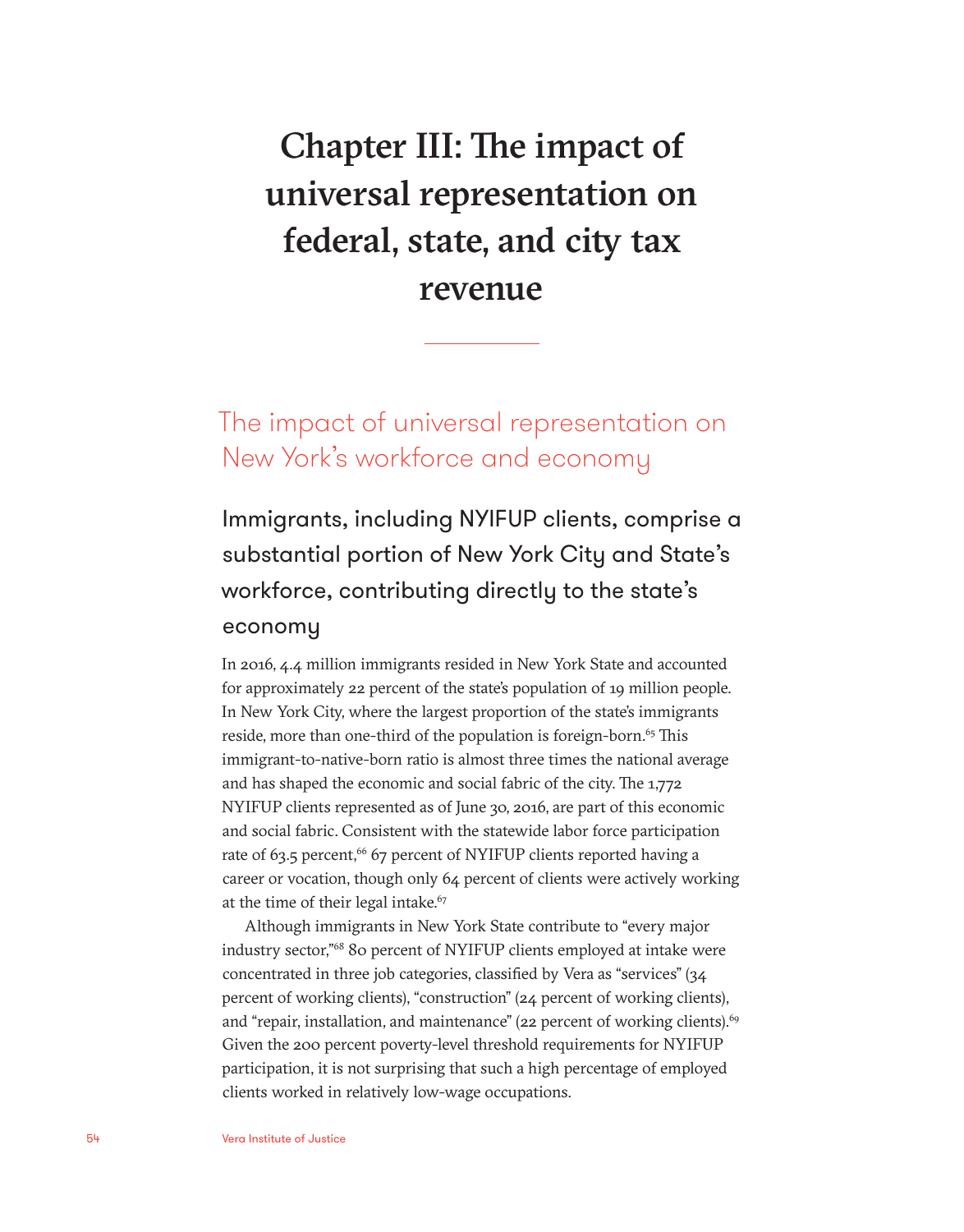# Chapter III: The impact of universal representation on federal, state, and city tax revenue

The impact of universal representation on New York's workforce and economy

Immigrants, including NYIFUP clients, comprise a substantial portion of New York City and State's workforce, contributing directly to the state's economy

In 2016, 4.4 million immigrants resided in New York State and accounted for approximately 22 percent of the state's population of 19 million people. In New York City, where the largest proportion of the state's immigrants reside, more than one-third of the population is foreign-born.<sup>65</sup> This immigrant-to-native-born ratio is almost three times the national average and has shaped the economic and social fabric of the city. The 1,772 NYIFUP clients represented as of June 30, 2016, are part of this economic and social fabric. Consistent with the statewide labor force participation rate of 63.5 percent,<sup>66</sup> 67 percent of NYIFUP clients reported having a career or vocation, though only 64 percent of clients were actively working at the time of their legal intake.<sup>67</sup>

Although immigrants in New York State contribute to "every major industry sector,"68 80 percent of NYIFUP clients employed at intake were concentrated in three job categories, classified by Vera as "services" (34 percent of working clients), "construction" (24 percent of working clients), and "repair, installation, and maintenance" (22 percent of working clients).<sup>69</sup> Given the 200 percent poverty-level threshold requirements for NYIFUP participation, it is not surprising that such a high percentage of employed clients worked in relatively low-wage occupations.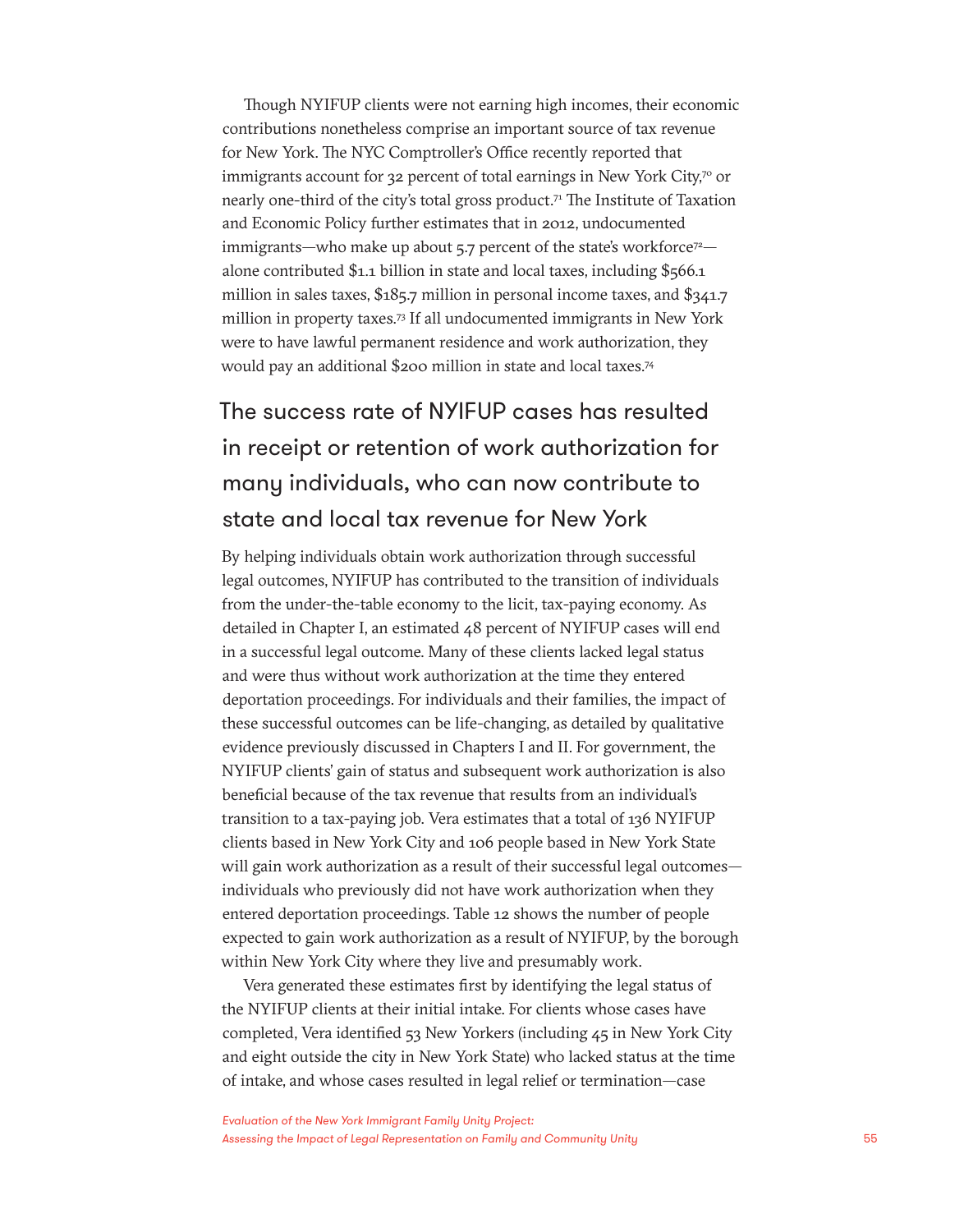Though NYIFUP clients were not earning high incomes, their economic contributions nonetheless comprise an important source of tax revenue for New York. The NYC Comptroller's Office recently reported that immigrants account for 32 percent of total earnings in New York City,<sup>70</sup> or nearly one-third of the city's total gross product.71 The Institute of Taxation and Economic Policy further estimates that in 2012, undocumented immigrants—who make up about  $5.7$  percent of the state's workforce<sup>72</sup> alone contributed \$1.1 billion in state and local taxes, including \$566.1 million in sales taxes, \$185.7 million in personal income taxes, and \$341.7 million in property taxes.73 If all undocumented immigrants in New York were to have lawful permanent residence and work authorization, they would pay an additional \$200 million in state and local taxes.74

### The success rate of NYIFUP cases has resulted in receipt or retention of work authorization for many individuals, who can now contribute to state and local tax revenue for New York

By helping individuals obtain work authorization through successful legal outcomes, NYIFUP has contributed to the transition of individuals from the under-the-table economy to the licit, tax-paying economy. As detailed in Chapter I, an estimated 48 percent of NYIFUP cases will end in a successful legal outcome. Many of these clients lacked legal status and were thus without work authorization at the time they entered deportation proceedings. For individuals and their families, the impact of these successful outcomes can be life-changing, as detailed by qualitative evidence previously discussed in Chapters I and II. For government, the NYIFUP clients' gain of status and subsequent work authorization is also beneficial because of the tax revenue that results from an individual's transition to a tax-paying job. Vera estimates that a total of 136 NYIFUP clients based in New York City and 106 people based in New York State will gain work authorization as a result of their successful legal outcomesindividuals who previously did not have work authorization when they entered deportation proceedings. Table 12 shows the number of people expected to gain work authorization as a result of NYIFUP, by the borough within New York City where they live and presumably work.

Vera generated these estimates first by identifying the legal status of the NYIFUP clients at their initial intake. For clients whose cases have completed, Vera identified 53 New Yorkers (including 45 in New York City and eight outside the city in New York State) who lacked status at the time of intake, and whose cases resulted in legal relief or termination—case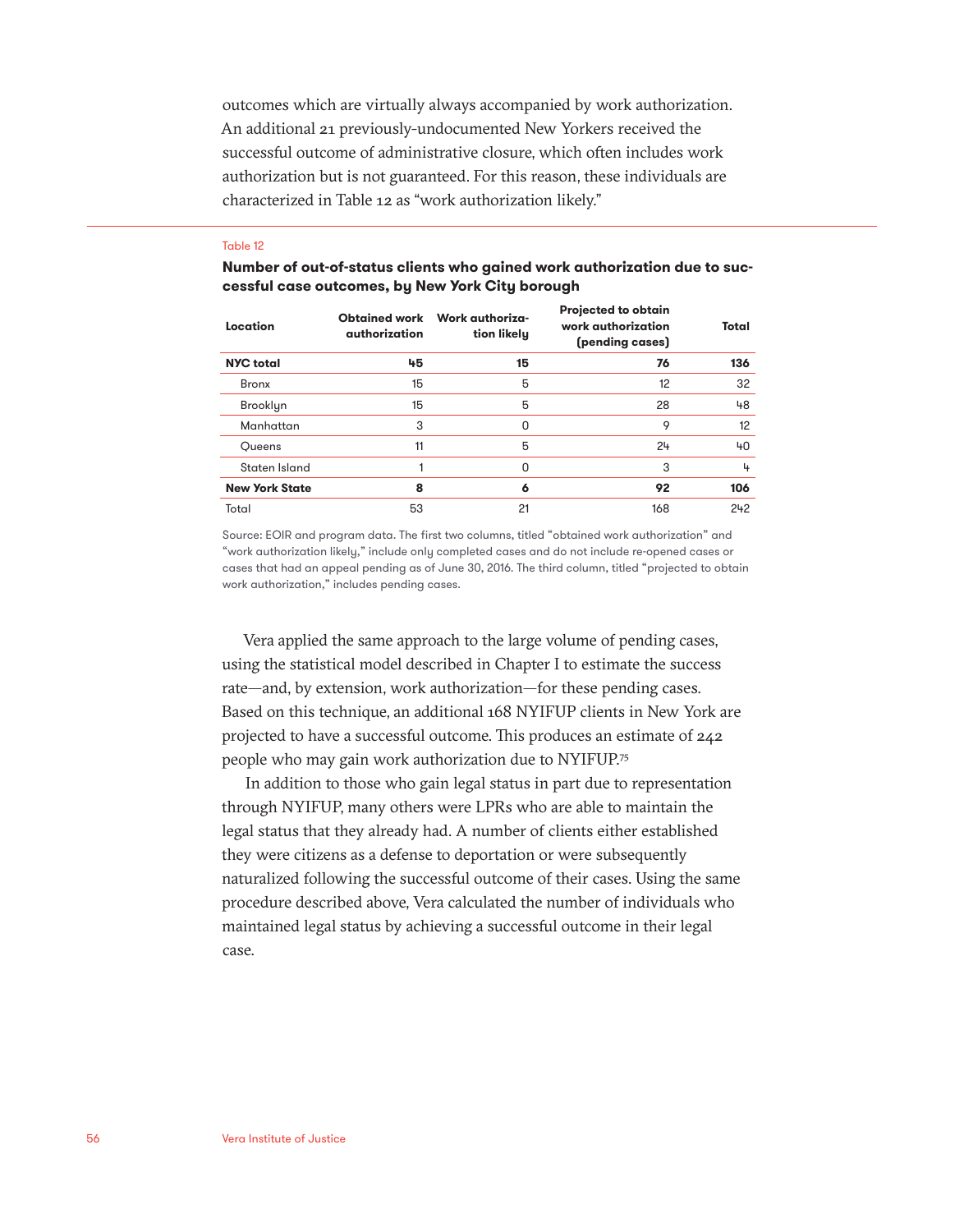outcomes which are virtually always accompanied by work authorization. An additional 21 previously-undocumented New Yorkers received the successful outcome of administrative closure, which often includes work authorization but is not guaranteed. For this reason, these individuals are characterized in Table 12 as "work authorization likely."

#### Table 12

**Number of out-of-status clients who gained work authorization due to successful case outcomes, by New York City borough**

| Location              | <b>Obtained work</b><br>authorization | Work authoriza-<br>tion likely | <b>Projected to obtain</b><br>work authorization<br>(pending cases) | Total |
|-----------------------|---------------------------------------|--------------------------------|---------------------------------------------------------------------|-------|
| <b>NYC</b> total      | 45                                    | 15                             | 76                                                                  | 136   |
| <b>Bronx</b>          | 15                                    | 5                              | 12                                                                  | 32    |
| Brooklyn              | 15                                    | 5                              | 28                                                                  | 48    |
| Manhattan             | 3                                     | O                              | 9                                                                   | 12    |
| Oueens                | 11                                    | 5                              | 24                                                                  | 40    |
| Staten Island         |                                       | O                              | 3                                                                   | 4     |
| <b>New York State</b> | 8                                     | 6                              | 92                                                                  | 106   |
| Total                 | 53                                    | 21                             | 168                                                                 | 242   |

Source: EOIR and program data. The first two columns, titled "obtained work authorization" and "work authorization likely," include only completed cases and do not include re-opened cases or cases that had an appeal pending as of June 30, 2016. The third column, titled "projected to obtain work authorization," includes pending cases.

Vera applied the same approach to the large volume of pending cases, using the statistical model described in Chapter I to estimate the success rate—and, by extension, work authorization—for these pending cases. Based on this technique, an additional 168 NYIFUP clients in New York are projected to have a successful outcome. This produces an estimate of 242 people who may gain work authorization due to NYIFUP.75

In addition to those who gain legal status in part due to representation through NYIFUP, many others were LPRs who are able to maintain the legal status that they already had. A number of clients either established they were citizens as a defense to deportation or were subsequently naturalized following the successful outcome of their cases. Using the same procedure described above, Vera calculated the number of individuals who maintained legal status by achieving a successful outcome in their legal case.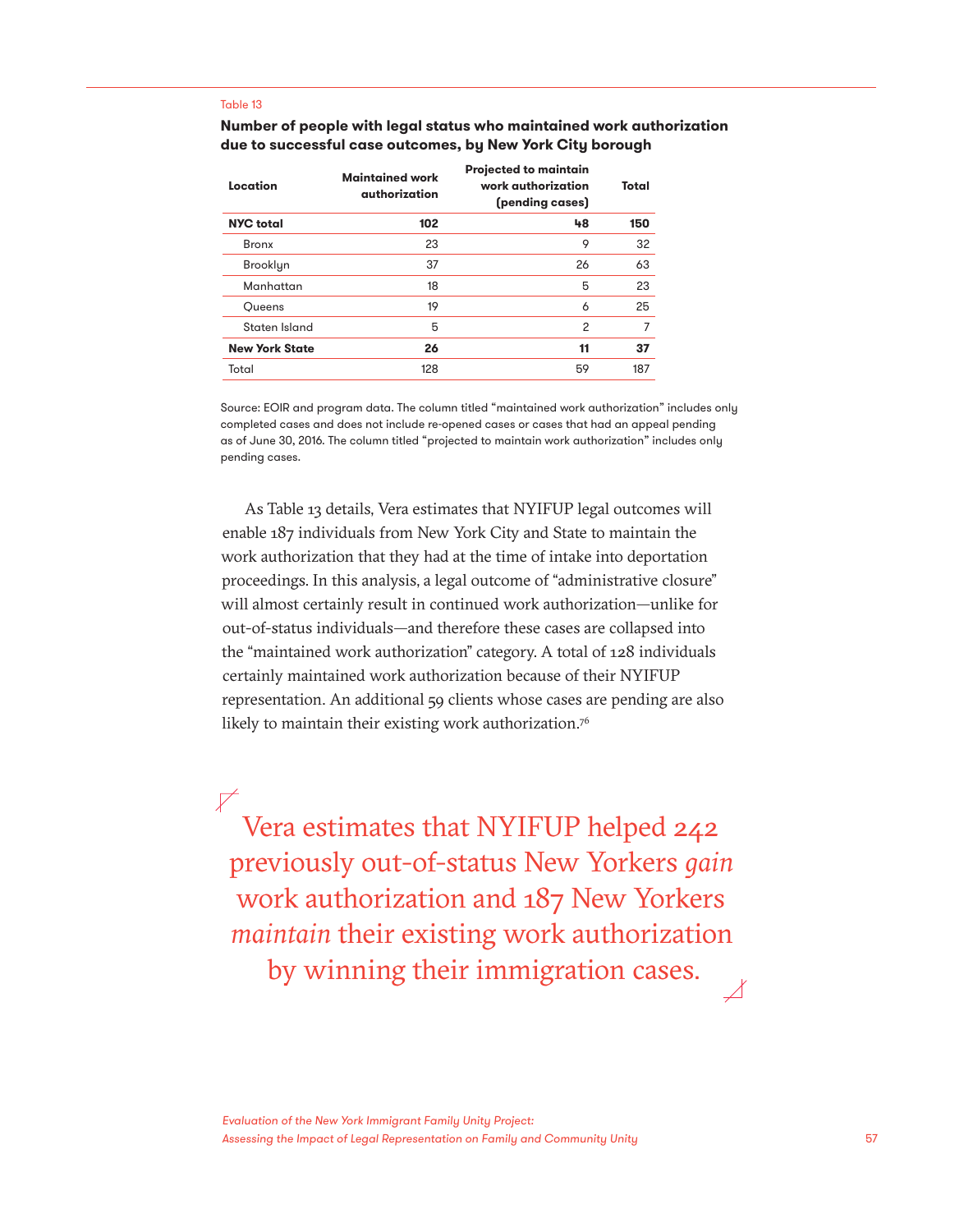#### Table 13

#### **Number of people with legal status who maintained work authorization due to successful case outcomes, by New York City borough**

| Location              | <b>Maintained work</b><br>authorization | <b>Projected to maintain</b><br>work authorization<br>(pending cases) | Total |
|-----------------------|-----------------------------------------|-----------------------------------------------------------------------|-------|
| <b>NYC</b> total      | 102                                     | 48                                                                    | 150   |
| <b>Bronx</b>          | 23                                      | 9                                                                     | 32    |
| Brooklyn              | 37                                      | 26                                                                    | 63    |
| Manhattan             | 18                                      | 5                                                                     | 23    |
| Oueens                | 19                                      | 6                                                                     | 25    |
| Staten Island         | 5                                       | 2                                                                     | 7     |
| <b>New York State</b> | 26                                      | 11                                                                    | 37    |
| Total                 | 128                                     | 59                                                                    | 187   |
|                       |                                         |                                                                       |       |

Source: EOIR and program data. The column titled "maintained work authorization" includes only completed cases and does not include re-opened cases or cases that had an appeal pending as of June 30, 2016. The column titled "projected to maintain work authorization" includes only pending cases.

As Table 13 details, Vera estimates that NYIFUP legal outcomes will enable 187 individuals from New York City and State to maintain the work authorization that they had at the time of intake into deportation proceedings. In this analysis, a legal outcome of "administrative closure" will almost certainly result in continued work authorization—unlike for out-of-status individuals—and therefore these cases are collapsed into the "maintained work authorization" category. A total of 128 individuals certainly maintained work authorization because of their NYIFUP representation. An additional 59 clients whose cases are pending are also likely to maintain their existing work authorization.<sup>76</sup>

 $\nabla$ Vera estimates that NYIFUP helped 242 previously out-of-status New Yorkers *gain*  work authorization and 187 New Yorkers *maintain* their existing work authorization by winning their immigration cases.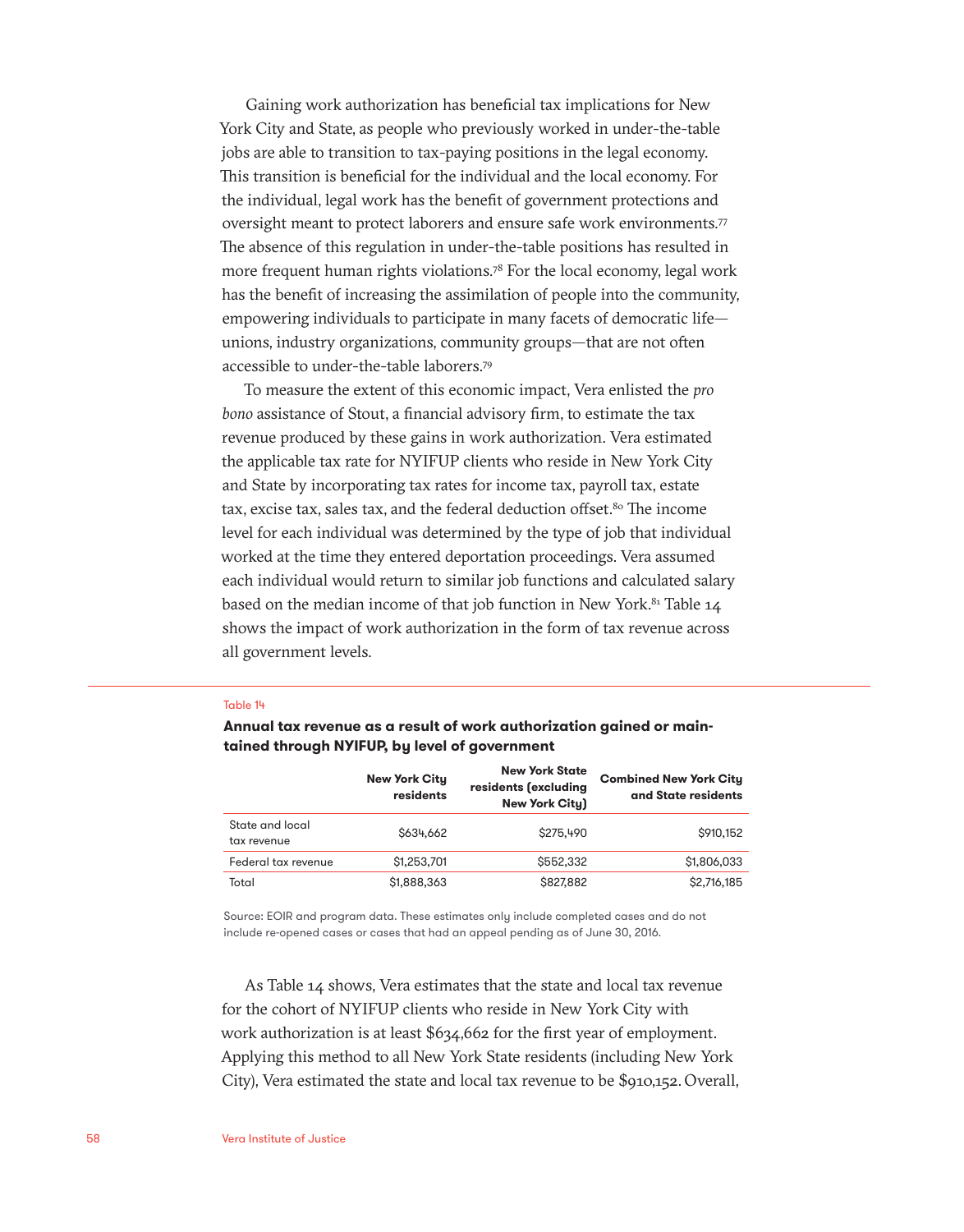Gaining work authorization has beneficial tax implications for New York City and State, as people who previously worked in under-the-table jobs are able to transition to tax-paying positions in the legal economy. This transition is beneficial for the individual and the local economy. For the individual, legal work has the benefit of government protections and oversight meant to protect laborers and ensure safe work environments.<sup>77</sup> The absence of this regulation in under-the-table positions has resulted in more frequent human rights violations.<sup>78</sup> For the local economy, legal work has the benefit of increasing the assimilation of people into the community, empowering individuals to participate in many facets of democratic life unions, industry organizations, community groups—that are not often accessible to under-the-table laborers.79

To measure the extent of this economic impact, Vera enlisted the *pro bono* assistance of Stout, a financial advisory firm, to estimate the tax revenue produced by these gains in work authorization. Vera estimated the applicable tax rate for NYIFUP clients who reside in New York City and State by incorporating tax rates for income tax, payroll tax, estate tax, excise tax, sales tax, and the federal deduction offset.<sup>80</sup> The income level for each individual was determined by the type of job that individual worked at the time they entered deportation proceedings. Vera assumed each individual would return to similar job functions and calculated salary based on the median income of that job function in New York. $81$  Table 14 shows the impact of work authorization in the form of tax revenue across all government levels.

#### Table 14

**Annual tax revenue as a result of work authorization gained or maintained through NYIFUP, by level of government**

|                                | <b>New York City</b><br>residents | <b>New York State</b><br>residents (excluding<br><b>New York City)</b> | <b>Combined New York City</b><br>and State residents |
|--------------------------------|-----------------------------------|------------------------------------------------------------------------|------------------------------------------------------|
| State and local<br>tax revenue | S634,662                          | \$275,490                                                              | \$910,152                                            |
| Federal tax revenue            | \$1,253,701                       | \$552,332                                                              | \$1,806,033                                          |
| Total                          | \$1,888,363                       | \$827,882                                                              | \$2,716,185                                          |

Source: EOIR and program data. These estimates only include completed cases and do not include re-opened cases or cases that had an appeal pending as of June 30, 2016.

As Table 14 shows, Vera estimates that the state and local tax revenue for the cohort of NYIFUP clients who reside in New York City with work authorization is at least \$634,662 for the first year of employment. Applying this method to all New York State residents (including New York City), Vera estimated the state and local tax revenue to be \$910,152. Overall,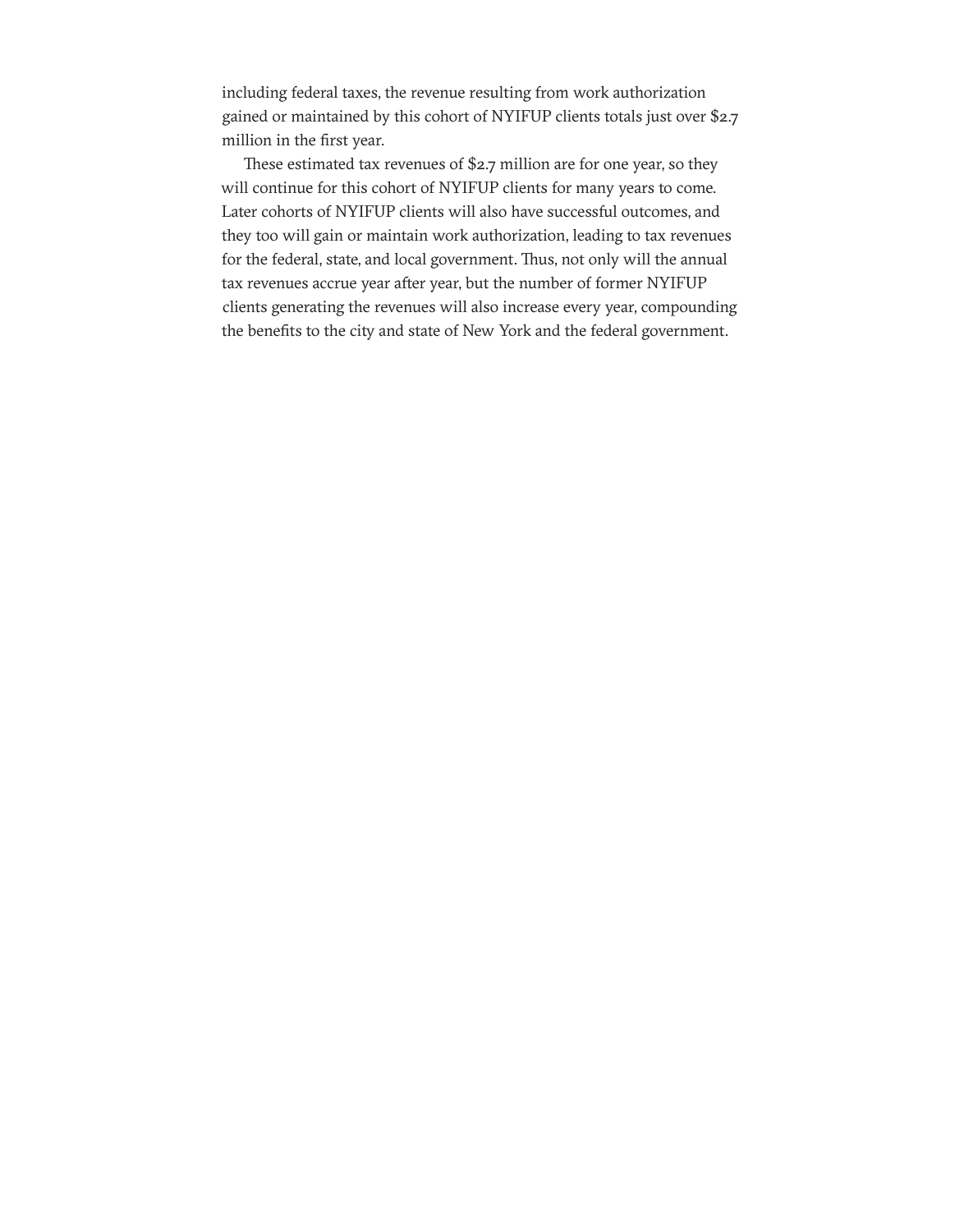including federal taxes, the revenue resulting from work authorization gained or maintained by this cohort of NYIFUP clients totals just over \$2.7 million in the first year.

These estimated tax revenues of \$2.7 million are for one year, so they will continue for this cohort of NYIFUP clients for many years to come. Later cohorts of NYIFUP clients will also have successful outcomes, and they too will gain or maintain work authorization, leading to tax revenues for the federal, state, and local government. Thus, not only will the annual tax revenues accrue year after year, but the number of former NYIFUP clients generating the revenues will also increase every year, compounding the benefits to the city and state of New York and the federal government.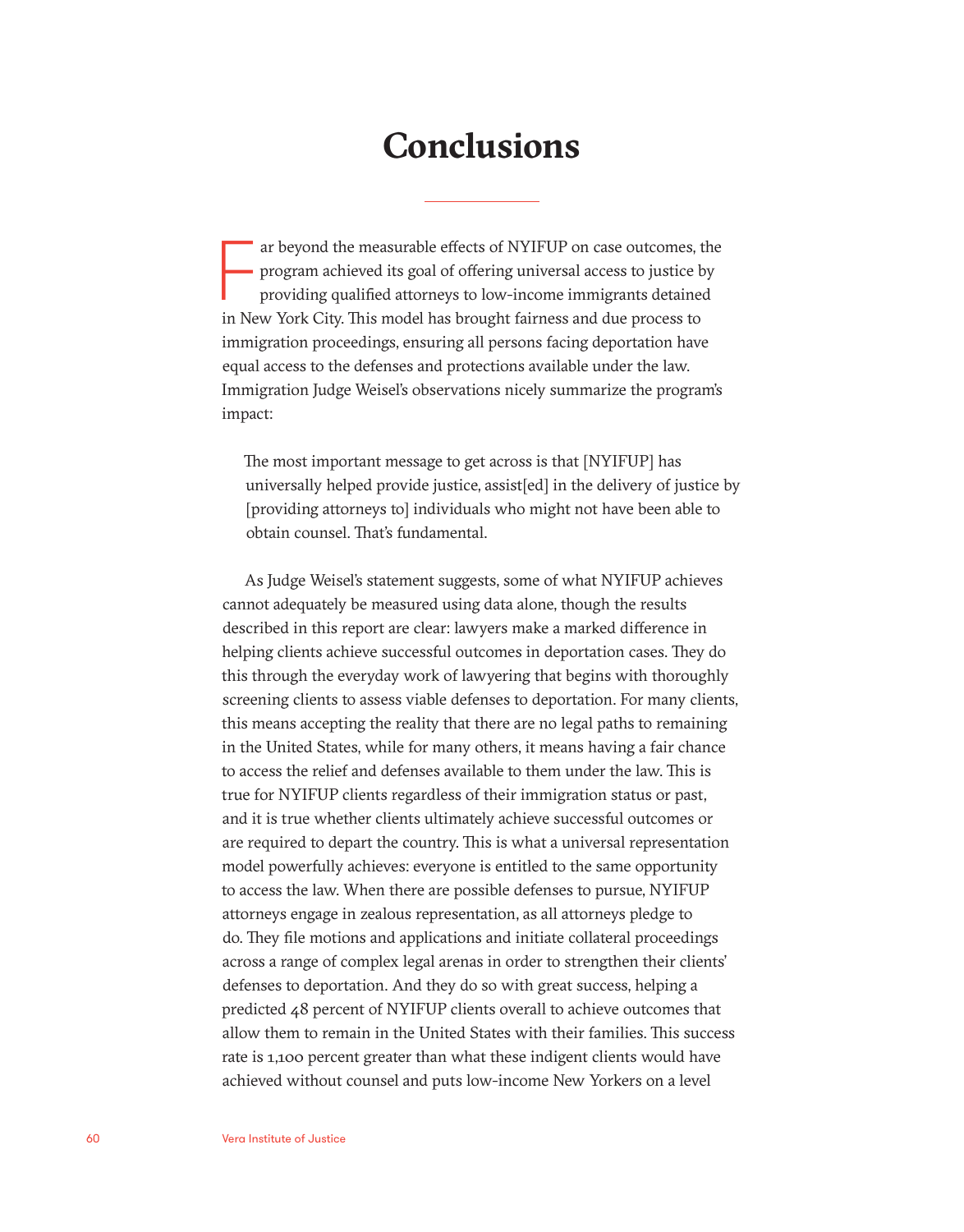### **Conclusions**

ar beyond the measurable effects of NYIFUP on case outcomes, the program achieved its goal of offering universal access to justice b providing qualified attorneys to low-income immigrants detained in New York City. This mo ar beyond the measurable effects of NYIFUP on case outcomes, the program achieved its goal of offering universal access to justice by providing qualified attorneys to low-income immigrants detained immigration proceedings, ensuring all persons facing deportation have equal access to the defenses and protections available under the law. Immigration Judge Weisel's observations nicely summarize the program's impact:

The most important message to get across is that [NYIFUP] has universally helped provide justice, assist[ed] in the delivery of justice by [providing attorneys to] individuals who might not have been able to obtain counsel. That's fundamental.

As Judge Weisel's statement suggests, some of what NYIFUP achieves cannot adequately be measured using data alone, though the results described in this report are clear: lawyers make a marked difference in helping clients achieve successful outcomes in deportation cases. They do this through the everyday work of lawyering that begins with thoroughly screening clients to assess viable defenses to deportation. For many clients, this means accepting the reality that there are no legal paths to remaining in the United States, while for many others, it means having a fair chance to access the relief and defenses available to them under the law. This is true for NYIFUP clients regardless of their immigration status or past, and it is true whether clients ultimately achieve successful outcomes or are required to depart the country. This is what a universal representation model powerfully achieves: everyone is entitled to the same opportunity to access the law. When there are possible defenses to pursue, NYIFUP attorneys engage in zealous representation, as all attorneys pledge to do. They file motions and applications and initiate collateral proceedings across a range of complex legal arenas in order to strengthen their clients' defenses to deportation. And they do so with great success, helping a predicted 48 percent of NYIFUP clients overall to achieve outcomes that allow them to remain in the United States with their families. This success rate is 1,100 percent greater than what these indigent clients would have achieved without counsel and puts low-income New Yorkers on a level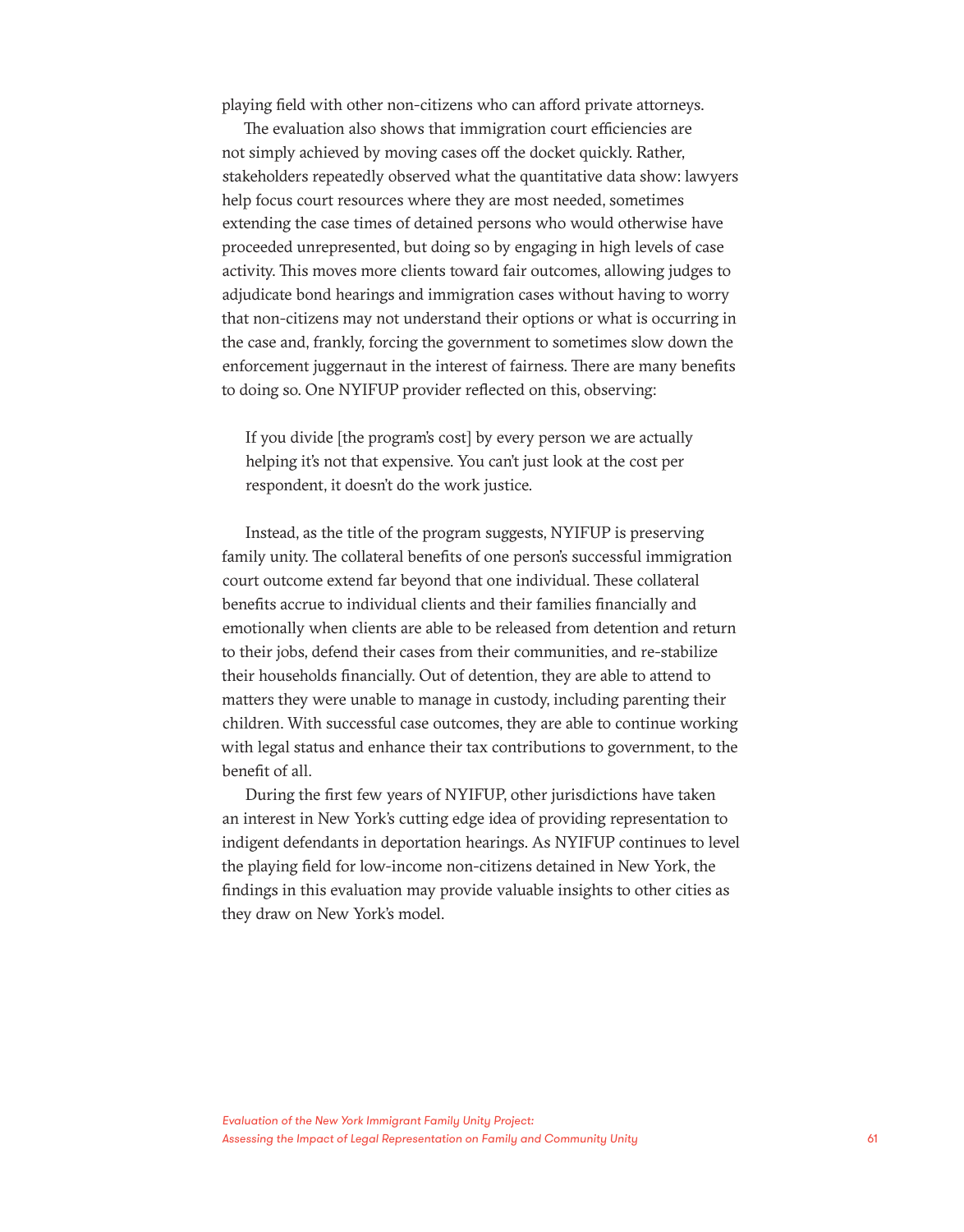playing field with other non-citizens who can afford private attorneys.

The evaluation also shows that immigration court efficiencies are not simply achieved by moving cases off the docket quickly. Rather, stakeholders repeatedly observed what the quantitative data show: lawyers help focus court resources where they are most needed, sometimes extending the case times of detained persons who would otherwise have proceeded unrepresented, but doing so by engaging in high levels of case activity. This moves more clients toward fair outcomes, allowing judges to adjudicate bond hearings and immigration cases without having to worry that non-citizens may not understand their options or what is occurring in the case and, frankly, forcing the government to sometimes slow down the enforcement juggernaut in the interest of fairness. There are many benefits to doing so. One NYIFUP provider reflected on this, observing:

If you divide [the program's cost] by every person we are actually helping it's not that expensive. You can't just look at the cost per respondent, it doesn't do the work justice.

Instead, as the title of the program suggests, NYIFUP is preserving family unity. The collateral benefits of one person's successful immigration court outcome extend far beyond that one individual. These collateral benefits accrue to individual clients and their families financially and emotionally when clients are able to be released from detention and return to their jobs, defend their cases from their communities, and re-stabilize their households financially. Out of detention, they are able to attend to matters they were unable to manage in custody, including parenting their children. With successful case outcomes, they are able to continue working with legal status and enhance their tax contributions to government, to the benefit of all.

During the first few years of NYIFUP, other jurisdictions have taken an interest in New York's cutting edge idea of providing representation to indigent defendants in deportation hearings. As NYIFUP continues to level the playing field for low-income non-citizens detained in New York, the findings in this evaluation may provide valuable insights to other cities as they draw on New York's model.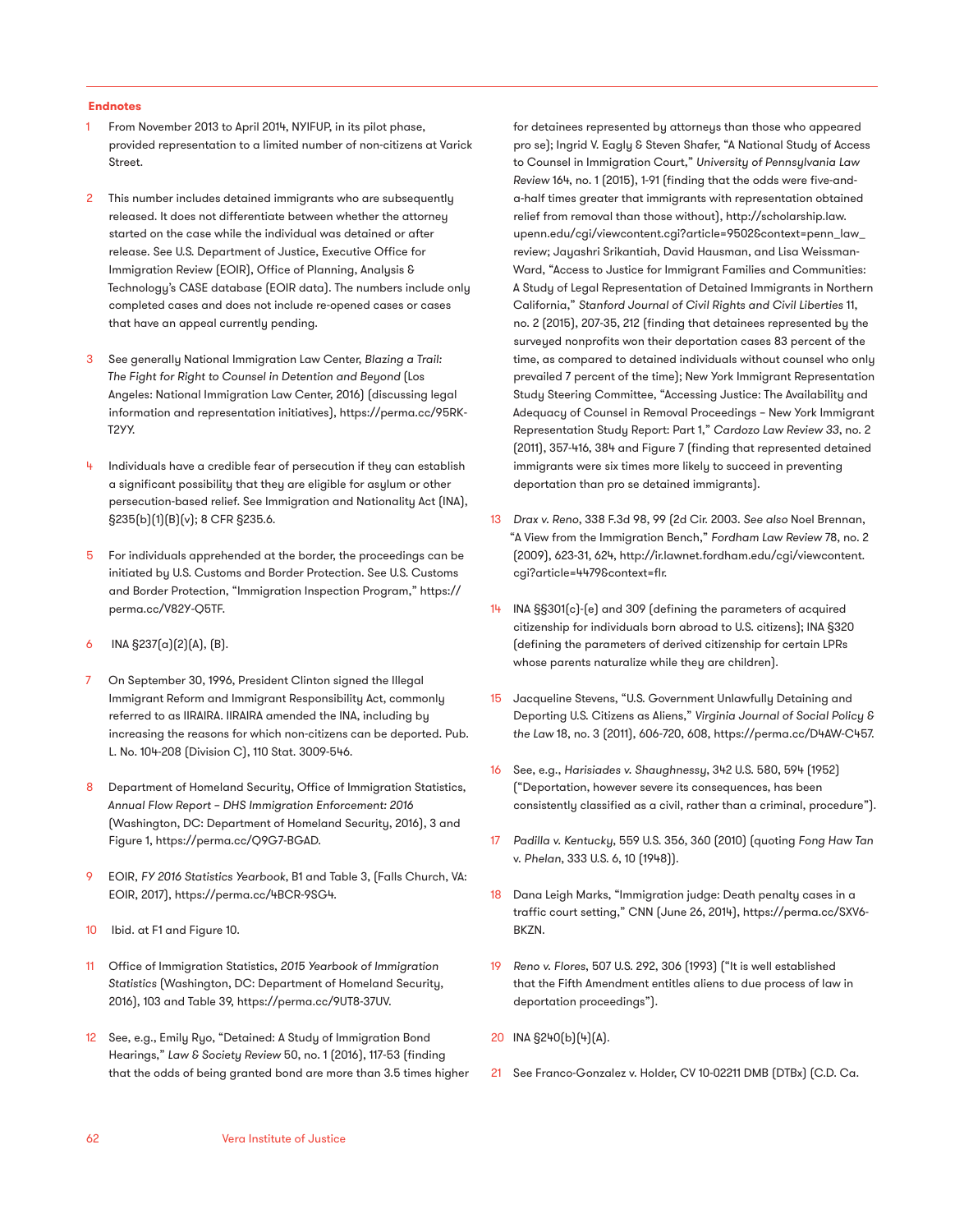#### **Endnotes**

- 1 From November 2013 to April 2014, NYIFUP, in its pilot phase, provided representation to a limited number of non-citizens at Varick Street.
- 2 This number includes detained immigrants who are subsequently released. It does not differentiate between whether the attorney started on the case while the individual was detained or after release. See U.S. Department of Justice, Executive Office for Immigration Review (EOIR), Office of Planning, Analysis & Technology's CASE database (EOIR data). The numbers include only completed cases and does not include re-opened cases or cases that have an appeal currently pending.
- 3 See generally National Immigration Law Center, *Blazing a Trail: The Fight for Right to Counsel in Detention and Beyond* (Los Angeles: National Immigration Law Center, 2016) (discussing legal information and representation initiatives), https://perma.cc/95RK-T2YY.
- Individuals have a credible fear of persecution if they can establish a significant possibility that they are eligible for asylum or other persecution-based relief. See Immigration and Nationality Act (INA), §235(b)(1)(B)(v); 8 CFR §235.6.
- 5 For individuals apprehended at the border, the proceedings can be initiated by U.S. Customs and Border Protection. See U.S. Customs and Border Protection, "Immigration Inspection Program," https:// perma.cc/V82Y-Q5TF.
- 6 INA §237(a)(2)(A), (B).
- 7 On September 30, 1996, President Clinton signed the Illegal Immigrant Reform and Immigrant Responsibility Act, commonly referred to as IIRAIRA. IIRAIRA amended the INA, including by increasing the reasons for which non-citizens can be deported. Pub. L. No. 104-208 (Division C), 110 Stat. 3009-546.
- 8 Department of Homeland Security, Office of Immigration Statistics, *Annual Flow Report – DHS Immigration Enforcement: 2016*  (Washington, DC: Department of Homeland Security, 2016), 3 and Figure 1, https://perma.cc/Q9G7-BGAD.
- 9 EOIR, *FY 2016 Statistics Yearbook*, B1 and Table 3, (Falls Church, VA: EOIR, 2017), https://perma.cc/4BCR-9SG4.
- 10 Ibid. at F1 and Figure 10.
- 11 Office of Immigration Statistics, *2015 Yearbook of Immigration Statistics* (Washington, DC: Department of Homeland Security, 2016), 103 and Table 39, https://perma.cc/9UT8-37UV.
- 12 See, e.g., Emily Ryo, "Detained: A Study of Immigration Bond Hearings," *Law & Society Review* 50, no. 1 (2016), 117-53 (finding that the odds of being granted bond are more than 3.5 times higher

for detainees represented by attorneys than those who appeared pro se); Ingrid V. Eagly & Steven Shafer, "A National Study of Access to Counsel in Immigration Court," *University of Pennsylvania Law Review* 164, no. 1 (2015), 1-91 (finding that the odds were five-anda-half times greater that immigrants with representation obtained relief from removal than those without), http://scholarship.law. upenn.edu/cgi/viewcontent.cgi?article=9502&context=penn\_law\_ review; Jayashri Srikantiah, David Hausman, and Lisa Weissman-Ward, "Access to Justice for Immigrant Families and Communities: A Study of Legal Representation of Detained Immigrants in Northern California," *Stanford Journal of Civil Rights and Civil Liberties* 11, no. 2 (2015), 207-35, 212 (finding that detainees represented by the surveyed nonprofits won their deportation cases 83 percent of the time, as compared to detained individuals without counsel who only prevailed 7 percent of the time); New York Immigrant Representation Study Steering Committee, "Accessing Justice: The Availability and Adequacy of Counsel in Removal Proceedings – New York Immigrant Representation Study Report: Part 1," *Cardozo Law Review 33*, no. 2 (2011), 357-416, 384 and Figure 7 (finding that represented detained immigrants were six times more likely to succeed in preventing deportation than pro se detained immigrants).

- 13 *Drax v. Reno*, 338 F.3d 98, 99 (2d Cir. 2003. *See also* Noel Brennan, "A View from the Immigration Bench," *Fordham Law Review* 78, no. 2 (2009), 623-31, 624, http://ir.lawnet.fordham.edu/cgi/viewcontent. cgi?article=4479&context=flr.
- 14 INA §§301(c)-(e) and 309 (defining the parameters of acquired citizenship for individuals born abroad to U.S. citizens); INA §320 (defining the parameters of derived citizenship for certain LPRs whose parents naturalize while they are children).
- 15 Jacqueline Stevens, "U.S. Government Unlawfully Detaining and Deporting U.S. Citizens as Aliens," *Virginia Journal of Social Policy & the Law* 18, no. 3 (2011), 606-720, 608, https://perma.cc/D4AW-C457.
- 16 See, e.g., *Harisiades v. Shaughnessy*, 342 U.S. 580, 594 (1952) ("Deportation, however severe its consequences, has been consistently classified as a civil, rather than a criminal, procedure").
- 17 *Padilla v. Kentucky*, 559 U.S. 356, 360 (2010) (quoting *Fong Haw Tan*  v. *Phelan*, 333 U.S. 6, 10 (1948)).
- 18 Dana Leigh Marks, "Immigration judge: Death penalty cases in a traffic court setting," CNN (June 26, 2014), https://perma.cc/SXV6- BKZN.
- 19 *Reno v. Flores*, 507 U.S. 292, 306 (1993) ("It is well established that the Fifth Amendment entitles aliens to due process of law in deportation proceedings").
- 20 INA §240(b)(4)(A).
- 21 See Franco-Gonzalez v. Holder, CV 10-02211 DMB (DTBx) (C.D. Ca.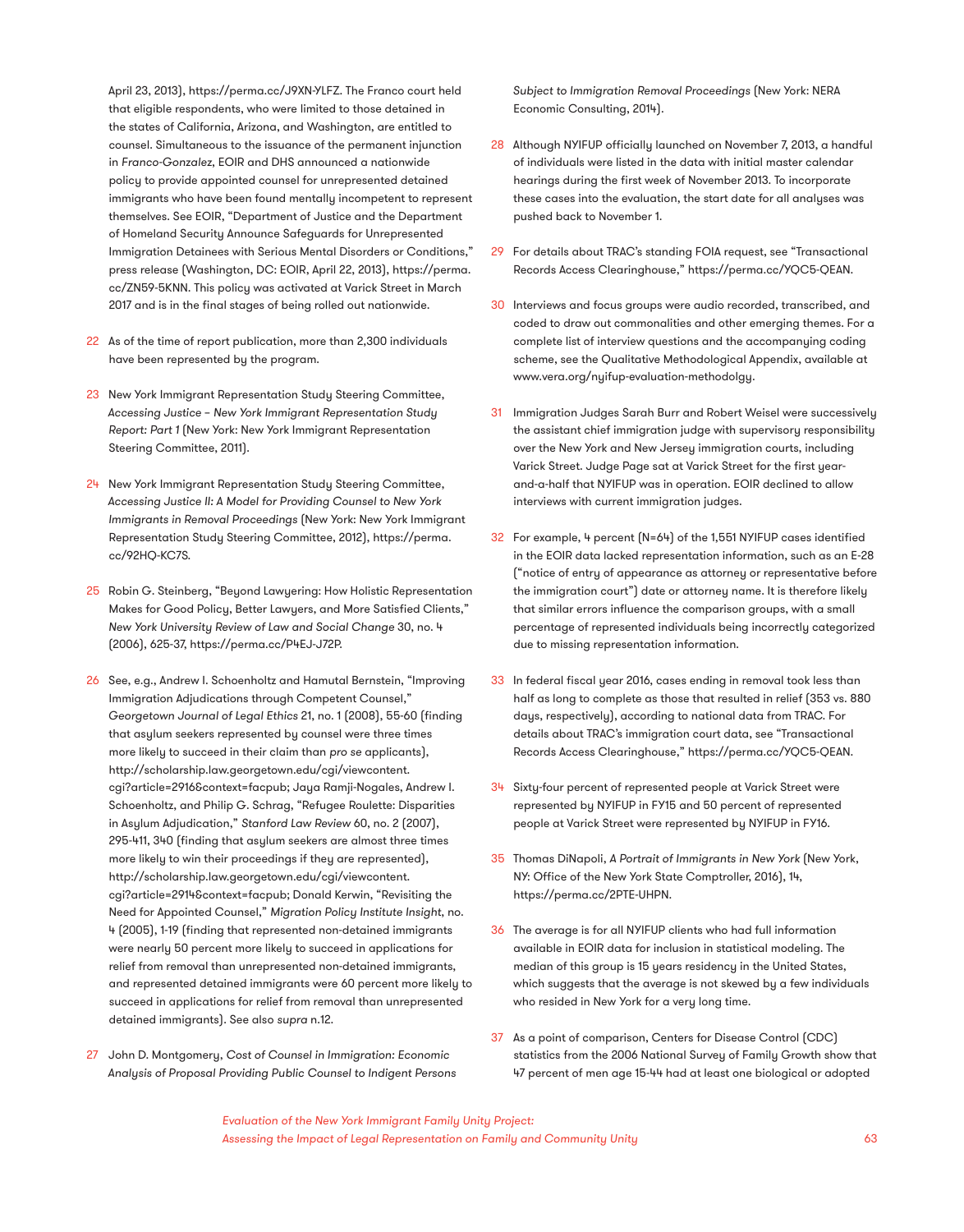April 23, 2013), https://perma.cc/J9XN-YLFZ. The Franco court held that eligible respondents, who were limited to those detained in the states of California, Arizona, and Washington, are entitled to counsel. Simultaneous to the issuance of the permanent injunction in *Franco-Gonzalez*, EOIR and DHS announced a nationwide policy to provide appointed counsel for unrepresented detained immigrants who have been found mentally incompetent to represent themselves. See EOIR, "Department of Justice and the Department of Homeland Security Announce Safeguards for Unrepresented Immigration Detainees with Serious Mental Disorders or Conditions," press release (Washington, DC: EOIR, April 22, 2013), https://perma. cc/ZN59-5KNN. This policy was activated at Varick Street in March 2017 and is in the final stages of being rolled out nationwide.

- 22 As of the time of report publication, more than 2,300 individuals have been represented by the program.
- 23 New York Immigrant Representation Study Steering Committee, *Accessing Justice* – *New York Immigrant Representation Study Report: Part 1* (New York: New York Immigrant Representation Steering Committee, 2011).
- 24 New York Immigrant Representation Study Steering Committee, *Accessing Justice II: A Model for Providing Counsel to New York Immigrants in Removal Proceedings* (New York: New York Immigrant Representation Study Steering Committee, 2012), https://perma. cc/92HQ-KC7S.
- 25 Robin G. Steinberg, "Beyond Lawyering: How Holistic Representation Makes for Good Policy, Better Lawyers, and More Satisfied Clients," *New York University Review of Law and Social Change* 30, no. 4 (2006), 625-37, https://perma.cc/P4EJ-J72P.
- 26 See, e.g., Andrew I. Schoenholtz and Hamutal Bernstein, "Improving Immigration Adjudications through Competent Counsel," *Georgetown Journal of Legal Ethics* 21, no. 1 (2008), 55-60 (finding that asylum seekers represented by counsel were three times more likely to succeed in their claim than *pro se* applicants), http://scholarship.law.georgetown.edu/cgi/viewcontent. cgi?article=2916&context=facpub; Jaya Ramji-Nogales, Andrew I. Schoenholtz, and Philip G. Schrag, "Refugee Roulette: Disparities in Asylum Adjudication," *Stanford Law Review* 60, no. 2 (2007), 295-411, 340 (finding that asylum seekers are almost three times more likely to win their proceedings if they are represented), http://scholarship.law.georgetown.edu/cgi/viewcontent. cgi?article=2914&context=facpub; Donald Kerwin, "Revisiting the Need for Appointed Counsel," *Migration Policy Institute Insight*, no. 4 (2005), 1-19 (finding that represented non-detained immigrants were nearly 50 percent more likely to succeed in applications for relief from removal than unrepresented non-detained immigrants, and represented detained immigrants were 60 percent more likely to succeed in applications for relief from removal than unrepresented detained immigrants). See also *supra* n.12.
- 27 John D. Montgomery, *Cost of Counsel in Immigration: Economic Analysis of Proposal Providing Public Counsel to Indigent Persons*

*Subject to Immigration Removal Proceedings* (New York: NERA Economic Consulting, 2014).

- 28 Although NYIFUP officially launched on November 7, 2013, a handful of individuals were listed in the data with initial master calendar hearings during the first week of November 2013. To incorporate these cases into the evaluation, the start date for all analyses was pushed back to November 1.
- 29 For details about TRAC's standing FOIA request, see "Transactional Records Access Clearinghouse," https://perma.cc/YQC5-QEAN.
- 30 Interviews and focus groups were audio recorded, transcribed, and coded to draw out commonalities and other emerging themes. For a complete list of interview questions and the accompanying coding scheme, see the Qualitative Methodological Appendix, available at www.vera.org/nyifup-evaluation-methodolgy.
- 31 Immigration Judges Sarah Burr and Robert Weisel were successively the assistant chief immigration judge with supervisory responsibility over the New York and New Jersey immigration courts, including Varick Street. Judge Page sat at Varick Street for the first yearand-a-half that NYIFUP was in operation. EOIR declined to allow interviews with current immigration judges.
- 32 For example, 4 percent (N=64) of the 1,551 NYIFUP cases identified in the EOIR data lacked representation information, such as an E-28 ("notice of entry of appearance as attorney or representative before the immigration court") date or attorney name. It is therefore likely that similar errors influence the comparison groups, with a small percentage of represented individuals being incorrectly categorized due to missing representation information.
- 33 In federal fiscal year 2016, cases ending in removal took less than half as long to complete as those that resulted in relief (353 vs. 880 days, respectively), according to national data from TRAC. For details about TRAC's immigration court data, see "Transactional Records Access Clearinghouse," https://perma.cc/YQC5-QEAN.
- 34 Sixty-four percent of represented people at Varick Street were represented by NYIFUP in FY15 and 50 percent of represented people at Varick Street were represented by NYIFUP in FY16.
- 35 Thomas DiNapoli, *A Portrait of Immigrants in New York* (New York, NY: Office of the New York State Comptroller, 2016), 14, https://perma.cc/2PTE-UHPN.
- 36 The average is for all NYIFUP clients who had full information available in EOIR data for inclusion in statistical modeling. The median of this group is 15 years residency in the United States, which suggests that the average is not skewed by a few individuals who resided in New York for a very long time.
- 37 As a point of comparison, Centers for Disease Control (CDC) statistics from the 2006 National Survey of Family Growth show that 47 percent of men age 15-44 had at least one biological or adopted

*Evaluation of the New York Immigrant Family Unity Project: Assessing the Impact of Legal Representation on Family and Community Unity* 63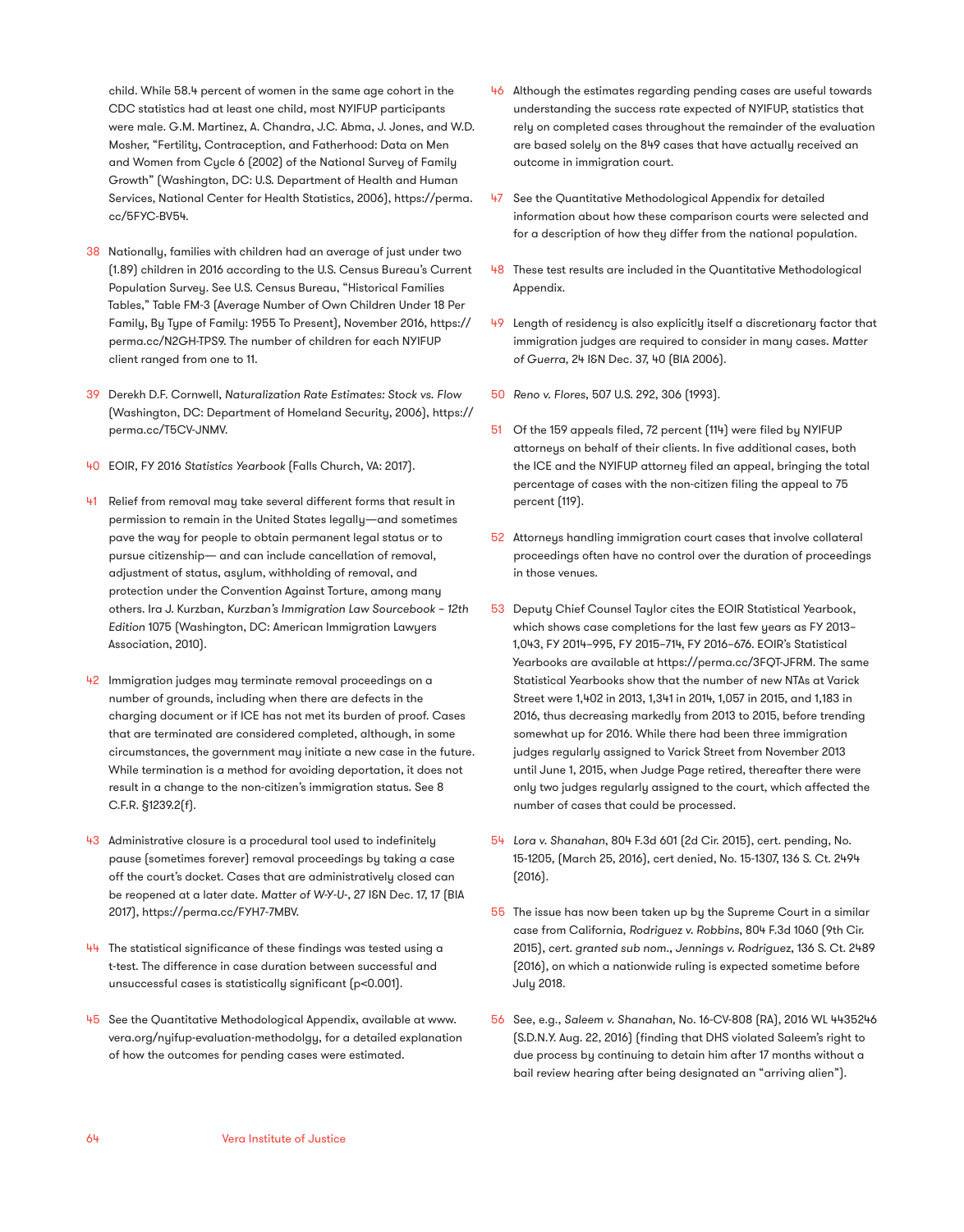child. While 58.4 percent of women in the same age cohort in the CDC statistics had at least one child, most NYIFUP participants were male. G.M. Martinez, A. Chandra, J.C. Abma, J. Jones, and W.D. Mosher, "Fertility, Contraception, and Fatherhood: Data on Men and Women from Cycle 6 (2002) of the National Survey of Family Growth" (Washington, DC: U.S. Department of Health and Human Services, National Center for Health Statistics, 2006), https://perma. cc/5FYC-BV54.

- 38 Nationally, families with children had an average of just under two (1.89) children in 2016 according to the U.S. Census Bureau's Current Population Survey. See U.S. Census Bureau, "Historical Families Tables," Table FM-3 (Average Number of Own Children Under 18 Per Family, By Type of Family: 1955 To Present), November 2016, https:// perma.cc/N2GH-TPS9. The number of children for each NYIFUP client ranged from one to 11.
- 39 Derekh D.F. Cornwell, *Naturalization Rate Estimates: Stock vs. Flow* (Washington, DC: Department of Homeland Security, 2006), https:// perma.cc/T5CV-JNMV.
- 40 EOIR, FY 2016 *Statistics Yearbook* (Falls Church, VA: 2017).
- 41 Relief from removal may take several different forms that result in permission to remain in the United States legally—and sometimes pave the way for people to obtain permanent legal status or to pursue citizenship— and can include cancellation of removal, adjustment of status, asylum, withholding of removal, and protection under the Convention Against Torture, among many others. Ira J. Kurzban, *Kurzban's Immigration Law Sourcebook – 12th Edition* 1075 (Washington, DC: American Immigration Lawyers Association, 2010).
- 42 Immigration judges may terminate removal proceedings on a number of grounds, including when there are defects in the charging document or if ICE has not met its burden of proof. Cases that are terminated are considered completed, although, in some circumstances, the government may initiate a new case in the future. While termination is a method for avoiding deportation, it does not result in a change to the non-citizen's immigration status. See 8 C.F.R. §1239.2(f).
- 43 Administrative closure is a procedural tool used to indefinitely pause (sometimes forever) removal proceedings by taking a case off the court's docket. Cases that are administratively closed can be reopened at a later date. *Matter of W-Y-U-*, 27 I&N Dec. 17, 17 (BIA 2017), https://perma.cc/FYH7-7MBV.
- 44 The statistical significance of these findings was tested using a t-test. The difference in case duration between successful and unsuccessful cases is statistically significant (p<0.001).
- 45 See the Quantitative Methodological Appendix, available at www. vera.org/nyifup-evaluation-methodolgy, for a detailed explanation of how the outcomes for pending cases were estimated.
- 46 Although the estimates regarding pending cases are useful towards understanding the success rate expected of NYIFUP, statistics that rely on completed cases throughout the remainder of the evaluation are based solely on the 849 cases that have actually received an outcome in immigration court.
- 47 See the Quantitative Methodological Appendix for detailed information about how these comparison courts were selected and for a description of how they differ from the national population.
- 48 These test results are included in the Quantitative Methodological Appendix.
- 49 Length of residency is also explicitly itself a discretionary factor that immigration judges are required to consider in many cases. *Matter of Guerra*, 24 I&N Dec. 37, 40 (BIA 2006).
- 50 *Reno v. Flores*, 507 U.S. 292, 306 (1993).
- 51 Of the 159 appeals filed, 72 percent (114) were filed by NYIFUP attorneys on behalf of their clients. In five additional cases, both the ICE and the NYIFUP attorney filed an appeal, bringing the total percentage of cases with the non-citizen filing the appeal to 75 percent (119).
- 52 Attorneys handling immigration court cases that involve collateral proceedings often have no control over the duration of proceedings in those venues.
- 53 Deputy Chief Counsel Taylor cites the EOIR Statistical Yearbook, which shows case completions for the last few years as FY 2013– 1,043, FY 2014–995, FY 2015–714, FY 2016–676. EOIR's Statistical Yearbooks are available at https://perma.cc/3FQT-JFRM. The same Statistical Yearbooks show that the number of new NTAs at Varick Street were 1,402 in 2013, 1,341 in 2014, 1,057 in 2015, and 1,183 in 2016, thus decreasing markedly from 2013 to 2015, before trending somewhat up for 2016. While there had been three immigration judges regularly assigned to Varick Street from November 2013 until June 1, 2015, when Judge Page retired, thereafter there were only two judges regularly assigned to the court, which affected the number of cases that could be processed.
- 54 *Lora v. Shanahan*, 804 F.3d 601 (2d Cir. 2015), cert. pending, No. 15-1205, (March 25, 2016), cert denied, No. 15-1307, 136 S. Ct. 2494 (2016).
- 55 The issue has now been taken up by the Supreme Court in a similar case from California, *Rodriguez v. Robbins*, 804 F.3d 1060 (9th Cir. 2015), *cert. granted sub nom., Jennings v. Rodriguez,* 136 S. Ct. 2489 (2016), on which a nationwide ruling is expected sometime before July 2018.
- 56 See, e.g., *Saleem v. Shanahan*, No. 16-CV-808 (RA), 2016 WL 4435246 (S.D.N.Y. Aug. 22, 2016) (finding that DHS violated Saleem's right to due process by continuing to detain him after 17 months without a bail review hearing after being designated an "arriving alien").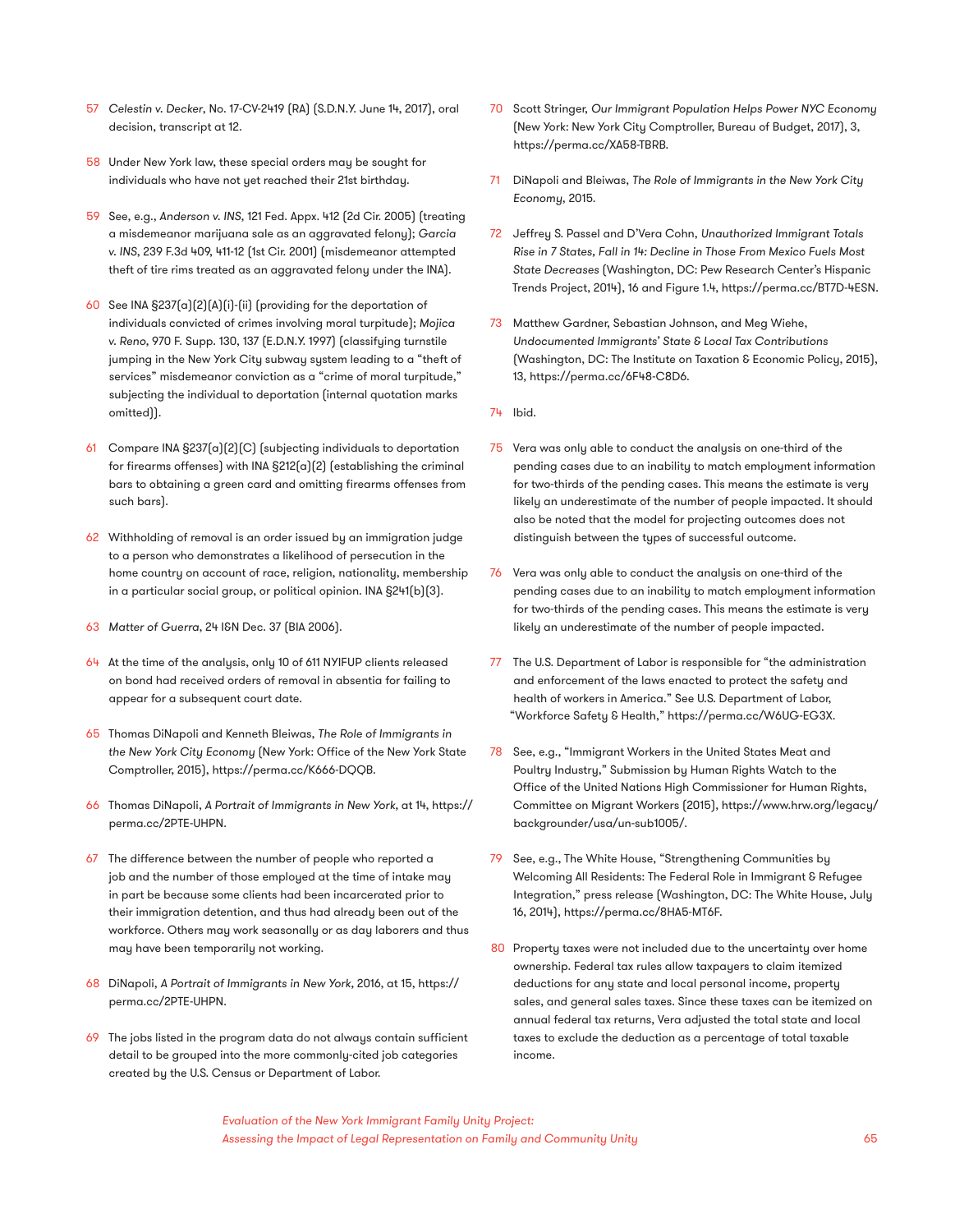- 57 *Celestin v. Decker*, No. 17-CV-2419 (RA) (S.D.N.Y. June 14, 2017), oral decision, transcript at 12.
- 58 Under New York law, these special orders may be sought for individuals who have not yet reached their 21st birthday.
- 59 See, e.g., *Anderson v. INS*, 121 Fed. Appx. 412 (2d Cir. 2005) (treating a misdemeanor marijuana sale as an aggravated felony); *Garcia v. INS*, 239 F.3d 409, 411-12 (1st Cir. 2001) (misdemeanor attempted theft of tire rims treated as an aggravated felony under the INA).
- 60 See INA §237(a)(2)(A)(i)-(ii) (providing for the deportation of individuals convicted of crimes involving moral turpitude); *Mojica v. Reno,* 970 F. Supp. 130, 137 (E.D.N.Y. 1997) (classifying turnstile jumping in the New York City subway system leading to a "theft of services" misdemeanor conviction as a "crime of moral turpitude," subjecting the individual to deportation (internal quotation marks omitted)).
- 61 Compare INA §237(a)(2)(C) (subjecting individuals to deportation for firearms offenses) with INA §212(a)(2) (establishing the criminal bars to obtaining a green card and omitting firearms offenses from such bars).
- 62 Withholding of removal is an order issued by an immigration judge to a person who demonstrates a likelihood of persecution in the home country on account of race, religion, nationality, membership in a particular social group, or political opinion. INA §241(b)(3).
- 63 *Matter of Guerra*, 24 I&N Dec. 37 (BIA 2006).
- 64 At the time of the analysis, only 10 of 611 NYIFUP clients released on bond had received orders of removal in absentia for failing to appear for a subsequent court date.
- 65 Thomas DiNapoli and Kenneth Bleiwas, *The Role of Immigrants in the New York City Economy* (New York: Office of the New York State Comptroller, 2015), https://perma.cc/K666-DQQB.
- 66 Thomas DiNapoli, *A Portrait of Immigrants in New York,* at 14, https:// perma.cc/2PTE-UHPN.
- 67 The difference between the number of people who reported a job and the number of those employed at the time of intake may in part be because some clients had been incarcerated prior to their immigration detention, and thus had already been out of the workforce. Others may work seasonally or as day laborers and thus may have been temporarily not working.
- 68 DiNapoli, *A Portrait of Immigrants in New York,* 2016, at 15, https:// perma.cc/2PTE-UHPN.
- 69 The jobs listed in the program data do not always contain sufficient detail to be grouped into the more commonly-cited job categories created by the U.S. Census or Department of Labor.
- 70 Scott Stringer, *Our Immigrant Population Helps Power NYC Economy*  (New York: New York City Comptroller, Bureau of Budget, 2017), 3, https://perma.cc/XA58-TBRB.
- 71 DiNapoli and Bleiwas, *The Role of Immigrants in the New York City Economy*, 2015.
- 72 Jeffrey S. Passel and D'Vera Cohn, *Unauthorized Immigrant Totals Rise in 7 States, Fall in 14: Decline in Those From Mexico Fuels Most State Decreases* (Washington, DC: Pew Research Center's Hispanic Trends Project, 2014), 16 and Figure 1.4, https://perma.cc/BT7D-4ESN.
- 73 Matthew Gardner, Sebastian Johnson, and Meg Wiehe, *Undocumented Immigrants' State & Local Tax Contributions*  (Washington, DC: The Institute on Taxation & Economic Policy, 2015), 13, https://perma.cc/6F48-C8D6.
- 74 Ibid.
- 75 Vera was only able to conduct the analysis on one-third of the pending cases due to an inability to match employment information for two-thirds of the pending cases. This means the estimate is very likely an underestimate of the number of people impacted. It should also be noted that the model for projecting outcomes does not distinguish between the types of successful outcome.
- 76 Vera was only able to conduct the analysis on one-third of the pending cases due to an inability to match employment information for two-thirds of the pending cases. This means the estimate is very likely an underestimate of the number of people impacted.
- 77 The U.S. Department of Labor is responsible for "the administration and enforcement of the laws enacted to protect the safety and health of workers in America." See U.S. Department of Labor, "Workforce Safety & Health," https://perma.cc/W6UG-EG3X.
- 78 See, e.g., "Immigrant Workers in the United States Meat and Poultry Industry," Submission by Human Rights Watch to the Office of the United Nations High Commissioner for Human Rights, Committee on Migrant Workers (2015), https://www.hrw.org/legacy/ backgrounder/usa/un-sub1005/.
- 79 See, e.g., The White House, "Strengthening Communities by Welcoming All Residents: The Federal Role in Immigrant & Refugee Integration," press release (Washington, DC: The White House, July 16, 2014), https://perma.cc/8HA5-MT6F.
- 80 Property taxes were not included due to the uncertainty over home ownership. Federal tax rules allow taxpayers to claim itemized deductions for any state and local personal income, property sales, and general sales taxes. Since these taxes can be itemized on annual federal tax returns, Vera adjusted the total state and local taxes to exclude the deduction as a percentage of total taxable income.

*Evaluation of the New York Immigrant Family Unity Project: Assessing the Impact of Legal Representation on Family and Community Unity* 65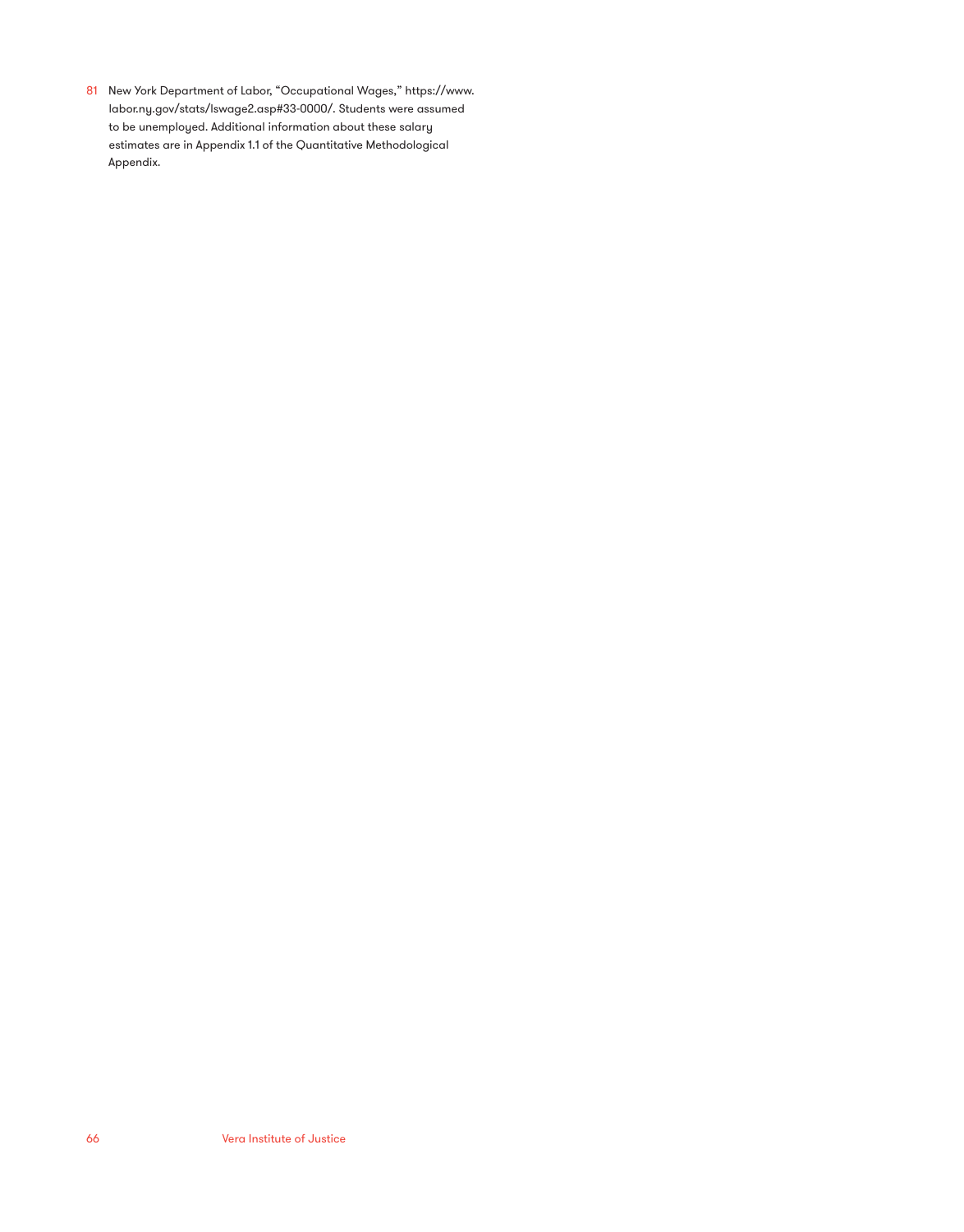81 New York Department of Labor, "Occupational Wages," https://www. labor.ny.gov/stats/lswage2.asp#33-0000/. Students were assumed to be unemployed. Additional information about these salary estimates are in Appendix 1.1 of the Quantitative Methodological Appendix.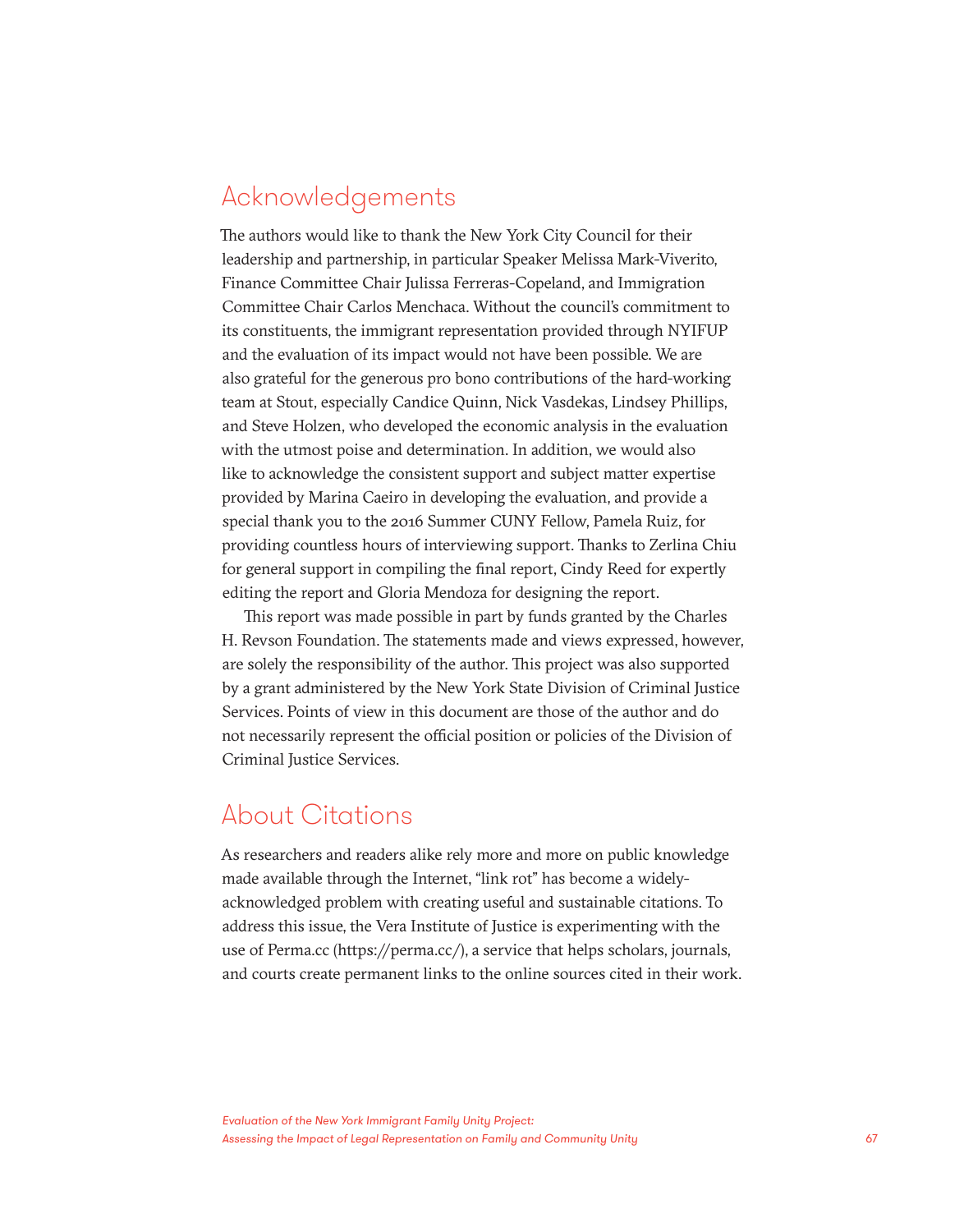### Acknowledgements

The authors would like to thank the New York City Council for their leadership and partnership, in particular Speaker Melissa Mark-Viverito, Finance Committee Chair Julissa Ferreras-Copeland, and Immigration Committee Chair Carlos Menchaca. Without the council's commitment to its constituents, the immigrant representation provided through NYIFUP and the evaluation of its impact would not have been possible. We are also grateful for the generous pro bono contributions of the hard-working team at Stout, especially Candice Quinn, Nick Vasdekas, Lindsey Phillips, and Steve Holzen, who developed the economic analysis in the evaluation with the utmost poise and determination. In addition, we would also like to acknowledge the consistent support and subject matter expertise provided by Marina Caeiro in developing the evaluation, and provide a special thank you to the 2016 Summer CUNY Fellow, Pamela Ruiz, for providing countless hours of interviewing support. Thanks to Zerlina Chiu for general support in compiling the final report, Cindy Reed for expertly editing the report and Gloria Mendoza for designing the report.

This report was made possible in part by funds granted by the Charles H. Revson Foundation. The statements made and views expressed, however, are solely the responsibility of the author. This project was also supported by a grant administered by the New York State Division of Criminal Justice Services. Points of view in this document are those of the author and do not necessarily represent the official position or policies of the Division of Criminal Justice Services.

### About Citations

As researchers and readers alike rely more and more on public knowledge made available through the Internet, "link rot" has become a widelyacknowledged problem with creating useful and sustainable citations. To address this issue, the Vera Institute of Justice is experimenting with the use of Perma.cc (https://perma.cc/), a service that helps scholars, journals, and courts create permanent links to the online sources cited in their work.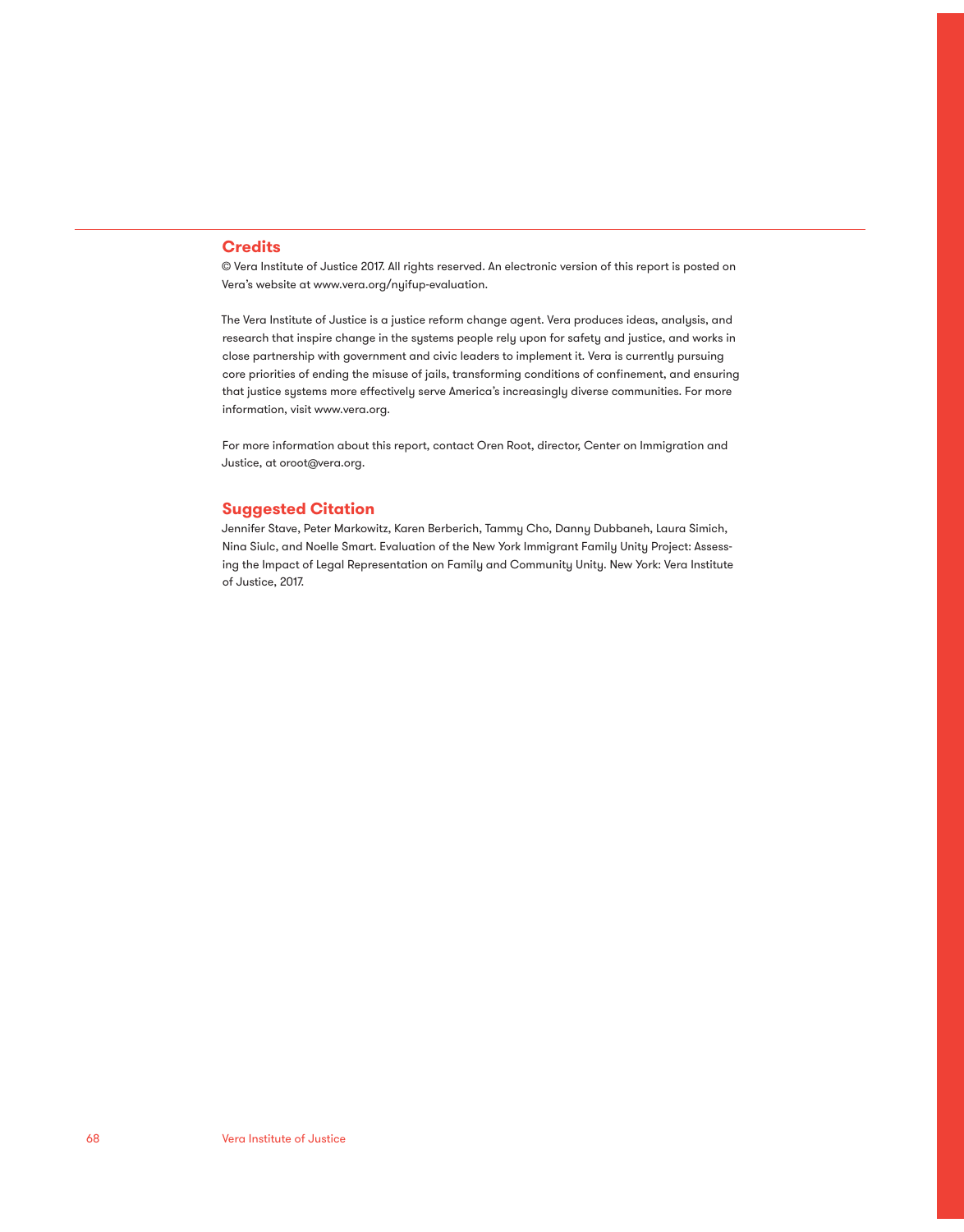#### **Credits**

© Vera Institute of Justice 2017. All rights reserved. An electronic version of this report is posted on Vera's website at www.vera.org/nyifup-evaluation.

The Vera Institute of Justice is a justice reform change agent. Vera produces ideas, analysis, and research that inspire change in the systems people rely upon for safety and justice, and works in close partnership with government and civic leaders to implement it. Vera is currently pursuing core priorities of ending the misuse of jails, transforming conditions of confinement, and ensuring that justice systems more effectively serve America's increasingly diverse communities. For more information, visit www.vera.org.

For more information about this report, contact Oren Root, director, Center on Immigration and Justice, at oroot@vera.org.

#### **Suggested Citation**

Jennifer Stave, Peter Markowitz, Karen Berberich, Tammy Cho, Danny Dubbaneh, Laura Simich, Nina Siulc, and Noelle Smart. Evaluation of the New York Immigrant Family Unity Project: Assessing the Impact of Legal Representation on Family and Community Unity. New York: Vera Institute of Justice, 2017.